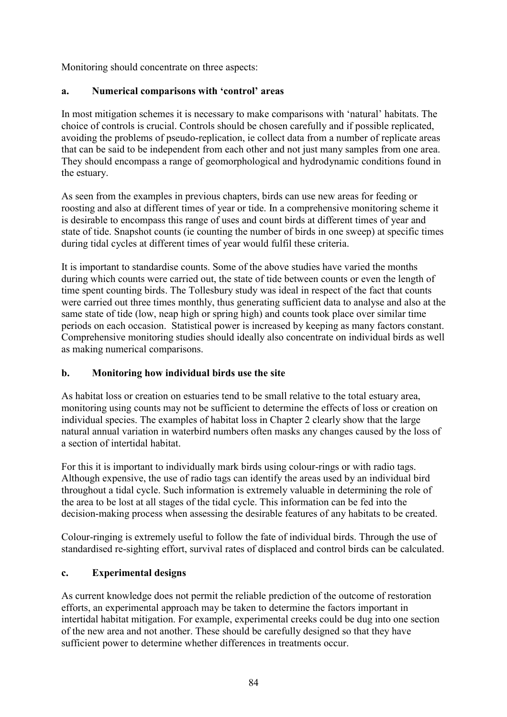Monitoring should concentrate on three aspects:

#### **a. Numerical comparisons with 'control' areas**

In most mitigation schemes it is necessary to make comparisons with 'natural' habitats. The choice of controls is crucial. Controls should be chosen carefully and if possible replicated, avoiding the problems of pseudo-replication, ie collect data from a number of replicate areas that can be said to be independent from each other and not just many samples from one area. They should encompass a range of geomorphological and hydrodynamic conditions found in the estuary.

As seen from the examples in previous chapters, birds can use new areas for feeding or roosting and also at different times of year or tide. In a comprehensive monitoring scheme it is desirable to encompass this range of uses and count birds at different times of year and state of tide. Snapshot counts (ie counting the number of birds in one sweep) at specific times during tidal cycles at different times of year would fulfil these criteria.

It is important to standardise counts. Some of the above studies have varied the months during which counts were carried out, the state of tide between counts or even the length of time spent counting birds. The Tollesbury study was ideal in respect of the fact that counts were carried out three times monthly, thus generating sufficient data to analyse and also at the same state of tide (low, neap high or spring high) and counts took place over similar time periods on each occasion. Statistical power is increased by keeping as many factors constant. Comprehensive monitoring studies should ideally also concentrate on individual birds as well as making numerical comparisons.

## **b. Monitoring how individual birds use the site**

As habitat loss or creation on estuaries tend to be small relative to the total estuary area, monitoring using counts may not be sufficient to determine the effects of loss or creation on individual species. The examples of habitat loss in Chapter 2 clearly show that the large natural annual variation in waterbird numbers often masks any changes caused by the loss of a section of intertidal habitat.

For this it is important to individually mark birds using colour-rings or with radio tags. Although expensive, the use of radio tags can identify the areas used by an individual bird throughout a tidal cycle. Such information is extremely valuable in determining the role of the area to be lost at all stages of the tidal cycle. This information can be fed into the decision-making process when assessing the desirable features of any habitats to be created.

Colour-ringing is extremely useful to follow the fate of individual birds. Through the use of standardised re-sighting effort, survival rates of displaced and control birds can be calculated.

## **c. Experimental designs**

As current knowledge does not permit the reliable prediction of the outcome of restoration efforts, an experimental approach may be taken to determine the factors important in intertidal habitat mitigation. For example, experimental creeks could be dug into one section of the new area and not another. These should be carefully designed so that they have sufficient power to determine whether differences in treatments occur.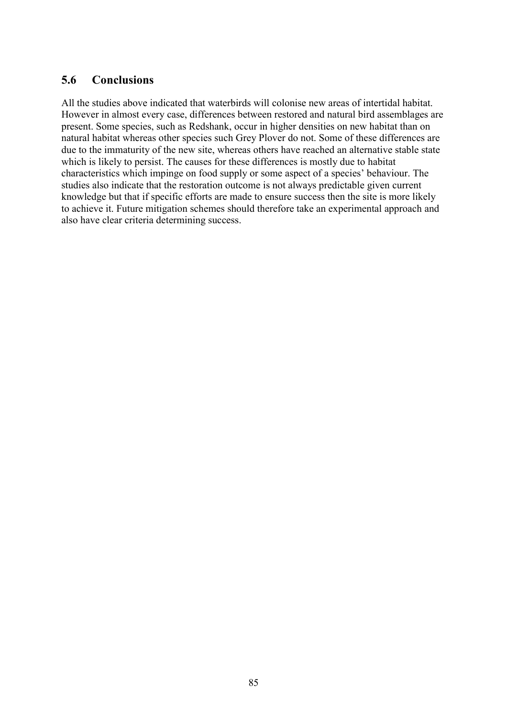## **5.6 Conclusions**

All the studies above indicated that waterbirds will colonise new areas of intertidal habitat. However in almost every case, differences between restored and natural bird assemblages are present. Some species, such as Redshank, occur in higher densities on new habitat than on natural habitat whereas other species such Grey Plover do not. Some of these differences are due to the immaturity of the new site, whereas others have reached an alternative stable state which is likely to persist. The causes for these differences is mostly due to habitat characteristics which impinge on food supply or some aspect of a species' behaviour. The studies also indicate that the restoration outcome is not always predictable given current knowledge but that if specific efforts are made to ensure success then the site is more likely to achieve it. Future mitigation schemes should therefore take an experimental approach and also have clear criteria determining success.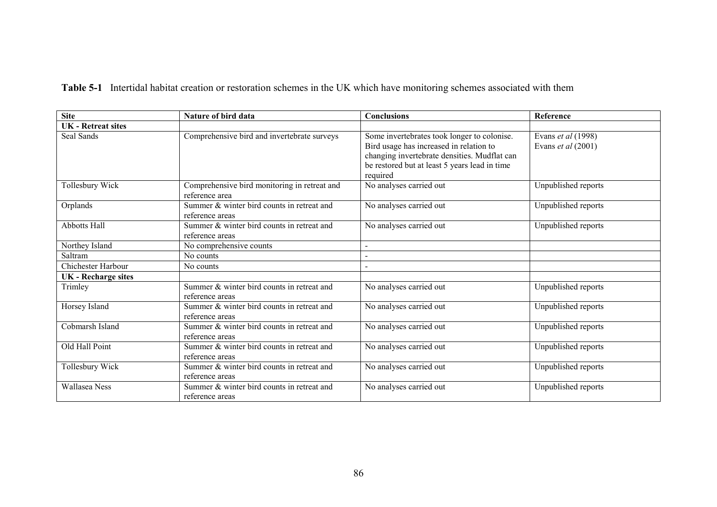**Table 5-1** Intertidal habitat creation or restoration schemes in the UK which have monitoring schemes associated with them

| <b>Site</b>                | Nature of bird data                                            | <b>Conclusions</b>                                                                                                                                                                                  | Reference                                |
|----------------------------|----------------------------------------------------------------|-----------------------------------------------------------------------------------------------------------------------------------------------------------------------------------------------------|------------------------------------------|
| <b>UK</b> - Retreat sites  |                                                                |                                                                                                                                                                                                     |                                          |
| Seal Sands                 | Comprehensive bird and invertebrate surveys                    | Some invertebrates took longer to colonise.<br>Bird usage has increased in relation to<br>changing invertebrate densities. Mudflat can<br>be restored but at least 5 years lead in time<br>required | Evans et al (1998)<br>Evans et al (2001) |
| Tollesbury Wick            | Comprehensive bird monitoring in retreat and<br>reference area | No analyses carried out                                                                                                                                                                             | Unpublished reports                      |
| Orplands                   | Summer & winter bird counts in retreat and<br>reference areas  | No analyses carried out                                                                                                                                                                             | Unpublished reports                      |
| <b>Abbotts Hall</b>        | Summer & winter bird counts in retreat and<br>reference areas  | No analyses carried out                                                                                                                                                                             | Unpublished reports                      |
| Northey Island             | No comprehensive counts                                        |                                                                                                                                                                                                     |                                          |
| Saltram                    | No counts                                                      |                                                                                                                                                                                                     |                                          |
| Chichester Harbour         | No counts                                                      |                                                                                                                                                                                                     |                                          |
| <b>UK</b> - Recharge sites |                                                                |                                                                                                                                                                                                     |                                          |
| Trimley                    | Summer & winter bird counts in retreat and<br>reference areas  | No analyses carried out                                                                                                                                                                             | Unpublished reports                      |
| Horsey Island              | Summer & winter bird counts in retreat and<br>reference areas  | No analyses carried out                                                                                                                                                                             | Unpublished reports                      |
| Cobmarsh Island            | Summer & winter bird counts in retreat and<br>reference areas  | No analyses carried out                                                                                                                                                                             | Unpublished reports                      |
| Old Hall Point             | Summer & winter bird counts in retreat and<br>reference areas  | No analyses carried out                                                                                                                                                                             | Unpublished reports                      |
| Tollesbury Wick            | Summer & winter bird counts in retreat and<br>reference areas  | No analyses carried out                                                                                                                                                                             | Unpublished reports                      |
| Wallasea Ness              | Summer & winter bird counts in retreat and<br>reference areas  | No analyses carried out                                                                                                                                                                             | Unpublished reports                      |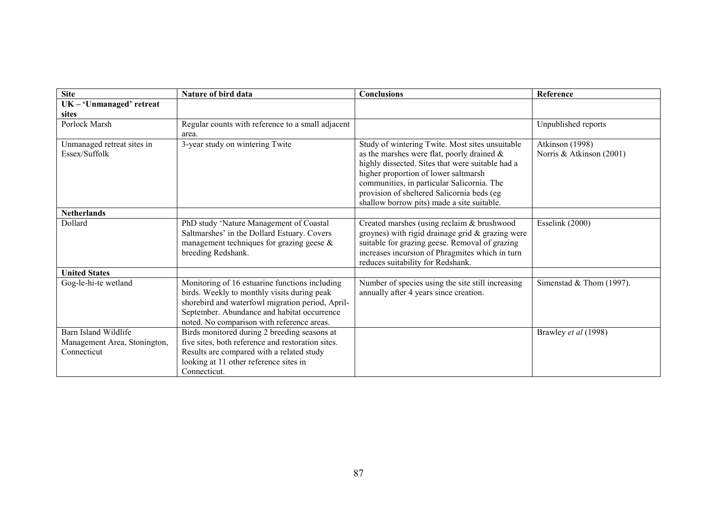| <b>Site</b>                                 | Nature of bird data                                                                                                                                                                                                                            | <b>Conclusions</b>                                                                                                                                                                                                                                                                                                                     | Reference                                   |
|---------------------------------------------|------------------------------------------------------------------------------------------------------------------------------------------------------------------------------------------------------------------------------------------------|----------------------------------------------------------------------------------------------------------------------------------------------------------------------------------------------------------------------------------------------------------------------------------------------------------------------------------------|---------------------------------------------|
| UK - 'Unmanaged' retreat                    |                                                                                                                                                                                                                                                |                                                                                                                                                                                                                                                                                                                                        |                                             |
| sites                                       |                                                                                                                                                                                                                                                |                                                                                                                                                                                                                                                                                                                                        |                                             |
| Porlock Marsh                               | Regular counts with reference to a small adjacent<br>area.                                                                                                                                                                                     |                                                                                                                                                                                                                                                                                                                                        | Unpublished reports                         |
| Unmanaged retreat sites in<br>Essex/Suffolk | 3-year study on wintering Twite                                                                                                                                                                                                                | Study of wintering Twite. Most sites unsuitable<br>as the marshes were flat, poorly drained $\&$<br>highly dissected. Sites that were suitable had a<br>higher proportion of lower saltmarsh<br>communities, in particular Salicornia. The<br>provision of sheltered Salicornia beds (eg<br>shallow borrow pits) made a site suitable. | Atkinson (1998)<br>Norris & Atkinson (2001) |
| <b>Netherlands</b>                          |                                                                                                                                                                                                                                                |                                                                                                                                                                                                                                                                                                                                        |                                             |
| Dollard                                     | PhD study 'Nature Management of Coastal<br>Saltmarshes' in the Dollard Estuary. Covers<br>management techniques for grazing geese $\&$<br>breeding Redshank.                                                                                   | Created marshes (using reclaim & brushwood<br>groynes) with rigid drainage grid & grazing were<br>suitable for grazing geese. Removal of grazing<br>increases incursion of Phragmites which in turn<br>reduces suitability for Redshank.                                                                                               | Esselink (2000)                             |
| <b>United States</b>                        |                                                                                                                                                                                                                                                |                                                                                                                                                                                                                                                                                                                                        |                                             |
| Gog-le-hi-te wetland                        | Monitoring of 16 estuarine functions including<br>birds. Weekly to monthly visits during peak<br>shorebird and waterfowl migration period, April-<br>September. Abundance and habitat occurrence<br>noted. No comparison with reference areas. | Number of species using the site still increasing<br>annually after 4 years since creation.                                                                                                                                                                                                                                            | Simenstad & Thom $(1997)$ .                 |
| Barn Island Wildlife                        | Birds monitored during 2 breeding seasons at                                                                                                                                                                                                   |                                                                                                                                                                                                                                                                                                                                        | Brawley et al (1998)                        |
| Management Area, Stonington,                | five sites, both reference and restoration sites.                                                                                                                                                                                              |                                                                                                                                                                                                                                                                                                                                        |                                             |
| Connecticut                                 | Results are compared with a related study                                                                                                                                                                                                      |                                                                                                                                                                                                                                                                                                                                        |                                             |
|                                             | looking at 11 other reference sites in                                                                                                                                                                                                         |                                                                                                                                                                                                                                                                                                                                        |                                             |
|                                             | Connecticut.                                                                                                                                                                                                                                   |                                                                                                                                                                                                                                                                                                                                        |                                             |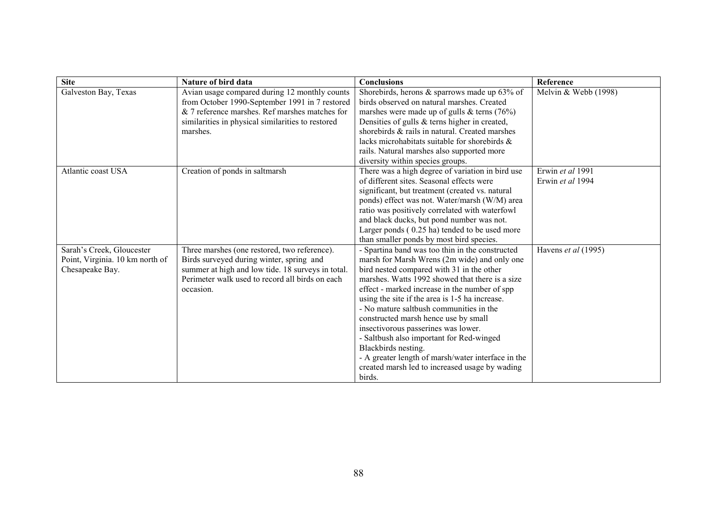| <b>Site</b>                     | Nature of bird data                               | <b>Conclusions</b>                                 | Reference              |
|---------------------------------|---------------------------------------------------|----------------------------------------------------|------------------------|
| Galveston Bay, Texas            | Avian usage compared during 12 monthly counts     | Shorebirds, herons & sparrows made up 63% of       | Melvin & Webb $(1998)$ |
|                                 | from October 1990-September 1991 in 7 restored    | birds observed on natural marshes. Created         |                        |
|                                 | & 7 reference marshes. Ref marshes matches for    | marshes were made up of gulls $&$ terns (76%)      |                        |
|                                 | similarities in physical similarities to restored | Densities of gulls & terns higher in created,      |                        |
|                                 | marshes.                                          | shorebirds & rails in natural. Created marshes     |                        |
|                                 |                                                   | lacks microhabitats suitable for shorebirds &      |                        |
|                                 |                                                   | rails. Natural marshes also supported more         |                        |
|                                 |                                                   | diversity within species groups.                   |                        |
| Atlantic coast USA              | Creation of ponds in saltmarsh                    | There was a high degree of variation in bird use   | Erwin et al 1991       |
|                                 |                                                   | of different sites. Seasonal effects were          | Erwin et al 1994       |
|                                 |                                                   | significant, but treatment (created vs. natural    |                        |
|                                 |                                                   | ponds) effect was not. Water/marsh (W/M) area      |                        |
|                                 |                                                   | ratio was positively correlated with waterfowl     |                        |
|                                 |                                                   | and black ducks, but pond number was not.          |                        |
|                                 |                                                   | Larger ponds (0.25 ha) tended to be used more      |                        |
|                                 |                                                   | than smaller ponds by most bird species.           |                        |
| Sarah's Creek, Gloucester       | Three marshes (one restored, two reference).      | - Spartina band was too thin in the constructed    | Havens et al (1995)    |
| Point, Virginia. 10 km north of | Birds surveyed during winter, spring and          | marsh for Marsh Wrens (2m wide) and only one       |                        |
| Chesapeake Bay.                 | summer at high and low tide. 18 surveys in total. | bird nested compared with 31 in the other          |                        |
|                                 | Perimeter walk used to record all birds on each   | marshes. Watts 1992 showed that there is a size    |                        |
|                                 | occasion.                                         | effect - marked increase in the number of spp      |                        |
|                                 |                                                   | using the site if the area is 1-5 ha increase.     |                        |
|                                 |                                                   | - No mature saltbush communities in the            |                        |
|                                 |                                                   | constructed marsh hence use by small               |                        |
|                                 |                                                   | insectivorous passerines was lower.                |                        |
|                                 |                                                   | - Saltbush also important for Red-winged           |                        |
|                                 |                                                   | Blackbirds nesting.                                |                        |
|                                 |                                                   | - A greater length of marsh/water interface in the |                        |
|                                 |                                                   | created marsh led to increased usage by wading     |                        |
|                                 |                                                   | birds.                                             |                        |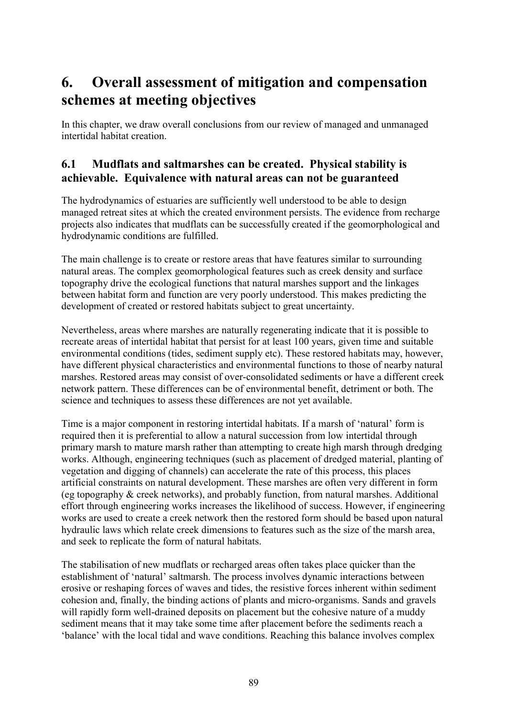# **6. Overall assessment of mitigation and compensation schemes at meeting objectives**

In this chapter, we draw overall conclusions from our review of managed and unmanaged intertidal habitat creation.

# **6.1 Mudflats and saltmarshes can be created. Physical stability is achievable. Equivalence with natural areas can not be guaranteed**

The hydrodynamics of estuaries are sufficiently well understood to be able to design managed retreat sites at which the created environment persists. The evidence from recharge projects also indicates that mudflats can be successfully created if the geomorphological and hydrodynamic conditions are fulfilled.

The main challenge is to create or restore areas that have features similar to surrounding natural areas. The complex geomorphological features such as creek density and surface topography drive the ecological functions that natural marshes support and the linkages between habitat form and function are very poorly understood. This makes predicting the development of created or restored habitats subject to great uncertainty.

Nevertheless, areas where marshes are naturally regenerating indicate that it is possible to recreate areas of intertidal habitat that persist for at least 100 years, given time and suitable environmental conditions (tides, sediment supply etc). These restored habitats may, however, have different physical characteristics and environmental functions to those of nearby natural marshes. Restored areas may consist of over-consolidated sediments or have a different creek network pattern. These differences can be of environmental benefit, detriment or both. The science and techniques to assess these differences are not yet available.

Time is a major component in restoring intertidal habitats. If a marsh of 'natural' form is required then it is preferential to allow a natural succession from low intertidal through primary marsh to mature marsh rather than attempting to create high marsh through dredging works. Although, engineering techniques (such as placement of dredged material, planting of vegetation and digging of channels) can accelerate the rate of this process, this places artificial constraints on natural development. These marshes are often very different in form (eg topography & creek networks), and probably function, from natural marshes. Additional effort through engineering works increases the likelihood of success. However, if engineering works are used to create a creek network then the restored form should be based upon natural hydraulic laws which relate creek dimensions to features such as the size of the marsh area, and seek to replicate the form of natural habitats.

The stabilisation of new mudflats or recharged areas often takes place quicker than the establishment of 'natural' saltmarsh. The process involves dynamic interactions between erosive or reshaping forces of waves and tides, the resistive forces inherent within sediment cohesion and, finally, the binding actions of plants and micro-organisms. Sands and gravels will rapidly form well-drained deposits on placement but the cohesive nature of a muddy sediment means that it may take some time after placement before the sediments reach a 'balance' with the local tidal and wave conditions. Reaching this balance involves complex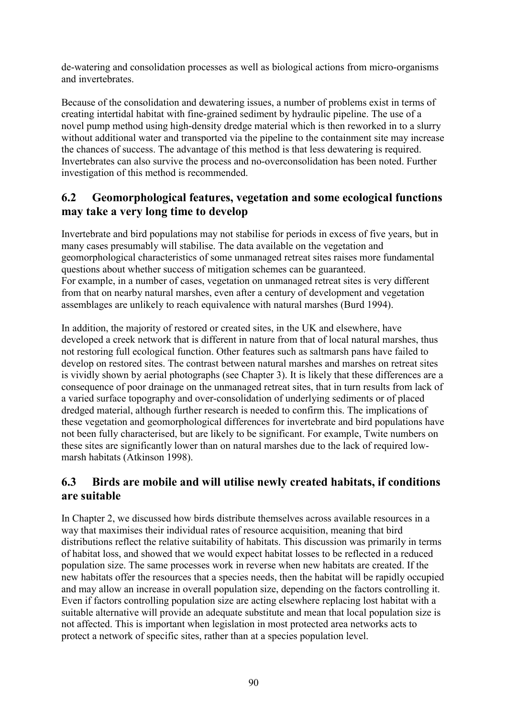de-watering and consolidation processes as well as biological actions from micro-organisms and invertebrates.

Because of the consolidation and dewatering issues, a number of problems exist in terms of creating intertidal habitat with fine-grained sediment by hydraulic pipeline. The use of a novel pump method using high-density dredge material which is then reworked in to a slurry without additional water and transported via the pipeline to the containment site may increase the chances of success. The advantage of this method is that less dewatering is required. Invertebrates can also survive the process and no-overconsolidation has been noted. Further investigation of this method is recommended.

# **6.2 Geomorphological features, vegetation and some ecological functions may take a very long time to develop**

Invertebrate and bird populations may not stabilise for periods in excess of five years, but in many cases presumably will stabilise. The data available on the vegetation and geomorphological characteristics of some unmanaged retreat sites raises more fundamental questions about whether success of mitigation schemes can be guaranteed. For example, in a number of cases, vegetation on unmanaged retreat sites is very different from that on nearby natural marshes, even after a century of development and vegetation assemblages are unlikely to reach equivalence with natural marshes (Burd 1994).

In addition, the majority of restored or created sites, in the UK and elsewhere, have developed a creek network that is different in nature from that of local natural marshes, thus not restoring full ecological function. Other features such as saltmarsh pans have failed to develop on restored sites. The contrast between natural marshes and marshes on retreat sites is vividly shown by aerial photographs (see Chapter 3). It is likely that these differences are a consequence of poor drainage on the unmanaged retreat sites, that in turn results from lack of a varied surface topography and over-consolidation of underlying sediments or of placed dredged material, although further research is needed to confirm this. The implications of these vegetation and geomorphological differences for invertebrate and bird populations have not been fully characterised, but are likely to be significant. For example, Twite numbers on these sites are significantly lower than on natural marshes due to the lack of required lowmarsh habitats (Atkinson 1998).

# **6.3 Birds are mobile and will utilise newly created habitats, if conditions are suitable**

In Chapter 2, we discussed how birds distribute themselves across available resources in a way that maximises their individual rates of resource acquisition, meaning that bird distributions reflect the relative suitability of habitats. This discussion was primarily in terms of habitat loss, and showed that we would expect habitat losses to be reflected in a reduced population size. The same processes work in reverse when new habitats are created. If the new habitats offer the resources that a species needs, then the habitat will be rapidly occupied and may allow an increase in overall population size, depending on the factors controlling it. Even if factors controlling population size are acting elsewhere replacing lost habitat with a suitable alternative will provide an adequate substitute and mean that local population size is not affected. This is important when legislation in most protected area networks acts to protect a network of specific sites, rather than at a species population level.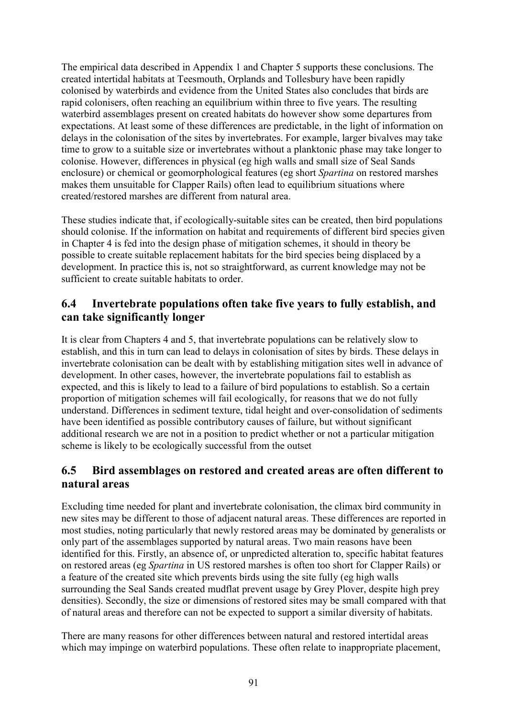The empirical data described in Appendix 1 and Chapter 5 supports these conclusions. The created intertidal habitats at Teesmouth, Orplands and Tollesbury have been rapidly colonised by waterbirds and evidence from the United States also concludes that birds are rapid colonisers, often reaching an equilibrium within three to five years. The resulting waterbird assemblages present on created habitats do however show some departures from expectations. At least some of these differences are predictable, in the light of information on delays in the colonisation of the sites by invertebrates. For example, larger bivalves may take time to grow to a suitable size or invertebrates without a planktonic phase may take longer to colonise. However, differences in physical (eg high walls and small size of Seal Sands enclosure) or chemical or geomorphological features (eg short *Spartina* on restored marshes makes them unsuitable for Clapper Rails) often lead to equilibrium situations where created/restored marshes are different from natural area.

These studies indicate that, if ecologically-suitable sites can be created, then bird populations should colonise. If the information on habitat and requirements of different bird species given in Chapter 4 is fed into the design phase of mitigation schemes, it should in theory be possible to create suitable replacement habitats for the bird species being displaced by a development. In practice this is, not so straightforward, as current knowledge may not be sufficient to create suitable habitats to order.

## **6.4 Invertebrate populations often take five years to fully establish, and can take significantly longer**

It is clear from Chapters 4 and 5, that invertebrate populations can be relatively slow to establish, and this in turn can lead to delays in colonisation of sites by birds. These delays in invertebrate colonisation can be dealt with by establishing mitigation sites well in advance of development. In other cases, however, the invertebrate populations fail to establish as expected, and this is likely to lead to a failure of bird populations to establish. So a certain proportion of mitigation schemes will fail ecologically, for reasons that we do not fully understand. Differences in sediment texture, tidal height and over-consolidation of sediments have been identified as possible contributory causes of failure, but without significant additional research we are not in a position to predict whether or not a particular mitigation scheme is likely to be ecologically successful from the outset

# **6.5 Bird assemblages on restored and created areas are often different to natural areas**

Excluding time needed for plant and invertebrate colonisation, the climax bird community in new sites may be different to those of adjacent natural areas. These differences are reported in most studies, noting particularly that newly restored areas may be dominated by generalists or only part of the assemblages supported by natural areas. Two main reasons have been identified for this. Firstly, an absence of, or unpredicted alteration to, specific habitat features on restored areas (eg *Spartina* in US restored marshes is often too short for Clapper Rails) or a feature of the created site which prevents birds using the site fully (eg high walls surrounding the Seal Sands created mudflat prevent usage by Grey Plover, despite high prey densities). Secondly, the size or dimensions of restored sites may be small compared with that of natural areas and therefore can not be expected to support a similar diversity of habitats.

There are many reasons for other differences between natural and restored intertidal areas which may impinge on waterbird populations. These often relate to inappropriate placement,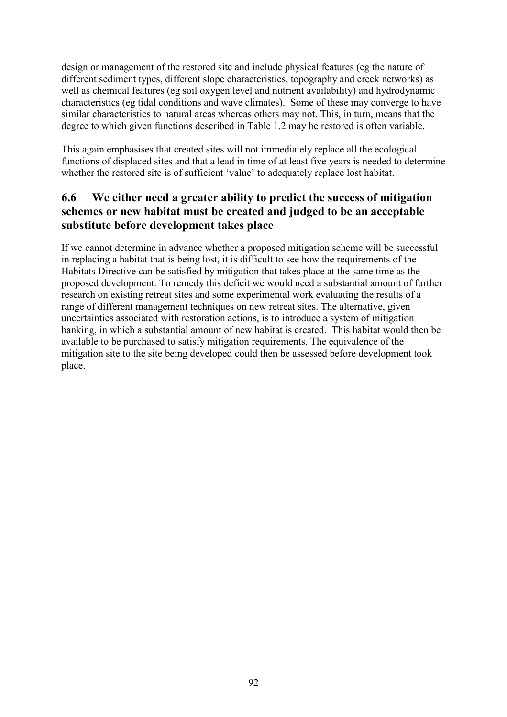design or management of the restored site and include physical features (eg the nature of different sediment types, different slope characteristics, topography and creek networks) as well as chemical features (eg soil oxygen level and nutrient availability) and hydrodynamic characteristics (eg tidal conditions and wave climates). Some of these may converge to have similar characteristics to natural areas whereas others may not. This, in turn, means that the degree to which given functions described in Table 1.2 may be restored is often variable.

This again emphasises that created sites will not immediately replace all the ecological functions of displaced sites and that a lead in time of at least five years is needed to determine whether the restored site is of sufficient 'value' to adequately replace lost habitat.

# **6.6 We either need a greater ability to predict the success of mitigation schemes or new habitat must be created and judged to be an acceptable substitute before development takes place**

If we cannot determine in advance whether a proposed mitigation scheme will be successful in replacing a habitat that is being lost, it is difficult to see how the requirements of the Habitats Directive can be satisfied by mitigation that takes place at the same time as the proposed development. To remedy this deficit we would need a substantial amount of further research on existing retreat sites and some experimental work evaluating the results of a range of different management techniques on new retreat sites. The alternative, given uncertainties associated with restoration actions, is to introduce a system of mitigation banking, in which a substantial amount of new habitat is created. This habitat would then be available to be purchased to satisfy mitigation requirements. The equivalence of the mitigation site to the site being developed could then be assessed before development took place.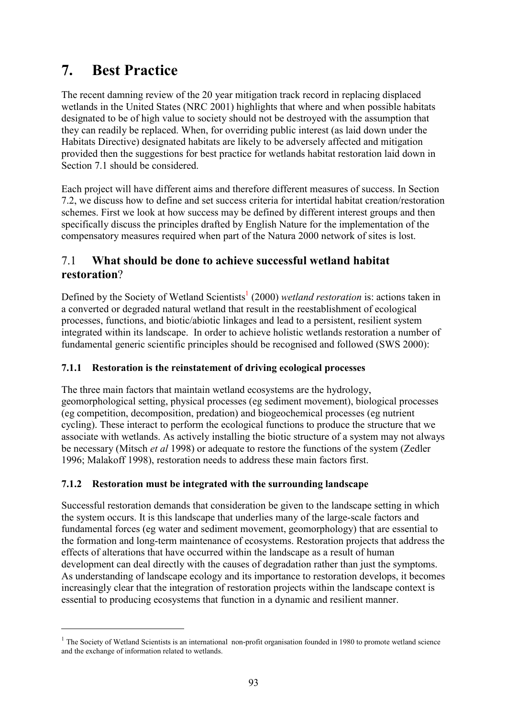# **7. Best Practice**

 $\overline{a}$ 

The recent damning review of the 20 year mitigation track record in replacing displaced wetlands in the United States (NRC 2001) highlights that where and when possible habitats designated to be of high value to society should not be destroyed with the assumption that they can readily be replaced. When, for overriding public interest (as laid down under the Habitats Directive) designated habitats are likely to be adversely affected and mitigation provided then the suggestions for best practice for wetlands habitat restoration laid down in Section 7.1 should be considered.

Each project will have different aims and therefore different measures of success. In Section 7.2, we discuss how to define and set success criteria for intertidal habitat creation/restoration schemes. First we look at how success may be defined by different interest groups and then specifically discuss the principles drafted by English Nature for the implementation of the compensatory measures required when part of the Natura 2000 network of sites is lost.

# 7.1 **What should be done to achieve successful wetland habitat restoration**?

Defined by the Society of Wetland Scientists<sup>1</sup> (2000) *wetland restoration* is: actions taken in a converted or degraded natural wetland that result in the reestablishment of ecological processes, functions, and biotic/abiotic linkages and lead to a persistent, resilient system integrated within its landscape. In order to achieve holistic wetlands restoration a number of fundamental generic scientific principles should be recognised and followed (SWS 2000):

## **7.1.1 Restoration is the reinstatement of driving ecological processes**

The three main factors that maintain wetland ecosystems are the hydrology, geomorphological setting, physical processes (eg sediment movement), biological processes (eg competition, decomposition, predation) and biogeochemical processes (eg nutrient cycling). These interact to perform the ecological functions to produce the structure that we associate with wetlands. As actively installing the biotic structure of a system may not always be necessary (Mitsch *et al* 1998) or adequate to restore the functions of the system (Zedler 1996; Malakoff 1998), restoration needs to address these main factors first.

## **7.1.2 Restoration must be integrated with the surrounding landscape**

Successful restoration demands that consideration be given to the landscape setting in which the system occurs. It is this landscape that underlies many of the large-scale factors and fundamental forces (eg water and sediment movement, geomorphology) that are essential to the formation and long-term maintenance of ecosystems. Restoration projects that address the effects of alterations that have occurred within the landscape as a result of human development can deal directly with the causes of degradation rather than just the symptoms. As understanding of landscape ecology and its importance to restoration develops, it becomes increasingly clear that the integration of restoration projects within the landscape context is essential to producing ecosystems that function in a dynamic and resilient manner.

 $1$  The Society of Wetland Scientists is an international non-profit organisation founded in 1980 to promote wetland science and the exchange of information related to wetlands.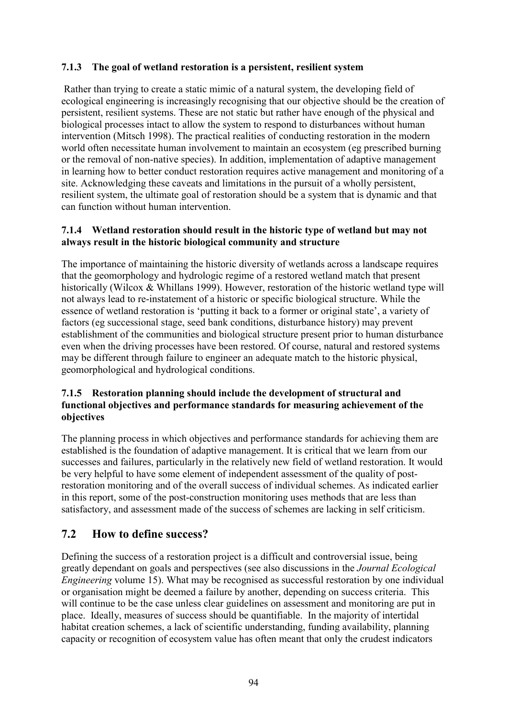### **7.1.3 The goal of wetland restoration is a persistent, resilient system**

 Rather than trying to create a static mimic of a natural system, the developing field of ecological engineering is increasingly recognising that our objective should be the creation of persistent, resilient systems. These are not static but rather have enough of the physical and biological processes intact to allow the system to respond to disturbances without human intervention (Mitsch 1998). The practical realities of conducting restoration in the modern world often necessitate human involvement to maintain an ecosystem (eg prescribed burning or the removal of non-native species). In addition, implementation of adaptive management in learning how to better conduct restoration requires active management and monitoring of a site. Acknowledging these caveats and limitations in the pursuit of a wholly persistent, resilient system, the ultimate goal of restoration should be a system that is dynamic and that can function without human intervention.

#### **7.1.4 Wetland restoration should result in the historic type of wetland but may not always result in the historic biological community and structure**

The importance of maintaining the historic diversity of wetlands across a landscape requires that the geomorphology and hydrologic regime of a restored wetland match that present historically (Wilcox & Whillans 1999). However, restoration of the historic wetland type will not always lead to re-instatement of a historic or specific biological structure. While the essence of wetland restoration is 'putting it back to a former or original state', a variety of factors (eg successional stage, seed bank conditions, disturbance history) may prevent establishment of the communities and biological structure present prior to human disturbance even when the driving processes have been restored. Of course, natural and restored systems may be different through failure to engineer an adequate match to the historic physical, geomorphological and hydrological conditions.

#### **7.1.5 Restoration planning should include the development of structural and functional objectives and performance standards for measuring achievement of the objectives**

The planning process in which objectives and performance standards for achieving them are established is the foundation of adaptive management. It is critical that we learn from our successes and failures, particularly in the relatively new field of wetland restoration. It would be very helpful to have some element of independent assessment of the quality of postrestoration monitoring and of the overall success of individual schemes. As indicated earlier in this report, some of the post-construction monitoring uses methods that are less than satisfactory, and assessment made of the success of schemes are lacking in self criticism.

## **7.2 How to define success?**

Defining the success of a restoration project is a difficult and controversial issue, being greatly dependant on goals and perspectives (see also discussions in the *Journal Ecological Engineering* volume 15). What may be recognised as successful restoration by one individual or organisation might be deemed a failure by another, depending on success criteria. This will continue to be the case unless clear guidelines on assessment and monitoring are put in place. Ideally, measures of success should be quantifiable. In the majority of intertidal habitat creation schemes, a lack of scientific understanding, funding availability, planning capacity or recognition of ecosystem value has often meant that only the crudest indicators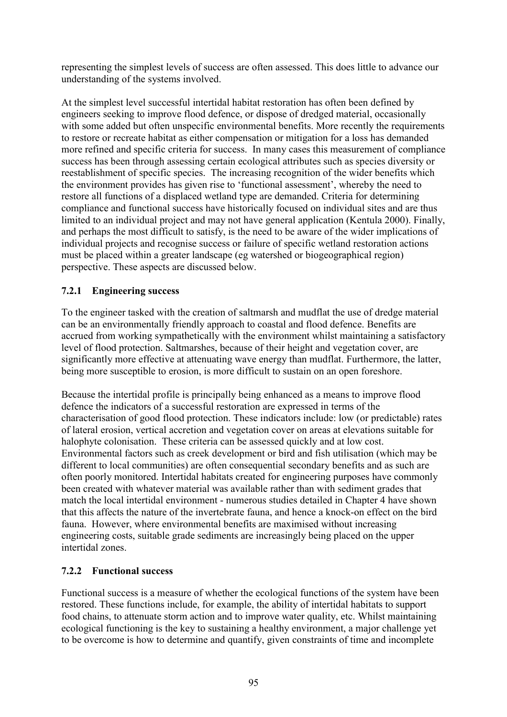representing the simplest levels of success are often assessed. This does little to advance our understanding of the systems involved.

At the simplest level successful intertidal habitat restoration has often been defined by engineers seeking to improve flood defence, or dispose of dredged material, occasionally with some added but often unspecific environmental benefits. More recently the requirements to restore or recreate habitat as either compensation or mitigation for a loss has demanded more refined and specific criteria for success. In many cases this measurement of compliance success has been through assessing certain ecological attributes such as species diversity or reestablishment of specific species. The increasing recognition of the wider benefits which the environment provides has given rise to 'functional assessment', whereby the need to restore all functions of a displaced wetland type are demanded. Criteria for determining compliance and functional success have historically focused on individual sites and are thus limited to an individual project and may not have general application (Kentula 2000). Finally, and perhaps the most difficult to satisfy, is the need to be aware of the wider implications of individual projects and recognise success or failure of specific wetland restoration actions must be placed within a greater landscape (eg watershed or biogeographical region) perspective. These aspects are discussed below.

#### **7.2.1 Engineering success**

To the engineer tasked with the creation of saltmarsh and mudflat the use of dredge material can be an environmentally friendly approach to coastal and flood defence. Benefits are accrued from working sympathetically with the environment whilst maintaining a satisfactory level of flood protection. Saltmarshes, because of their height and vegetation cover, are significantly more effective at attenuating wave energy than mudflat. Furthermore, the latter, being more susceptible to erosion, is more difficult to sustain on an open foreshore.

Because the intertidal profile is principally being enhanced as a means to improve flood defence the indicators of a successful restoration are expressed in terms of the characterisation of good flood protection. These indicators include: low (or predictable) rates of lateral erosion, vertical accretion and vegetation cover on areas at elevations suitable for halophyte colonisation. These criteria can be assessed quickly and at low cost. Environmental factors such as creek development or bird and fish utilisation (which may be different to local communities) are often consequential secondary benefits and as such are often poorly monitored. Intertidal habitats created for engineering purposes have commonly been created with whatever material was available rather than with sediment grades that match the local intertidal environment - numerous studies detailed in Chapter 4 have shown that this affects the nature of the invertebrate fauna, and hence a knock-on effect on the bird fauna. However, where environmental benefits are maximised without increasing engineering costs, suitable grade sediments are increasingly being placed on the upper intertidal zones.

#### **7.2.2 Functional success**

Functional success is a measure of whether the ecological functions of the system have been restored. These functions include, for example, the ability of intertidal habitats to support food chains, to attenuate storm action and to improve water quality, etc. Whilst maintaining ecological functioning is the key to sustaining a healthy environment, a major challenge yet to be overcome is how to determine and quantify, given constraints of time and incomplete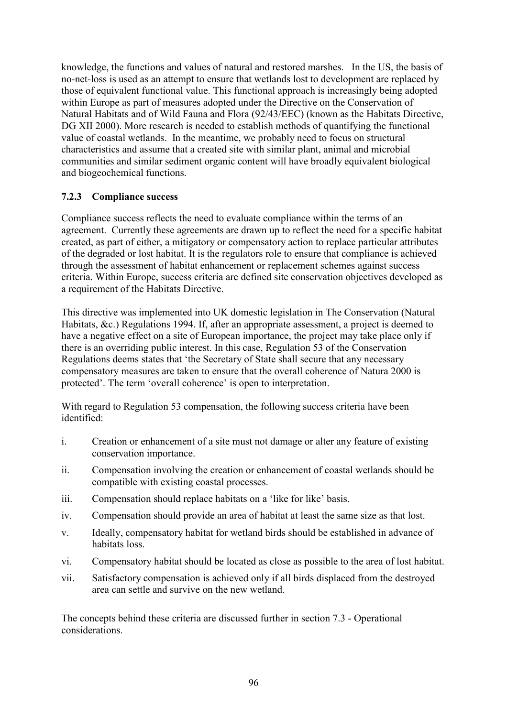knowledge, the functions and values of natural and restored marshes. In the US, the basis of no-net-loss is used as an attempt to ensure that wetlands lost to development are replaced by those of equivalent functional value. This functional approach is increasingly being adopted within Europe as part of measures adopted under the Directive on the Conservation of Natural Habitats and of Wild Fauna and Flora (92/43/EEC) (known as the Habitats Directive, DG XII 2000). More research is needed to establish methods of quantifying the functional value of coastal wetlands. In the meantime, we probably need to focus on structural characteristics and assume that a created site with similar plant, animal and microbial communities and similar sediment organic content will have broadly equivalent biological and biogeochemical functions.

#### **7.2.3 Compliance success**

Compliance success reflects the need to evaluate compliance within the terms of an agreement. Currently these agreements are drawn up to reflect the need for a specific habitat created, as part of either, a mitigatory or compensatory action to replace particular attributes of the degraded or lost habitat. It is the regulators role to ensure that compliance is achieved through the assessment of habitat enhancement or replacement schemes against success criteria. Within Europe, success criteria are defined site conservation objectives developed as a requirement of the Habitats Directive.

This directive was implemented into UK domestic legislation in The Conservation (Natural Habitats, &c.) Regulations 1994. If, after an appropriate assessment, a project is deemed to have a negative effect on a site of European importance, the project may take place only if there is an overriding public interest. In this case, Regulation 53 of the Conservation Regulations deems states that 'the Secretary of State shall secure that any necessary compensatory measures are taken to ensure that the overall coherence of Natura 2000 is protected'. The term 'overall coherence' is open to interpretation.

With regard to Regulation 53 compensation, the following success criteria have been identified:

- i. Creation or enhancement of a site must not damage or alter any feature of existing conservation importance.
- ii. Compensation involving the creation or enhancement of coastal wetlands should be compatible with existing coastal processes.
- iii. Compensation should replace habitats on a 'like for like' basis.
- iv. Compensation should provide an area of habitat at least the same size as that lost.
- v. Ideally, compensatory habitat for wetland birds should be established in advance of habitats loss.
- vi. Compensatory habitat should be located as close as possible to the area of lost habitat.
- vii. Satisfactory compensation is achieved only if all birds displaced from the destroyed area can settle and survive on the new wetland.

The concepts behind these criteria are discussed further in section 7.3 - Operational considerations.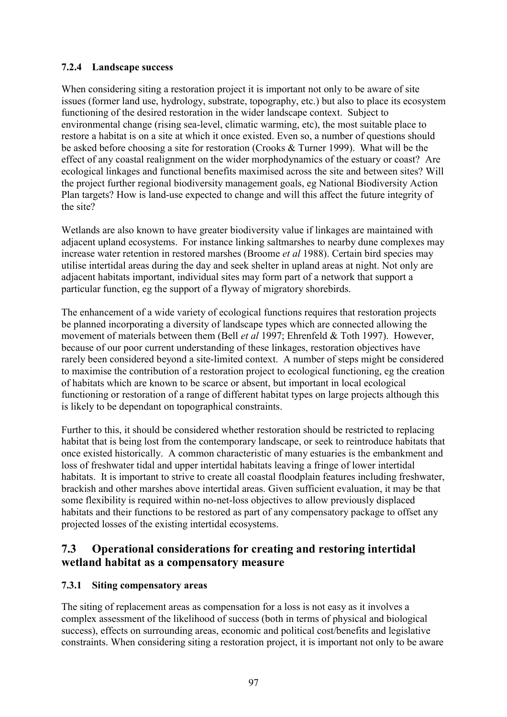## **7.2.4 Landscape success**

When considering siting a restoration project it is important not only to be aware of site issues (former land use, hydrology, substrate, topography, etc.) but also to place its ecosystem functioning of the desired restoration in the wider landscape context. Subject to environmental change (rising sea-level, climatic warming, etc), the most suitable place to restore a habitat is on a site at which it once existed. Even so, a number of questions should be asked before choosing a site for restoration (Crooks & Turner 1999). What will be the effect of any coastal realignment on the wider morphodynamics of the estuary or coast? Are ecological linkages and functional benefits maximised across the site and between sites? Will the project further regional biodiversity management goals, eg National Biodiversity Action Plan targets? How is land-use expected to change and will this affect the future integrity of the site?

Wetlands are also known to have greater biodiversity value if linkages are maintained with adjacent upland ecosystems. For instance linking saltmarshes to nearby dune complexes may increase water retention in restored marshes (Broome *et al* 1988). Certain bird species may utilise intertidal areas during the day and seek shelter in upland areas at night. Not only are adjacent habitats important, individual sites may form part of a network that support a particular function, eg the support of a flyway of migratory shorebirds.

The enhancement of a wide variety of ecological functions requires that restoration projects be planned incorporating a diversity of landscape types which are connected allowing the movement of materials between them (Bell *et al* 1997; Ehrenfeld & Toth 1997). However, because of our poor current understanding of these linkages, restoration objectives have rarely been considered beyond a site-limited context. A number of steps might be considered to maximise the contribution of a restoration project to ecological functioning, eg the creation of habitats which are known to be scarce or absent, but important in local ecological functioning or restoration of a range of different habitat types on large projects although this is likely to be dependant on topographical constraints.

Further to this, it should be considered whether restoration should be restricted to replacing habitat that is being lost from the contemporary landscape, or seek to reintroduce habitats that once existed historically. A common characteristic of many estuaries is the embankment and loss of freshwater tidal and upper intertidal habitats leaving a fringe of lower intertidal habitats. It is important to strive to create all coastal floodplain features including freshwater, brackish and other marshes above intertidal areas. Given sufficient evaluation, it may be that some flexibility is required within no-net-loss objectives to allow previously displaced habitats and their functions to be restored as part of any compensatory package to offset any projected losses of the existing intertidal ecosystems.

# **7.3 Operational considerations for creating and restoring intertidal wetland habitat as a compensatory measure**

## **7.3.1 Siting compensatory areas**

The siting of replacement areas as compensation for a loss is not easy as it involves a complex assessment of the likelihood of success (both in terms of physical and biological success), effects on surrounding areas, economic and political cost/benefits and legislative constraints. When considering siting a restoration project, it is important not only to be aware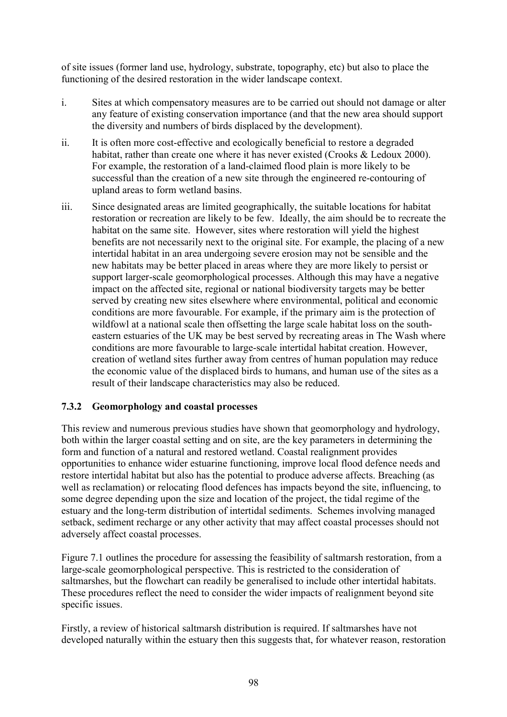of site issues (former land use, hydrology, substrate, topography, etc) but also to place the functioning of the desired restoration in the wider landscape context.

- i. Sites at which compensatory measures are to be carried out should not damage or alter any feature of existing conservation importance (and that the new area should support the diversity and numbers of birds displaced by the development).
- ii. It is often more cost-effective and ecologically beneficial to restore a degraded habitat, rather than create one where it has never existed (Crooks & Ledoux 2000). For example, the restoration of a land-claimed flood plain is more likely to be successful than the creation of a new site through the engineered re-contouring of upland areas to form wetland basins.
- iii. Since designated areas are limited geographically, the suitable locations for habitat restoration or recreation are likely to be few. Ideally, the aim should be to recreate the habitat on the same site. However, sites where restoration will yield the highest benefits are not necessarily next to the original site. For example, the placing of a new intertidal habitat in an area undergoing severe erosion may not be sensible and the new habitats may be better placed in areas where they are more likely to persist or support larger-scale geomorphological processes. Although this may have a negative impact on the affected site, regional or national biodiversity targets may be better served by creating new sites elsewhere where environmental, political and economic conditions are more favourable. For example, if the primary aim is the protection of wildfowl at a national scale then offsetting the large scale habitat loss on the southeastern estuaries of the UK may be best served by recreating areas in The Wash where conditions are more favourable to large-scale intertidal habitat creation. However, creation of wetland sites further away from centres of human population may reduce the economic value of the displaced birds to humans, and human use of the sites as a result of their landscape characteristics may also be reduced.

## **7.3.2 Geomorphology and coastal processes**

This review and numerous previous studies have shown that geomorphology and hydrology, both within the larger coastal setting and on site, are the key parameters in determining the form and function of a natural and restored wetland. Coastal realignment provides opportunities to enhance wider estuarine functioning, improve local flood defence needs and restore intertidal habitat but also has the potential to produce adverse affects. Breaching (as well as reclamation) or relocating flood defences has impacts beyond the site, influencing, to some degree depending upon the size and location of the project, the tidal regime of the estuary and the long-term distribution of intertidal sediments. Schemes involving managed setback, sediment recharge or any other activity that may affect coastal processes should not adversely affect coastal processes.

Figure 7.1 outlines the procedure for assessing the feasibility of saltmarsh restoration, from a large-scale geomorphological perspective. This is restricted to the consideration of saltmarshes, but the flowchart can readily be generalised to include other intertidal habitats. These procedures reflect the need to consider the wider impacts of realignment beyond site specific issues.

Firstly, a review of historical saltmarsh distribution is required. If saltmarshes have not developed naturally within the estuary then this suggests that, for whatever reason, restoration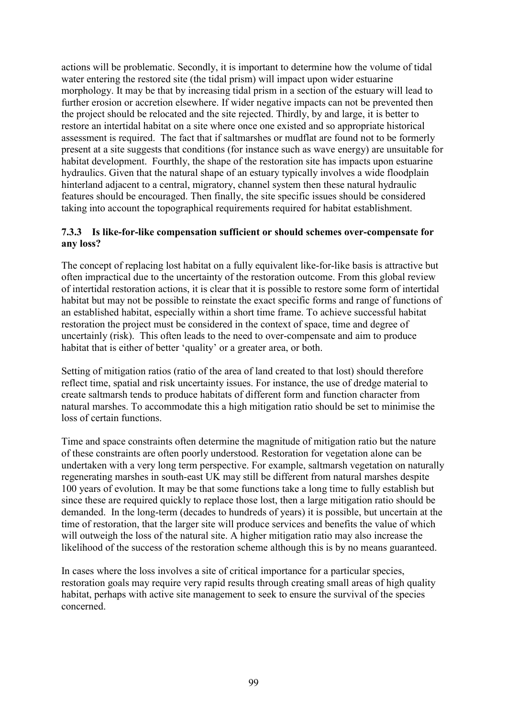actions will be problematic. Secondly, it is important to determine how the volume of tidal water entering the restored site (the tidal prism) will impact upon wider estuarine morphology. It may be that by increasing tidal prism in a section of the estuary will lead to further erosion or accretion elsewhere. If wider negative impacts can not be prevented then the project should be relocated and the site rejected. Thirdly, by and large, it is better to restore an intertidal habitat on a site where once one existed and so appropriate historical assessment is required. The fact that if saltmarshes or mudflat are found not to be formerly present at a site suggests that conditions (for instance such as wave energy) are unsuitable for habitat development. Fourthly, the shape of the restoration site has impacts upon estuarine hydraulics. Given that the natural shape of an estuary typically involves a wide floodplain hinterland adjacent to a central, migratory, channel system then these natural hydraulic features should be encouraged. Then finally, the site specific issues should be considered taking into account the topographical requirements required for habitat establishment.

#### **7.3.3 Is like-for-like compensation sufficient or should schemes over-compensate for any loss?**

The concept of replacing lost habitat on a fully equivalent like-for-like basis is attractive but often impractical due to the uncertainty of the restoration outcome. From this global review of intertidal restoration actions, it is clear that it is possible to restore some form of intertidal habitat but may not be possible to reinstate the exact specific forms and range of functions of an established habitat, especially within a short time frame. To achieve successful habitat restoration the project must be considered in the context of space, time and degree of uncertainly (risk). This often leads to the need to over-compensate and aim to produce habitat that is either of better 'quality' or a greater area, or both.

Setting of mitigation ratios (ratio of the area of land created to that lost) should therefore reflect time, spatial and risk uncertainty issues. For instance, the use of dredge material to create saltmarsh tends to produce habitats of different form and function character from natural marshes. To accommodate this a high mitigation ratio should be set to minimise the loss of certain functions.

Time and space constraints often determine the magnitude of mitigation ratio but the nature of these constraints are often poorly understood. Restoration for vegetation alone can be undertaken with a very long term perspective. For example, saltmarsh vegetation on naturally regenerating marshes in south-east UK may still be different from natural marshes despite 100 years of evolution. It may be that some functions take a long time to fully establish but since these are required quickly to replace those lost, then a large mitigation ratio should be demanded. In the long-term (decades to hundreds of years) it is possible, but uncertain at the time of restoration, that the larger site will produce services and benefits the value of which will outweigh the loss of the natural site. A higher mitigation ratio may also increase the likelihood of the success of the restoration scheme although this is by no means guaranteed.

In cases where the loss involves a site of critical importance for a particular species, restoration goals may require very rapid results through creating small areas of high quality habitat, perhaps with active site management to seek to ensure the survival of the species concerned.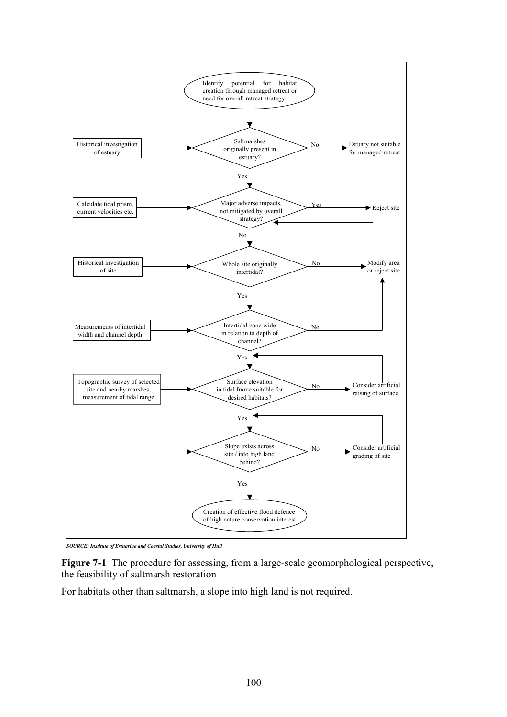

*SOURCE: Institute of Estuarine and Coastal Studies, University of Hull*

**Figure 7-1** The procedure for assessing, from a large-scale geomorphological perspective, the feasibility of saltmarsh restoration

For habitats other than saltmarsh, a slope into high land is not required.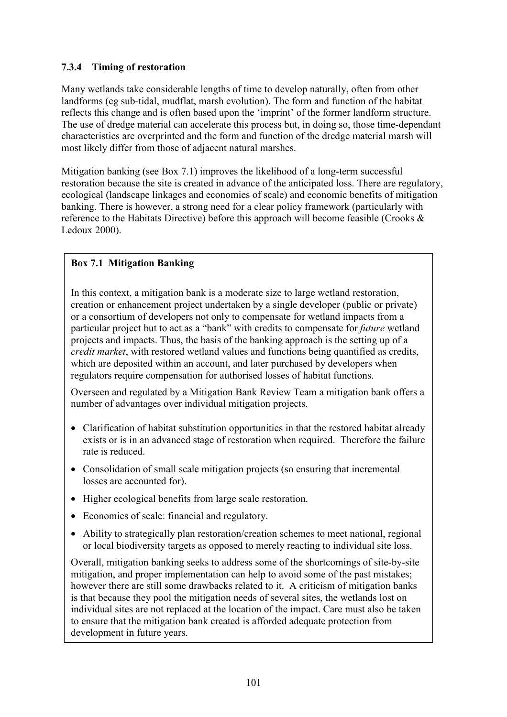## **7.3.4 Timing of restoration**

Many wetlands take considerable lengths of time to develop naturally, often from other landforms (eg sub-tidal, mudflat, marsh evolution). The form and function of the habitat reflects this change and is often based upon the 'imprint' of the former landform structure. The use of dredge material can accelerate this process but, in doing so, those time-dependant characteristics are overprinted and the form and function of the dredge material marsh will most likely differ from those of adjacent natural marshes.

Mitigation banking (see Box 7.1) improves the likelihood of a long-term successful restoration because the site is created in advance of the anticipated loss. There are regulatory, ecological (landscape linkages and economies of scale) and economic benefits of mitigation banking. There is however, a strong need for a clear policy framework (particularly with reference to the Habitats Directive) before this approach will become feasible (Crooks & Ledoux 2000).

#### **Box 7.1 Mitigation Banking**

In this context, a mitigation bank is a moderate size to large wetland restoration, creation or enhancement project undertaken by a single developer (public or private) or a consortium of developers not only to compensate for wetland impacts from a particular project but to act as a "bank" with credits to compensate for *future* wetland projects and impacts. Thus, the basis of the banking approach is the setting up of a *credit market*, with restored wetland values and functions being quantified as credits, which are deposited within an account, and later purchased by developers when regulators require compensation for authorised losses of habitat functions.

Overseen and regulated by a Mitigation Bank Review Team a mitigation bank offers a number of advantages over individual mitigation projects.

- Clarification of habitat substitution opportunities in that the restored habitat already exists or is in an advanced stage of restoration when required. Therefore the failure rate is reduced.
- Consolidation of small scale mitigation projects (so ensuring that incremental losses are accounted for).
- Higher ecological benefits from large scale restoration.
- Economies of scale: financial and regulatory.
- Ability to strategically plan restoration/creation schemes to meet national, regional or local biodiversity targets as opposed to merely reacting to individual site loss.

Overall, mitigation banking seeks to address some of the shortcomings of site-by-site mitigation, and proper implementation can help to avoid some of the past mistakes; however there are still some drawbacks related to it. A criticism of mitigation banks is that because they pool the mitigation needs of several sites, the wetlands lost on individual sites are not replaced at the location of the impact. Care must also be taken to ensure that the mitigation bank created is afforded adequate protection from development in future years.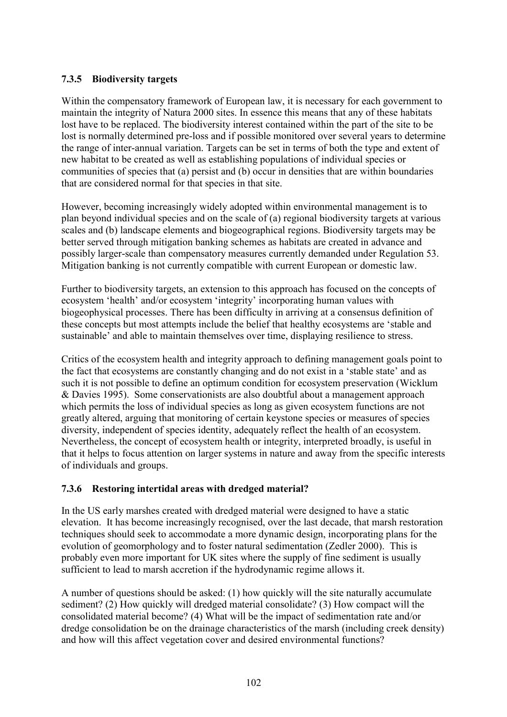#### **7.3.5 Biodiversity targets**

Within the compensatory framework of European law, it is necessary for each government to maintain the integrity of Natura 2000 sites. In essence this means that any of these habitats lost have to be replaced. The biodiversity interest contained within the part of the site to be lost is normally determined pre-loss and if possible monitored over several years to determine the range of inter-annual variation. Targets can be set in terms of both the type and extent of new habitat to be created as well as establishing populations of individual species or communities of species that (a) persist and (b) occur in densities that are within boundaries that are considered normal for that species in that site.

However, becoming increasingly widely adopted within environmental management is to plan beyond individual species and on the scale of (a) regional biodiversity targets at various scales and (b) landscape elements and biogeographical regions. Biodiversity targets may be better served through mitigation banking schemes as habitats are created in advance and possibly larger-scale than compensatory measures currently demanded under Regulation 53. Mitigation banking is not currently compatible with current European or domestic law.

Further to biodiversity targets, an extension to this approach has focused on the concepts of ecosystem 'health' and/or ecosystem 'integrity' incorporating human values with biogeophysical processes. There has been difficulty in arriving at a consensus definition of these concepts but most attempts include the belief that healthy ecosystems are 'stable and sustainable' and able to maintain themselves over time, displaying resilience to stress.

Critics of the ecosystem health and integrity approach to defining management goals point to the fact that ecosystems are constantly changing and do not exist in a 'stable state' and as such it is not possible to define an optimum condition for ecosystem preservation (Wicklum & Davies 1995). Some conservationists are also doubtful about a management approach which permits the loss of individual species as long as given ecosystem functions are not greatly altered, arguing that monitoring of certain keystone species or measures of species diversity, independent of species identity, adequately reflect the health of an ecosystem. Nevertheless, the concept of ecosystem health or integrity, interpreted broadly, is useful in that it helps to focus attention on larger systems in nature and away from the specific interests of individuals and groups.

#### **7.3.6 Restoring intertidal areas with dredged material?**

In the US early marshes created with dredged material were designed to have a static elevation. It has become increasingly recognised, over the last decade, that marsh restoration techniques should seek to accommodate a more dynamic design, incorporating plans for the evolution of geomorphology and to foster natural sedimentation (Zedler 2000). This is probably even more important for UK sites where the supply of fine sediment is usually sufficient to lead to marsh accretion if the hydrodynamic regime allows it.

A number of questions should be asked: (1) how quickly will the site naturally accumulate sediment? (2) How quickly will dredged material consolidate? (3) How compact will the consolidated material become? (4) What will be the impact of sedimentation rate and/or dredge consolidation be on the drainage characteristics of the marsh (including creek density) and how will this affect vegetation cover and desired environmental functions?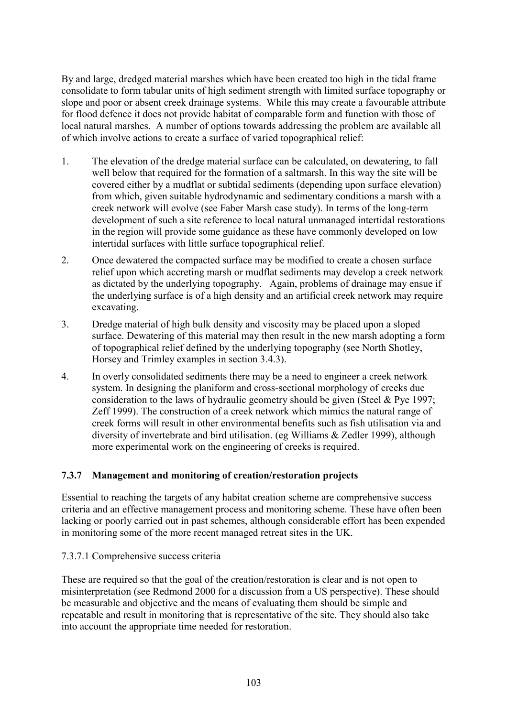By and large, dredged material marshes which have been created too high in the tidal frame consolidate to form tabular units of high sediment strength with limited surface topography or slope and poor or absent creek drainage systems. While this may create a favourable attribute for flood defence it does not provide habitat of comparable form and function with those of local natural marshes. A number of options towards addressing the problem are available all of which involve actions to create a surface of varied topographical relief:

- 1. The elevation of the dredge material surface can be calculated, on dewatering, to fall well below that required for the formation of a saltmarsh. In this way the site will be covered either by a mudflat or subtidal sediments (depending upon surface elevation) from which, given suitable hydrodynamic and sedimentary conditions a marsh with a creek network will evolve (see Faber Marsh case study). In terms of the long-term development of such a site reference to local natural unmanaged intertidal restorations in the region will provide some guidance as these have commonly developed on low intertidal surfaces with little surface topographical relief.
- 2. Once dewatered the compacted surface may be modified to create a chosen surface relief upon which accreting marsh or mudflat sediments may develop a creek network as dictated by the underlying topography. Again, problems of drainage may ensue if the underlying surface is of a high density and an artificial creek network may require excavating.
- 3. Dredge material of high bulk density and viscosity may be placed upon a sloped surface. Dewatering of this material may then result in the new marsh adopting a form of topographical relief defined by the underlying topography (see North Shotley, Horsey and Trimley examples in section 3.4.3).
- 4. In overly consolidated sediments there may be a need to engineer a creek network system. In designing the planiform and cross-sectional morphology of creeks due consideration to the laws of hydraulic geometry should be given (Steel & Pye 1997; Zeff 1999). The construction of a creek network which mimics the natural range of creek forms will result in other environmental benefits such as fish utilisation via and diversity of invertebrate and bird utilisation. (eg Williams & Zedler 1999), although more experimental work on the engineering of creeks is required.

## **7.3.7 Management and monitoring of creation/restoration projects**

Essential to reaching the targets of any habitat creation scheme are comprehensive success criteria and an effective management process and monitoring scheme. These have often been lacking or poorly carried out in past schemes, although considerable effort has been expended in monitoring some of the more recent managed retreat sites in the UK.

#### 7.3.7.1 Comprehensive success criteria

These are required so that the goal of the creation/restoration is clear and is not open to misinterpretation (see Redmond 2000 for a discussion from a US perspective). These should be measurable and objective and the means of evaluating them should be simple and repeatable and result in monitoring that is representative of the site. They should also take into account the appropriate time needed for restoration.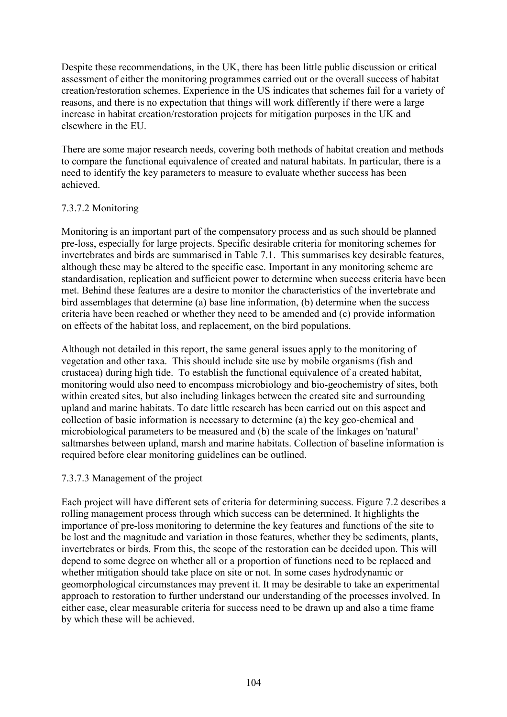Despite these recommendations, in the UK, there has been little public discussion or critical assessment of either the monitoring programmes carried out or the overall success of habitat creation/restoration schemes. Experience in the US indicates that schemes fail for a variety of reasons, and there is no expectation that things will work differently if there were a large increase in habitat creation/restoration projects for mitigation purposes in the UK and elsewhere in the EU.

There are some major research needs, covering both methods of habitat creation and methods to compare the functional equivalence of created and natural habitats. In particular, there is a need to identify the key parameters to measure to evaluate whether success has been achieved.

#### 7.3.7.2 Monitoring

Monitoring is an important part of the compensatory process and as such should be planned pre-loss, especially for large projects. Specific desirable criteria for monitoring schemes for invertebrates and birds are summarised in Table 7.1. This summarises key desirable features, although these may be altered to the specific case. Important in any monitoring scheme are standardisation, replication and sufficient power to determine when success criteria have been met. Behind these features are a desire to monitor the characteristics of the invertebrate and bird assemblages that determine (a) base line information, (b) determine when the success criteria have been reached or whether they need to be amended and (c) provide information on effects of the habitat loss, and replacement, on the bird populations.

Although not detailed in this report, the same general issues apply to the monitoring of vegetation and other taxa. This should include site use by mobile organisms (fish and crustacea) during high tide. To establish the functional equivalence of a created habitat, monitoring would also need to encompass microbiology and bio-geochemistry of sites, both within created sites, but also including linkages between the created site and surrounding upland and marine habitats. To date little research has been carried out on this aspect and collection of basic information is necessary to determine (a) the key geo-chemical and microbiological parameters to be measured and (b) the scale of the linkages on 'natural' saltmarshes between upland, marsh and marine habitats. Collection of baseline information is required before clear monitoring guidelines can be outlined.

#### 7.3.7.3 Management of the project

Each project will have different sets of criteria for determining success. Figure 7.2 describes a rolling management process through which success can be determined. It highlights the importance of pre-loss monitoring to determine the key features and functions of the site to be lost and the magnitude and variation in those features, whether they be sediments, plants, invertebrates or birds. From this, the scope of the restoration can be decided upon. This will depend to some degree on whether all or a proportion of functions need to be replaced and whether mitigation should take place on site or not. In some cases hydrodynamic or geomorphological circumstances may prevent it. It may be desirable to take an experimental approach to restoration to further understand our understanding of the processes involved. In either case, clear measurable criteria for success need to be drawn up and also a time frame by which these will be achieved.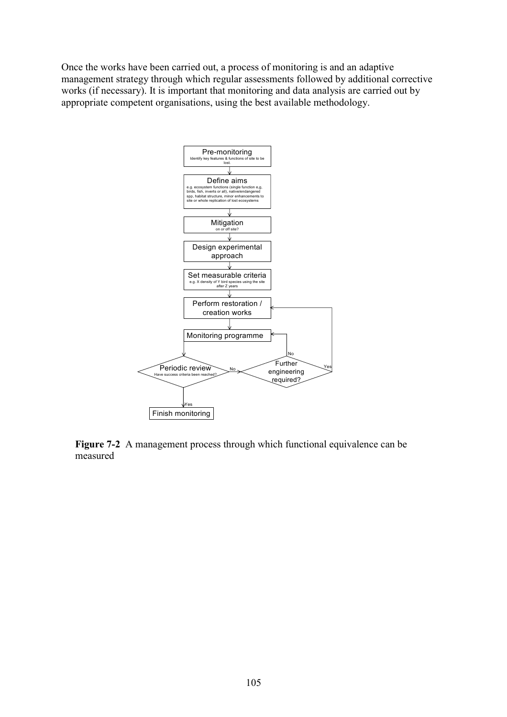Once the works have been carried out, a process of monitoring is and an adaptive management strategy through which regular assessments followed by additional corrective works (if necessary). It is important that monitoring and data analysis are carried out by appropriate competent organisations, using the best available methodology.



**Figure 7-2** A management process through which functional equivalence can be measured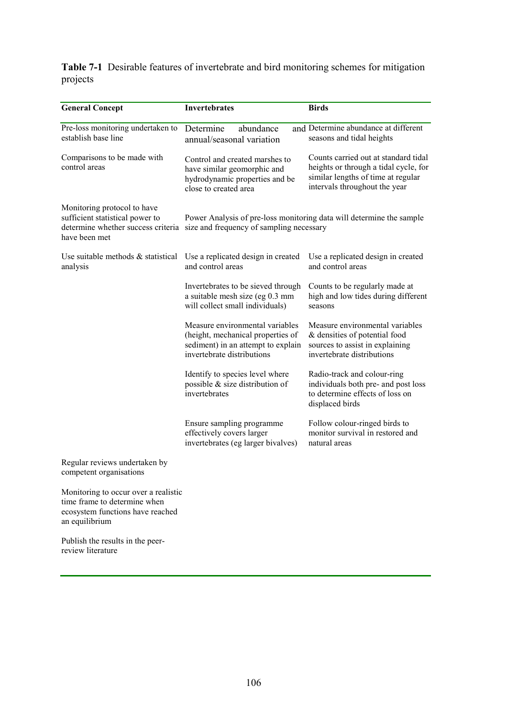**Table 7-1** Desirable features of invertebrate and bird monitoring schemes for mitigation projects

| <b>General Concept</b>                                                                                                     | <b>Invertebrates</b>                                                                                                                     | <b>Birds</b>                                                                                                                                         |
|----------------------------------------------------------------------------------------------------------------------------|------------------------------------------------------------------------------------------------------------------------------------------|------------------------------------------------------------------------------------------------------------------------------------------------------|
| Pre-loss monitoring undertaken to<br>establish base line                                                                   | Determine<br>abundance<br>annual/seasonal variation                                                                                      | and Determine abundance at different<br>seasons and tidal heights                                                                                    |
| Comparisons to be made with<br>control areas                                                                               | Control and created marshes to<br>have similar geomorphic and<br>hydrodynamic properties and be<br>close to created area                 | Counts carried out at standard tidal<br>heights or through a tidal cycle, for<br>similar lengths of time at regular<br>intervals throughout the year |
| Monitoring protocol to have<br>sufficient statistical power to<br>determine whether success criteria<br>have been met      | Power Analysis of pre-loss monitoring data will determine the sample<br>size and frequency of sampling necessary                         |                                                                                                                                                      |
| Use suitable methods & statistical<br>analysis                                                                             | Use a replicated design in created<br>and control areas                                                                                  | Use a replicated design in created<br>and control areas                                                                                              |
|                                                                                                                            | Invertebrates to be sieved through<br>a suitable mesh size (eg 0.3 mm<br>will collect small individuals)                                 | Counts to be regularly made at<br>high and low tides during different<br>seasons                                                                     |
|                                                                                                                            | Measure environmental variables<br>(height, mechanical properties of<br>sediment) in an attempt to explain<br>invertebrate distributions | Measure environmental variables<br>& densities of potential food<br>sources to assist in explaining<br>invertebrate distributions                    |
|                                                                                                                            | Identify to species level where<br>possible & size distribution of<br>invertebrates                                                      | Radio-track and colour-ring<br>individuals both pre- and post loss<br>to determine effects of loss on<br>displaced birds                             |
|                                                                                                                            | Ensure sampling programme<br>effectively covers larger<br>invertebrates (eg larger bivalves)                                             | Follow colour-ringed birds to<br>monitor survival in restored and<br>natural areas                                                                   |
| Regular reviews undertaken by<br>competent organisations                                                                   |                                                                                                                                          |                                                                                                                                                      |
| Monitoring to occur over a realistic<br>time frame to determine when<br>ecosystem functions have reached<br>an equilibrium |                                                                                                                                          |                                                                                                                                                      |

Publish the results in the peerreview literature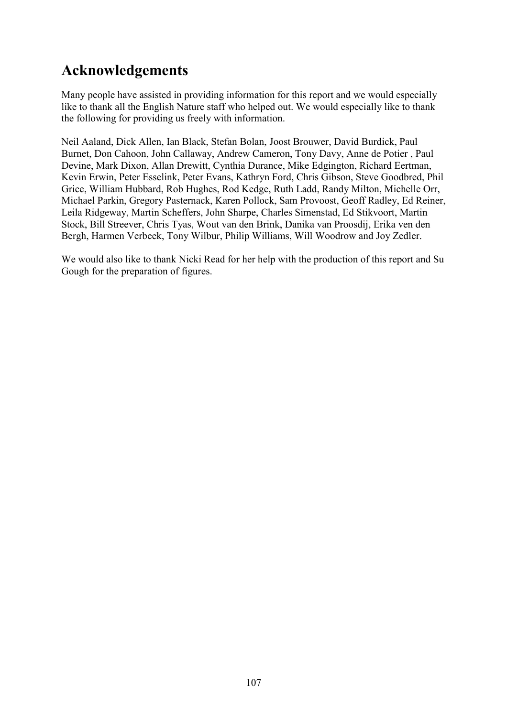# **Acknowledgements**

Many people have assisted in providing information for this report and we would especially like to thank all the English Nature staff who helped out. We would especially like to thank the following for providing us freely with information.

Neil Aaland, Dick Allen, Ian Black, Stefan Bolan, Joost Brouwer, David Burdick, Paul Burnet, Don Cahoon, John Callaway, Andrew Cameron, Tony Davy, Anne de Potier , Paul Devine, Mark Dixon, Allan Drewitt, Cynthia Durance, Mike Edgington, Richard Eertman, Kevin Erwin, Peter Esselink, Peter Evans, Kathryn Ford, Chris Gibson, Steve Goodbred, Phil Grice, William Hubbard, Rob Hughes, Rod Kedge, Ruth Ladd, Randy Milton, Michelle Orr, Michael Parkin, Gregory Pasternack, Karen Pollock, Sam Provoost, Geoff Radley, Ed Reiner, Leila Ridgeway, Martin Scheffers, John Sharpe, Charles Simenstad, Ed Stikvoort, Martin Stock, Bill Streever, Chris Tyas, Wout van den Brink, Danika van Proosdij, Erika ven den Bergh, Harmen Verbeek, Tony Wilbur, Philip Williams, Will Woodrow and Joy Zedler.

We would also like to thank Nicki Read for her help with the production of this report and Su Gough for the preparation of figures.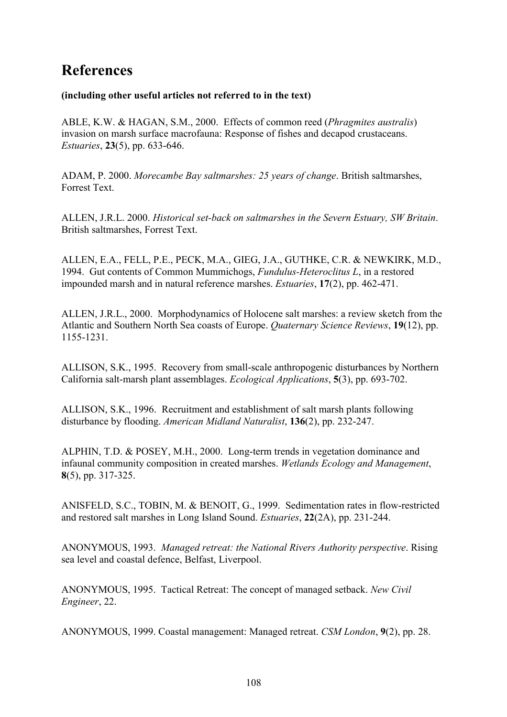# **References**

#### **(including other useful articles not referred to in the text)**

ABLE, K.W. & HAGAN, S.M., 2000. Effects of common reed (*Phragmites australis*) invasion on marsh surface macrofauna: Response of fishes and decapod crustaceans. *Estuaries*, **23**(5), pp. 633-646.

ADAM, P. 2000. *Morecambe Bay saltmarshes: 25 years of change*. British saltmarshes, Forrest Text.

ALLEN, J.R.L. 2000. *Historical set-back on saltmarshes in the Severn Estuary, SW Britain*. British saltmarshes, Forrest Text.

ALLEN, E.A., FELL, P.E., PECK, M.A., GIEG, J.A., GUTHKE, C.R. & NEWKIRK, M.D., 1994. Gut contents of Common Mummichogs, *Fundulus-Heteroclitus L*, in a restored impounded marsh and in natural reference marshes. *Estuaries*, **17**(2), pp. 462-471.

ALLEN, J.R.L., 2000. Morphodynamics of Holocene salt marshes: a review sketch from the Atlantic and Southern North Sea coasts of Europe. *Quaternary Science Reviews*, **19**(12), pp. 1155-1231.

ALLISON, S.K., 1995. Recovery from small-scale anthropogenic disturbances by Northern California salt-marsh plant assemblages. *Ecological Applications*, **5**(3), pp. 693-702.

ALLISON, S.K., 1996. Recruitment and establishment of salt marsh plants following disturbance by flooding. *American Midland Naturalist*, **136**(2), pp. 232-247.

ALPHIN, T.D. & POSEY, M.H., 2000. Long-term trends in vegetation dominance and infaunal community composition in created marshes. *Wetlands Ecology and Management*, **8**(5), pp. 317-325.

ANISFELD, S.C., TOBIN, M. & BENOIT, G., 1999. Sedimentation rates in flow-restricted and restored salt marshes in Long Island Sound. *Estuaries*, **22**(2A), pp. 231-244.

ANONYMOUS, 1993. *Managed retreat: the National Rivers Authority perspective*. Rising sea level and coastal defence, Belfast, Liverpool.

ANONYMOUS, 1995. Tactical Retreat: The concept of managed setback. *New Civil Engineer*, 22.

ANONYMOUS, 1999. Coastal management: Managed retreat. *CSM London*, **9**(2), pp. 28.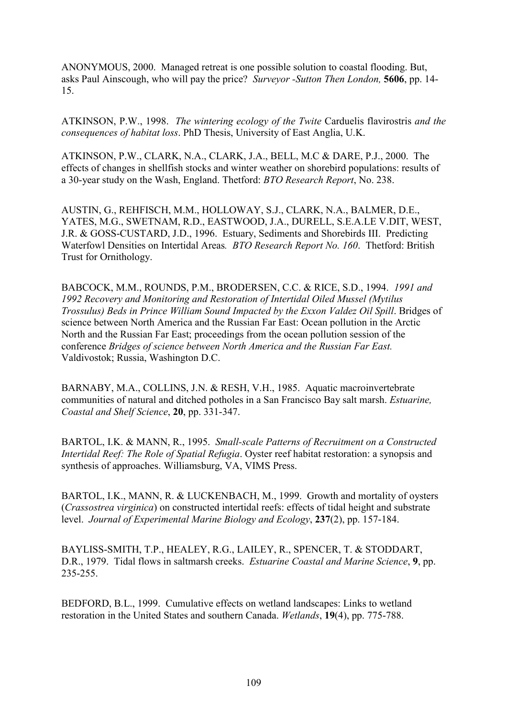ANONYMOUS, 2000. Managed retreat is one possible solution to coastal flooding. But, asks Paul Ainscough, who will pay the price? *Surveyor -Sutton Then London,* **5606**, pp. 14- 15.

ATKINSON, P.W., 1998. *The wintering ecology of the Twite* Carduelis flavirostris *and the consequences of habitat loss*. PhD Thesis, University of East Anglia, U.K.

ATKINSON, P.W., CLARK, N.A., CLARK, J.A., BELL, M.C & DARE, P.J., 2000. The effects of changes in shellfish stocks and winter weather on shorebird populations: results of a 30-year study on the Wash, England. Thetford: *BTO Research Report*, No. 238.

AUSTIN, G., REHFISCH, M.M., HOLLOWAY, S.J., CLARK, N.A., BALMER, D.E., YATES, M.G., SWETNAM, R.D., EASTWOOD, J.A., DURELL, S.E.A.LE V.DIT, WEST, J.R. & GOSS-CUSTARD, J.D., 1996. Estuary, Sediments and Shorebirds III. Predicting Waterfowl Densities on Intertidal Areas*. BTO Research Report No. 160*. Thetford: British Trust for Ornithology.

BABCOCK, M.M., ROUNDS, P.M., BRODERSEN, C.C. & RICE, S.D., 1994. *1991 and 1992 Recovery and Monitoring and Restoration of Intertidal Oiled Mussel (Mytilus Trossulus) Beds in Prince William Sound Impacted by the Exxon Valdez Oil Spill*. Bridges of science between North America and the Russian Far East: Ocean pollution in the Arctic North and the Russian Far East; proceedings from the ocean pollution session of the conference *Bridges of science between North America and the Russian Far East.*  Valdivostok; Russia, Washington D.C.

BARNABY, M.A., COLLINS, J.N. & RESH, V.H., 1985. Aquatic macroinvertebrate communities of natural and ditched potholes in a San Francisco Bay salt marsh. *Estuarine, Coastal and Shelf Science*, **20**, pp. 331-347.

BARTOL, I.K. & MANN, R., 1995. *Small-scale Patterns of Recruitment on a Constructed Intertidal Reef: The Role of Spatial Refugia*. Oyster reef habitat restoration: a synopsis and synthesis of approaches. Williamsburg, VA, VIMS Press.

BARTOL, I.K., MANN, R. & LUCKENBACH, M., 1999. Growth and mortality of oysters (*Crassostrea virginica*) on constructed intertidal reefs: effects of tidal height and substrate level. *Journal of Experimental Marine Biology and Ecology*, **237**(2), pp. 157-184.

BAYLISS-SMITH, T.P., HEALEY, R.G., LAILEY, R., SPENCER, T. & STODDART, D.R., 1979. Tidal flows in saltmarsh creeks. *Estuarine Coastal and Marine Science*, **9**, pp. 235-255.

BEDFORD, B.L., 1999. Cumulative effects on wetland landscapes: Links to wetland restoration in the United States and southern Canada. *Wetlands*, **19**(4), pp. 775-788.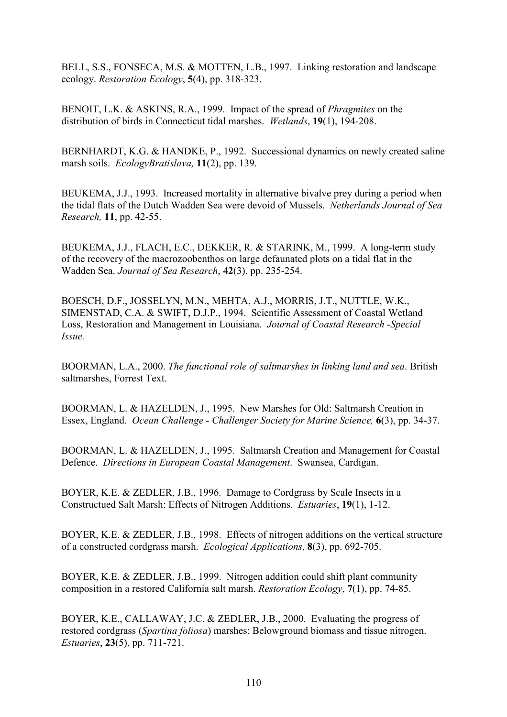BELL, S.S., FONSECA, M.S. & MOTTEN, L.B., 1997. Linking restoration and landscape ecology. *Restoration Ecology*, **5**(4), pp. 318-323.

BENOIT, L.K. & ASKINS, R.A., 1999. Impact of the spread of *Phragmites* on the distribution of birds in Connecticut tidal marshes. *Wetlands*, **19**(1), 194-208.

BERNHARDT, K.G. & HANDKE, P., 1992. Successional dynamics on newly created saline marsh soils. *EcologyBratislava,* **11**(2), pp. 139.

BEUKEMA, J.J., 1993. Increased mortality in alternative bivalve prey during a period when the tidal flats of the Dutch Wadden Sea were devoid of Mussels. *Netherlands Journal of Sea Research,* **11**, pp. 42-55.

BEUKEMA, J.J., FLACH, E.C., DEKKER, R. & STARINK, M., 1999. A long-term study of the recovery of the macrozoobenthos on large defaunated plots on a tidal flat in the Wadden Sea. *Journal of Sea Research*, **42**(3), pp. 235-254.

BOESCH, D.F., JOSSELYN, M.N., MEHTA, A.J., MORRIS, J.T., NUTTLE, W.K., SIMENSTAD, C.A. & SWIFT, D.J.P., 1994. Scientific Assessment of Coastal Wetland Loss, Restoration and Management in Louisiana. *Journal of Coastal Research -Special Issue.*

BOORMAN, L.A., 2000. *The functional role of saltmarshes in linking land and sea*. British saltmarshes, Forrest Text.

BOORMAN, L. & HAZELDEN, J., 1995. New Marshes for Old: Saltmarsh Creation in Essex, England. *Ocean Challenge - Challenger Society for Marine Science,* **6**(3), pp. 34-37.

BOORMAN, L. & HAZELDEN, J., 1995. Saltmarsh Creation and Management for Coastal Defence. *Directions in European Coastal Management*. Swansea, Cardigan.

BOYER, K.E. & ZEDLER, J.B., 1996. Damage to Cordgrass by Scale Insects in a Constructued Salt Marsh: Effects of Nitrogen Additions. *Estuaries*, **19**(1), 1-12.

BOYER, K.E. & ZEDLER, J.B., 1998. Effects of nitrogen additions on the vertical structure of a constructed cordgrass marsh. *Ecological Applications*, **8**(3), pp. 692-705.

BOYER, K.E. & ZEDLER, J.B., 1999. Nitrogen addition could shift plant community composition in a restored California salt marsh. *Restoration Ecology*, **7**(1), pp. 74-85.

BOYER, K.E., CALLAWAY, J.C. & ZEDLER, J.B., 2000. Evaluating the progress of restored cordgrass (*Spartina foliosa*) marshes: Belowground biomass and tissue nitrogen. *Estuaries*, **23**(5), pp. 711-721.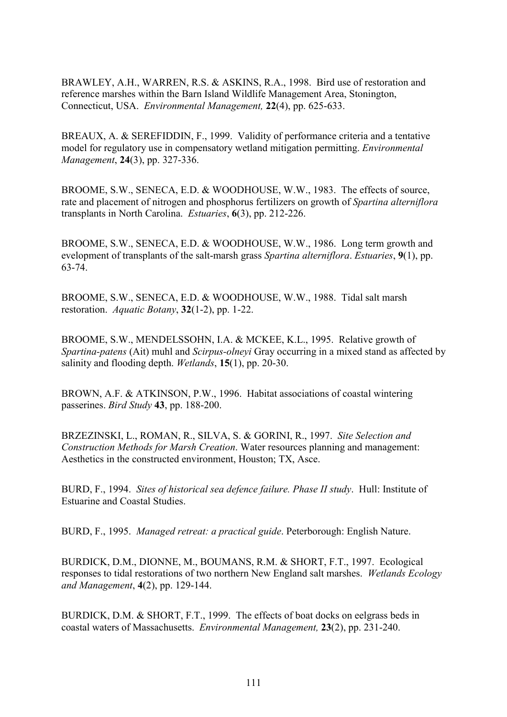BRAWLEY, A.H., WARREN, R.S. & ASKINS, R.A., 1998. Bird use of restoration and reference marshes within the Barn Island Wildlife Management Area, Stonington, Connecticut, USA. *Environmental Management,* **22**(4), pp. 625-633.

BREAUX, A. & SEREFIDDIN, F., 1999. Validity of performance criteria and a tentative model for regulatory use in compensatory wetland mitigation permitting. *Environmental Management*, **24**(3), pp. 327-336.

BROOME, S.W., SENECA, E.D. & WOODHOUSE, W.W., 1983. The effects of source, rate and placement of nitrogen and phosphorus fertilizers on growth of *Spartina alterniflora* transplants in North Carolina. *Estuaries*, **6**(3), pp. 212-226.

BROOME, S.W., SENECA, E.D. & WOODHOUSE, W.W., 1986. Long term growth and evelopment of transplants of the salt-marsh grass *Spartina alterniflora*. *Estuaries*, **9**(1), pp. 63-74.

BROOME, S.W., SENECA, E.D. & WOODHOUSE, W.W., 1988. Tidal salt marsh restoration. *Aquatic Botany*, **32**(1-2), pp. 1-22.

BROOME, S.W., MENDELSSOHN, I.A. & MCKEE, K.L., 1995. Relative growth of *Spartina-patens* (Ait) muhl and *Scirpus-olneyi* Gray occurring in a mixed stand as affected by salinity and flooding depth. *Wetlands*, **15**(1), pp. 20-30.

BROWN, A.F. & ATKINSON, P.W., 1996. Habitat associations of coastal wintering passerines. *Bird Study* **43**, pp. 188-200.

BRZEZINSKI, L., ROMAN, R., SILVA, S. & GORINI, R., 1997. *Site Selection and Construction Methods for Marsh Creation*. Water resources planning and management: Aesthetics in the constructed environment, Houston; TX, Asce.

BURD, F., 1994. *Sites of historical sea defence failure. Phase II study*. Hull: Institute of Estuarine and Coastal Studies.

BURD, F., 1995. *Managed retreat: a practical guide*. Peterborough: English Nature.

BURDICK, D.M., DIONNE, M., BOUMANS, R.M. & SHORT, F.T., 1997. Ecological responses to tidal restorations of two northern New England salt marshes. *Wetlands Ecology and Management*, **4**(2), pp. 129-144.

BURDICK, D.M. & SHORT, F.T., 1999. The effects of boat docks on eelgrass beds in coastal waters of Massachusetts. *Environmental Management,* **23**(2), pp. 231-240.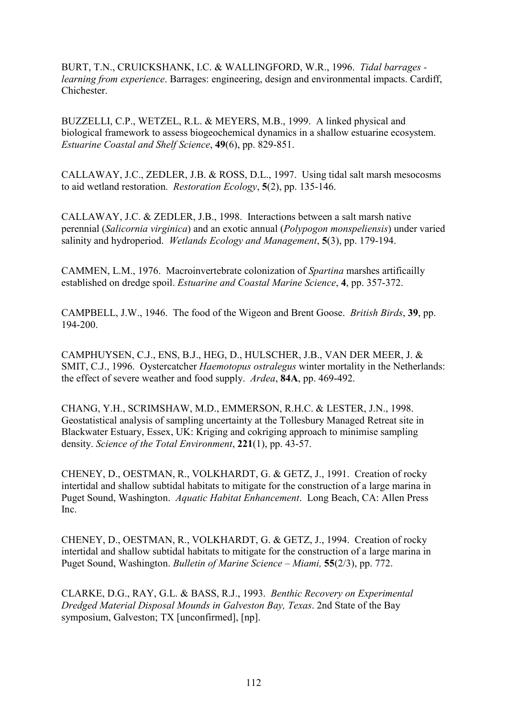BURT, T.N., CRUICKSHANK, I.C. & WALLINGFORD, W.R., 1996. *Tidal barrages learning from experience*. Barrages: engineering, design and environmental impacts. Cardiff, **Chichester** 

BUZZELLI, C.P., WETZEL, R.L. & MEYERS, M.B., 1999. A linked physical and biological framework to assess biogeochemical dynamics in a shallow estuarine ecosystem. *Estuarine Coastal and Shelf Science*, **49**(6), pp. 829-851.

CALLAWAY, J.C., ZEDLER, J.B. & ROSS, D.L., 1997. Using tidal salt marsh mesocosms to aid wetland restoration. *Restoration Ecology*, **5**(2), pp. 135-146.

CALLAWAY, J.C. & ZEDLER, J.B., 1998. Interactions between a salt marsh native perennial (*Salicornia virginica*) and an exotic annual (*Polypogon monspeliensis*) under varied salinity and hydroperiod. *Wetlands Ecology and Management*, **5**(3), pp. 179-194.

CAMMEN, L.M., 1976. Macroinvertebrate colonization of *Spartina* marshes artificailly established on dredge spoil. *Estuarine and Coastal Marine Science*, **4**, pp. 357-372.

CAMPBELL, J.W., 1946. The food of the Wigeon and Brent Goose. *British Birds*, **39**, pp. 194-200.

CAMPHUYSEN, C.J., ENS, B.J., HEG, D., HULSCHER, J.B., VAN DER MEER, J. & SMIT, C.J., 1996. Oystercatcher *Haemotopus ostralegus* winter mortality in the Netherlands: the effect of severe weather and food supply. *Ardea*, **84A**, pp. 469-492.

CHANG, Y.H., SCRIMSHAW, M.D., EMMERSON, R.H.C. & LESTER, J.N., 1998. Geostatistical analysis of sampling uncertainty at the Tollesbury Managed Retreat site in Blackwater Estuary, Essex, UK: Kriging and cokriging approach to minimise sampling density. *Science of the Total Environment*, **221**(1), pp. 43-57.

CHENEY, D., OESTMAN, R., VOLKHARDT, G. & GETZ, J., 1991. Creation of rocky intertidal and shallow subtidal habitats to mitigate for the construction of a large marina in Puget Sound, Washington. *Aquatic Habitat Enhancement*. Long Beach, CA: Allen Press Inc.

CHENEY, D., OESTMAN, R., VOLKHARDT, G. & GETZ, J., 1994. Creation of rocky intertidal and shallow subtidal habitats to mitigate for the construction of a large marina in Puget Sound, Washington. *Bulletin of Marine Science – Miami,* **55**(2/3), pp. 772.

CLARKE, D.G., RAY, G.L. & BASS, R.J., 1993. *Benthic Recovery on Experimental Dredged Material Disposal Mounds in Galveston Bay, Texas*. 2nd State of the Bay symposium, Galveston; TX [unconfirmed], [np].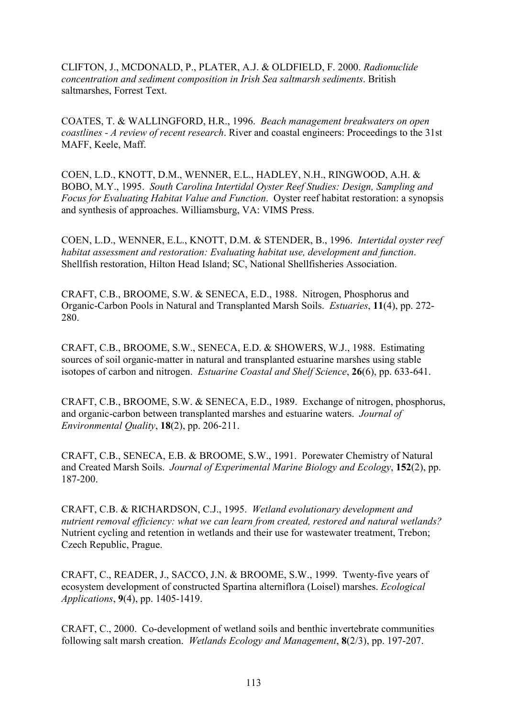CLIFTON, J., MCDONALD, P., PLATER, A.J. & OLDFIELD, F. 2000. *Radionuclide concentration and sediment composition in Irish Sea saltmarsh sediments*. British saltmarshes, Forrest Text.

COATES, T. & WALLINGFORD, H.R., 1996. *Beach management breakwaters on open coastlines - A review of recent research*. River and coastal engineers: Proceedings to the 31st MAFF, Keele, Maff.

COEN, L.D., KNOTT, D.M., WENNER, E.L., HADLEY, N.H., RINGWOOD, A.H. & BOBO, M.Y., 1995. *South Carolina Intertidal Oyster Reef Studies: Design, Sampling and Focus for Evaluating Habitat Value and Function*. Oyster reef habitat restoration: a synopsis and synthesis of approaches. Williamsburg, VA: VIMS Press.

COEN, L.D., WENNER, E.L., KNOTT, D.M. & STENDER, B., 1996. *Intertidal oyster reef habitat assessment and restoration: Evaluating habitat use, development and function*. Shellfish restoration, Hilton Head Island; SC, National Shellfisheries Association.

CRAFT, C.B., BROOME, S.W. & SENECA, E.D., 1988. Nitrogen, Phosphorus and Organic-Carbon Pools in Natural and Transplanted Marsh Soils. *Estuaries*, **11**(4), pp. 272- 280.

CRAFT, C.B., BROOME, S.W., SENECA, E.D. & SHOWERS, W.J., 1988. Estimating sources of soil organic-matter in natural and transplanted estuarine marshes using stable isotopes of carbon and nitrogen. *Estuarine Coastal and Shelf Science*, **26**(6), pp. 633-641.

CRAFT, C.B., BROOME, S.W. & SENECA, E.D., 1989. Exchange of nitrogen, phosphorus, and organic-carbon between transplanted marshes and estuarine waters. *Journal of Environmental Quality*, **18**(2), pp. 206-211.

CRAFT, C.B., SENECA, E.B. & BROOME, S.W., 1991. Porewater Chemistry of Natural and Created Marsh Soils. *Journal of Experimental Marine Biology and Ecology*, **152**(2), pp. 187-200.

CRAFT, C.B. & RICHARDSON, C.J., 1995. *Wetland evolutionary development and nutrient removal efficiency: what we can learn from created, restored and natural wetlands?* Nutrient cycling and retention in wetlands and their use for wastewater treatment, Trebon; Czech Republic, Prague.

CRAFT, C., READER, J., SACCO, J.N. & BROOME, S.W., 1999. Twenty-five years of ecosystem development of constructed Spartina alterniflora (Loisel) marshes. *Ecological Applications*, **9**(4), pp. 1405-1419.

CRAFT, C., 2000. Co-development of wetland soils and benthic invertebrate communities following salt marsh creation. *Wetlands Ecology and Management*, **8**(2/3), pp. 197-207.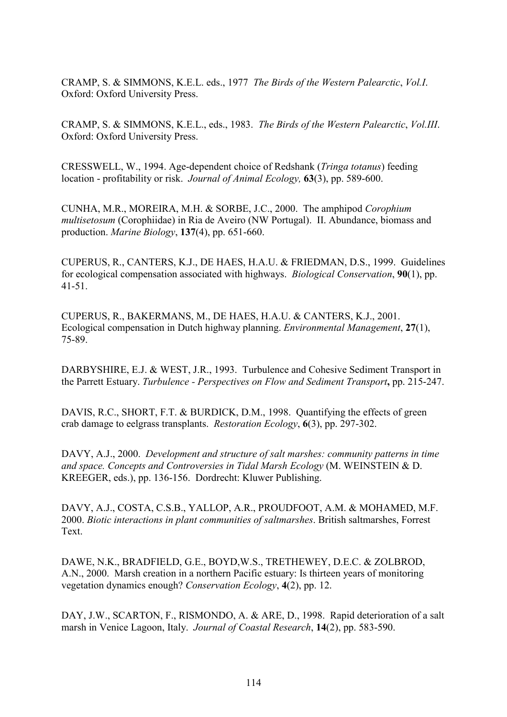CRAMP, S. & SIMMONS, K.E.L. eds., 1977 *The Birds of the Western Palearctic*, *Vol.I*. Oxford: Oxford University Press.

CRAMP, S. & SIMMONS, K.E.L., eds., 1983. *The Birds of the Western Palearctic*, *Vol.III*. Oxford: Oxford University Press.

CRESSWELL, W., 1994. Age-dependent choice of Redshank (*Tringa totanus*) feeding location - profitability or risk. *Journal of Animal Ecology,* **63**(3), pp. 589-600.

CUNHA, M.R., MOREIRA, M.H. & SORBE, J.C., 2000. The amphipod *Corophium multisetosum* (Corophiidae) in Ria de Aveiro (NW Portugal). II. Abundance, biomass and production. *Marine Biology*, **137**(4), pp. 651-660.

CUPERUS, R., CANTERS, K.J., DE HAES, H.A.U. & FRIEDMAN, D.S., 1999. Guidelines for ecological compensation associated with highways. *Biological Conservation*, **90**(1), pp. 41-51.

CUPERUS, R., BAKERMANS, M., DE HAES, H.A.U. & CANTERS, K.J., 2001. Ecological compensation in Dutch highway planning. *Environmental Management*, **27**(1), 75-89.

DARBYSHIRE, E.J. & WEST, J.R., 1993. Turbulence and Cohesive Sediment Transport in the Parrett Estuary. *Turbulence - Perspectives on Flow and Sediment Transport***,** pp. 215-247.

DAVIS, R.C., SHORT, F.T. & BURDICK, D.M., 1998. Quantifying the effects of green crab damage to eelgrass transplants. *Restoration Ecology*, **6**(3), pp. 297-302.

DAVY, A.J., 2000. *Development and structure of salt marshes: community patterns in time and space. Concepts and Controversies in Tidal Marsh Ecology* (M. WEINSTEIN & D. KREEGER, eds.), pp. 136-156. Dordrecht: Kluwer Publishing.

DAVY, A.J., COSTA, C.S.B., YALLOP, A.R., PROUDFOOT, A.M. & MOHAMED, M.F. 2000. *Biotic interactions in plant communities of saltmarshes*. British saltmarshes, Forrest Text.

DAWE, N.K., BRADFIELD, G.E., BOYD,W.S., TRETHEWEY, D.E.C. & ZOLBROD, A.N., 2000. Marsh creation in a northern Pacific estuary: Is thirteen years of monitoring vegetation dynamics enough? *Conservation Ecology*, **4**(2), pp. 12.

DAY, J.W., SCARTON, F., RISMONDO, A. & ARE, D., 1998. Rapid deterioration of a salt marsh in Venice Lagoon, Italy. *Journal of Coastal Research*, **14**(2), pp. 583-590.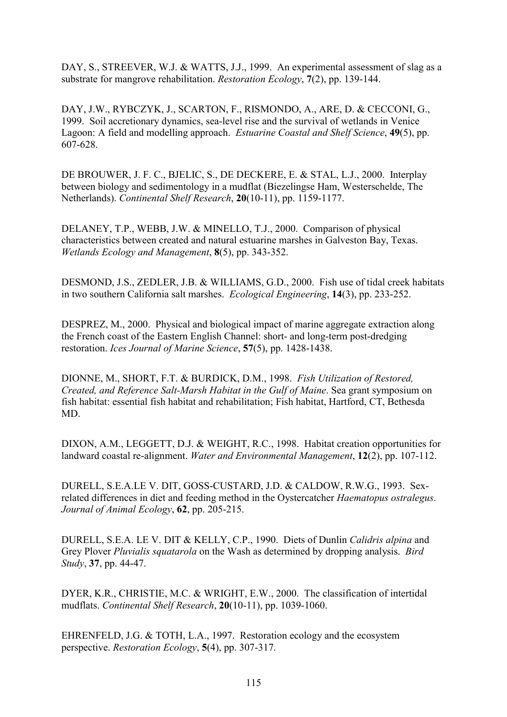DAY, S., STREEVER, W.J. & WATTS, J.J., 1999. An experimental assessment of slag as a substrate for mangrove rehabilitation. *Restoration Ecology*, **7**(2), pp. 139-144.

DAY, J.W., RYBCZYK, J., SCARTON, F., RISMONDO, A., ARE, D. & CECCONI, G., 1999. Soil accretionary dynamics, sea-level rise and the survival of wetlands in Venice Lagoon: A field and modelling approach. *Estuarine Coastal and Shelf Science*, **49**(5), pp. 607-628.

DE BROUWER, J. F. C., BJELIC, S., DE DECKERE, E. & STAL, L.J., 2000. Interplay between biology and sedimentology in a mudflat (Biezelingse Ham, Westerschelde, The Netherlands). *Continental Shelf Research*, **20**(10-11), pp. 1159-1177.

DELANEY, T.P., WEBB, J.W. & MINELLO, T.J., 2000. Comparison of physical characteristics between created and natural estuarine marshes in Galveston Bay, Texas. *Wetlands Ecology and Management*, **8**(5), pp. 343-352.

DESMOND, J.S., ZEDLER, J.B. & WILLIAMS, G.D., 2000. Fish use of tidal creek habitats in two southern California salt marshes. *Ecological Engineering*, **14**(3), pp. 233-252.

DESPREZ, M., 2000. Physical and biological impact of marine aggregate extraction along the French coast of the Eastern English Channel: short- and long-term post-dredging restoration. *Ices Journal of Marine Science*, **57**(5), pp. 1428-1438.

DIONNE, M., SHORT, F.T. & BURDICK, D.M., 1998. *Fish Utilization of Restored, Created, and Reference Salt-Marsh Habitat in the Gulf of Maine*. Sea grant symposium on fish habitat: essential fish habitat and rehabilitation; Fish habitat, Hartford, CT, Bethesda MD.

DIXON, A.M., LEGGETT, D.J. & WEIGHT, R.C., 1998. Habitat creation opportunities for landward coastal re-alignment. *Water and Environmental Management*, **12**(2), pp. 107-112.

DURELL, S.E.A.LE V. DIT, GOSS-CUSTARD, J.D. & CALDOW, R.W.G., 1993. Sexrelated differences in diet and feeding method in the Oystercatcher *Haematopus ostralegus*. *Journal of Animal Ecology*, **62**, pp. 205-215.

DURELL, S.E.A. LE V. DIT & KELLY, C.P., 1990. Diets of Dunlin *Calidris alpina* and Grey Plover *Pluvialis squatarola* on the Wash as determined by dropping analysis. *Bird Study*, **37**, pp. 44-47.

DYER, K.R., CHRISTIE, M.C. & WRIGHT, E.W., 2000. The classification of intertidal mudflats. *Continental Shelf Research*, **20**(10-11), pp. 1039-1060.

EHRENFELD, J.G. & TOTH, L.A., 1997. Restoration ecology and the ecosystem perspective. *Restoration Ecology*, **5**(4), pp. 307-317.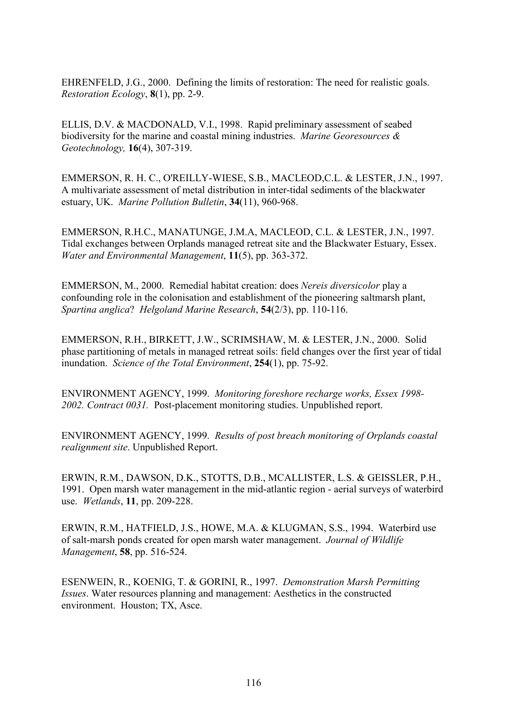EHRENFELD, J.G., 2000. Defining the limits of restoration: The need for realistic goals. *Restoration Ecology*, **8**(1), pp. 2-9.

ELLIS, D.V. & MACDONALD, V.I., 1998. Rapid preliminary assessment of seabed biodiversity for the marine and coastal mining industries. *Marine Georesources & Geotechnology,* **16**(4), 307-319.

EMMERSON, R. H. C., O'REILLY-WIESE, S.B., MACLEOD,C.L. & LESTER, J.N., 1997. A multivariate assessment of metal distribution in inter-tidal sediments of the blackwater estuary, UK. *Marine Pollution Bulletin*, **34**(11), 960-968.

EMMERSON, R.H.C., MANATUNGE, J.M.A, MACLEOD, C.L. & LESTER, J.N., 1997. Tidal exchanges between Orplands managed retreat site and the Blackwater Estuary, Essex. *Water and Environmental Management*, **11**(5), pp. 363-372.

EMMERSON, M., 2000. Remedial habitat creation: does *Nereis diversicolor* play a confounding role in the colonisation and establishment of the pioneering saltmarsh plant, *Spartina anglica*? *Helgoland Marine Research*, **54**(2/3), pp. 110-116.

EMMERSON, R.H., BIRKETT, J.W., SCRIMSHAW, M. & LESTER, J.N., 2000. Solid phase partitioning of metals in managed retreat soils: field changes over the first year of tidal inundation. *Science of the Total Environment*, **254**(1), pp. 75-92.

ENVIRONMENT AGENCY, 1999. *Monitoring foreshore recharge works, Essex 1998- 2002. Contract 0031.* Post-placement monitoring studies. Unpublished report.

ENVIRONMENT AGENCY, 1999. *Results of post breach monitoring of Orplands coastal realignment site*. Unpublished Report.

ERWIN, R.M., DAWSON, D.K., STOTTS, D.B., MCALLISTER, L.S. & GEISSLER, P.H., 1991. Open marsh water management in the mid-atlantic region - aerial surveys of waterbird use. *Wetlands*, **11**, pp. 209-228.

ERWIN, R.M., HATFIELD, J.S., HOWE, M.A. & KLUGMAN, S.S., 1994. Waterbird use of salt-marsh ponds created for open marsh water management. *Journal of Wildlife Management*, **58**, pp. 516-524.

ESENWEIN, R., KOENIG, T. & GORINI, R., 1997. *Demonstration Marsh Permitting Issues*. Water resources planning and management: Aesthetics in the constructed environment. Houston; TX, Asce.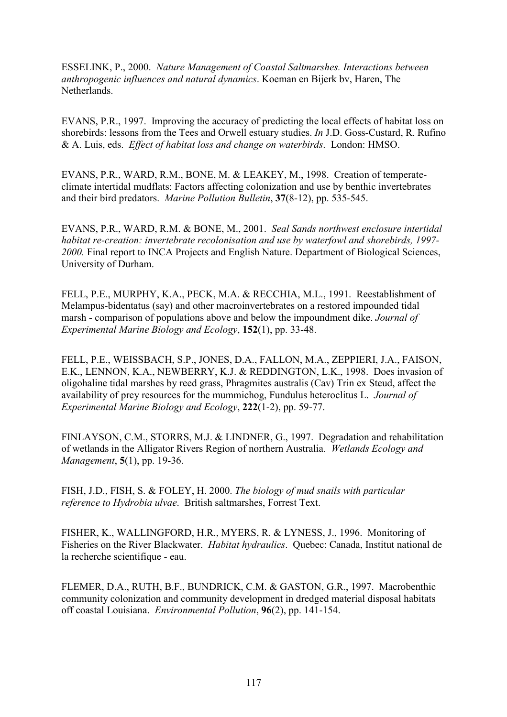ESSELINK, P., 2000. *Nature Management of Coastal Saltmarshes. Interactions between anthropogenic influences and natural dynamics*. Koeman en Bijerk bv, Haren, The **Netherlands** 

EVANS, P.R., 1997. Improving the accuracy of predicting the local effects of habitat loss on shorebirds: lessons from the Tees and Orwell estuary studies. *In* J.D. Goss-Custard, R. Rufino & A. Luis, eds. *Effect of habitat loss and change on waterbirds*. London: HMSO.

EVANS, P.R., WARD, R.M., BONE, M. & LEAKEY, M., 1998. Creation of temperateclimate intertidal mudflats: Factors affecting colonization and use by benthic invertebrates and their bird predators. *Marine Pollution Bulletin*, **37**(8-12), pp. 535-545.

EVANS, P.R., WARD, R.M. & BONE, M., 2001. *Seal Sands northwest enclosure intertidal habitat re-creation: invertebrate recolonisation and use by waterfowl and shorebirds, 1997- 2000.* Final report to INCA Projects and English Nature. Department of Biological Sciences, University of Durham.

FELL, P.E., MURPHY, K.A., PECK, M.A. & RECCHIA, M.L., 1991. Reestablishment of Melampus-bidentatus (say) and other macroinvertebrates on a restored impounded tidal marsh - comparison of populations above and below the impoundment dike. *Journal of Experimental Marine Biology and Ecology*, **152**(1), pp. 33-48.

FELL, P.E., WEISSBACH, S.P., JONES, D.A., FALLON, M.A., ZEPPIERI, J.A., FAISON, E.K., LENNON, K.A., NEWBERRY, K.J. & REDDINGTON, L.K., 1998. Does invasion of oligohaline tidal marshes by reed grass, Phragmites australis (Cav) Trin ex Steud, affect the availability of prey resources for the mummichog, Fundulus heteroclitus L. *Journal of Experimental Marine Biology and Ecology*, **222**(1-2), pp. 59-77.

FINLAYSON, C.M., STORRS, M.J. & LINDNER, G., 1997. Degradation and rehabilitation of wetlands in the Alligator Rivers Region of northern Australia. *Wetlands Ecology and Management*, **5**(1), pp. 19-36.

FISH, J.D., FISH, S. & FOLEY, H. 2000. *The biology of mud snails with particular reference to Hydrobia ulvae*. British saltmarshes, Forrest Text.

FISHER, K., WALLINGFORD, H.R., MYERS, R. & LYNESS, J., 1996. Monitoring of Fisheries on the River Blackwater. *Habitat hydraulics*. Quebec: Canada, Institut national de la recherche scientifique - eau.

FLEMER, D.A., RUTH, B.F., BUNDRICK, C.M. & GASTON, G.R., 1997. Macrobenthic community colonization and community development in dredged material disposal habitats off coastal Louisiana. *Environmental Pollution*, **96**(2), pp. 141-154.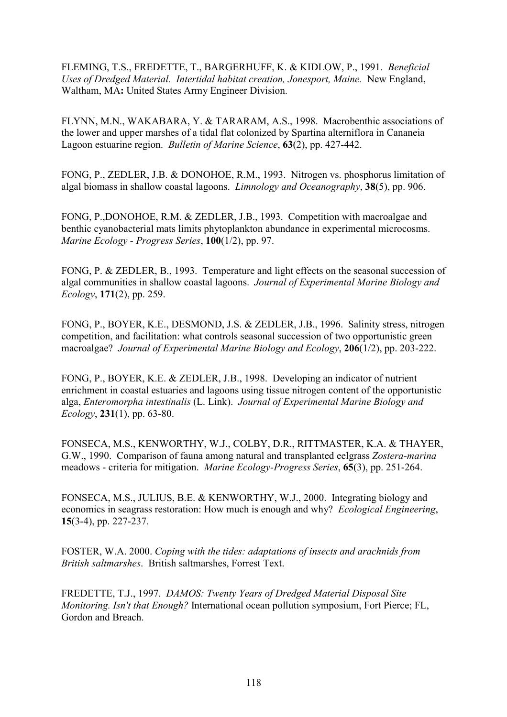FLEMING, T.S., FREDETTE, T., BARGERHUFF, K. & KIDLOW, P., 1991. *Beneficial Uses of Dredged Material. Intertidal habitat creation, Jonesport, Maine.* New England, Waltham, MA**:** United States Army Engineer Division.

FLYNN, M.N., WAKABARA, Y. & TARARAM, A.S., 1998. Macrobenthic associations of the lower and upper marshes of a tidal flat colonized by Spartina alterniflora in Cananeia Lagoon estuarine region. *Bulletin of Marine Science*, **63**(2), pp. 427-442.

FONG, P., ZEDLER, J.B. & DONOHOE, R.M., 1993. Nitrogen vs. phosphorus limitation of algal biomass in shallow coastal lagoons. *Limnology and Oceanography*, **38**(5), pp. 906.

FONG, P.,DONOHOE, R.M. & ZEDLER, J.B., 1993. Competition with macroalgae and benthic cyanobacterial mats limits phytoplankton abundance in experimental microcosms. *Marine Ecology - Progress Series*, **100**(1/2), pp. 97.

FONG, P. & ZEDLER, B., 1993. Temperature and light effects on the seasonal succession of algal communities in shallow coastal lagoons. *Journal of Experimental Marine Biology and Ecology*, **171**(2), pp. 259.

FONG, P., BOYER, K.E., DESMOND, J.S. & ZEDLER, J.B., 1996. Salinity stress, nitrogen competition, and facilitation: what controls seasonal succession of two opportunistic green macroalgae? *Journal of Experimental Marine Biology and Ecology*, **206**(1/2), pp. 203-222.

FONG, P., BOYER, K.E. & ZEDLER, J.B., 1998. Developing an indicator of nutrient enrichment in coastal estuaries and lagoons using tissue nitrogen content of the opportunistic alga, *Enteromorpha intestinalis* (L. Link). *Journal of Experimental Marine Biology and Ecology*, **231**(1), pp. 63-80.

FONSECA, M.S., KENWORTHY, W.J., COLBY, D.R., RITTMASTER, K.A. & THAYER, G.W., 1990. Comparison of fauna among natural and transplanted eelgrass *Zostera-marina* meadows - criteria for mitigation. *Marine Ecology-Progress Series*, **65**(3), pp. 251-264.

FONSECA, M.S., JULIUS, B.E. & KENWORTHY, W.J., 2000. Integrating biology and economics in seagrass restoration: How much is enough and why? *Ecological Engineering*, **15**(3-4), pp. 227-237.

FOSTER, W.A. 2000. *Coping with the tides: adaptations of insects and arachnids from British saltmarshes*. British saltmarshes, Forrest Text.

FREDETTE, T.J., 1997. *DAMOS: Twenty Years of Dredged Material Disposal Site Monitoring. Isn't that Enough?* International ocean pollution symposium, Fort Pierce; FL, Gordon and Breach.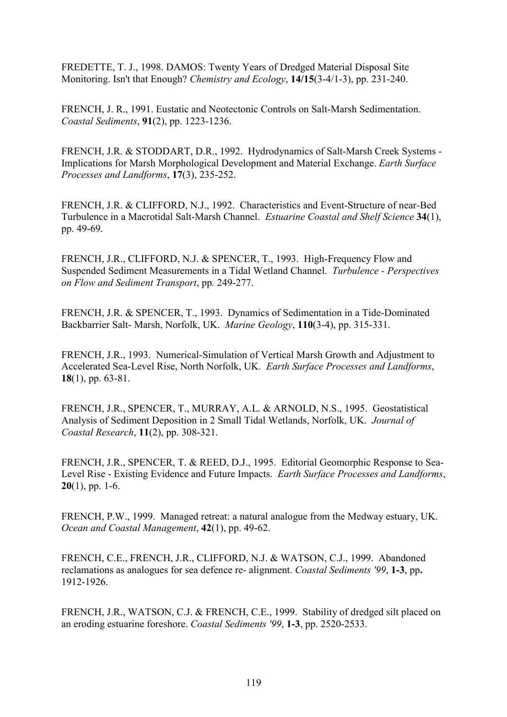FREDETTE, T. J., 1998. DAMOS: Twenty Years of Dredged Material Disposal Site Monitoring. Isn't that Enough? *Chemistry and Ecology*, **14/15**(3-4/1-3), pp. 231-240.

FRENCH, J. R., 1991. Eustatic and Neotectonic Controls on Salt-Marsh Sedimentation. *Coastal Sediments*, **91**(2), pp. 1223-1236.

FRENCH, J.R. & STODDART, D.R., 1992. Hydrodynamics of Salt-Marsh Creek Systems - Implications for Marsh Morphological Development and Material Exchange. *Earth Surface Processes and Landforms*, **17**(3), 235-252.

FRENCH, J.R. & CLIFFORD, N.J., 1992. Characteristics and Event-Structure of near-Bed Turbulence in a Macrotidal Salt-Marsh Channel. *Estuarine Coastal and Shelf Science* **34**(1), pp. 49-69.

FRENCH, J.R., CLIFFORD, N.J. & SPENCER, T., 1993. High-Frequency Flow and Suspended Sediment Measurements in a Tidal Wetland Channel. *Turbulence - Perspectives on Flow and Sediment Transport*, pp*.* 249-277.

FRENCH, J.R. & SPENCER, T., 1993. Dynamics of Sedimentation in a Tide-Dominated Backbarrier Salt- Marsh, Norfolk, UK. *Marine Geology*, **110**(3-4), pp. 315-331.

FRENCH, J.R., 1993. Numerical-Simulation of Vertical Marsh Growth and Adjustment to Accelerated Sea-Level Rise, North Norfolk, UK. *Earth Surface Processes and Landforms*, **18**(1), pp. 63-81.

FRENCH, J.R., SPENCER, T., MURRAY, A.L. & ARNOLD, N.S., 1995. Geostatistical Analysis of Sediment Deposition in 2 Small Tidal Wetlands, Norfolk, UK. *Journal of Coastal Research*, **11**(2), pp. 308-321.

FRENCH, J.R., SPENCER, T. & REED, D.J., 1995. Editorial Geomorphic Response to Sea-Level Rise - Existing Evidence and Future Impacts. *Earth Surface Processes and Landforms*, **20**(1), pp. 1-6.

FRENCH, P.W., 1999. Managed retreat: a natural analogue from the Medway estuary, UK. *Ocean and Coastal Management*, **42**(1), pp. 49-62.

FRENCH, C.E., FRENCH, J.R., CLIFFORD, N.J. & WATSON, C.J., 1999. Abandoned reclamations as analogues for sea defence re- alignment. *Coastal Sediments '99*, **1-3**, pp**.**  1912-1926.

FRENCH, J.R., WATSON, C.J. & FRENCH, C.E., 1999. Stability of dredged silt placed on an eroding estuarine foreshore. *Coastal Sediments '99*, **1-3**, pp. 2520-2533.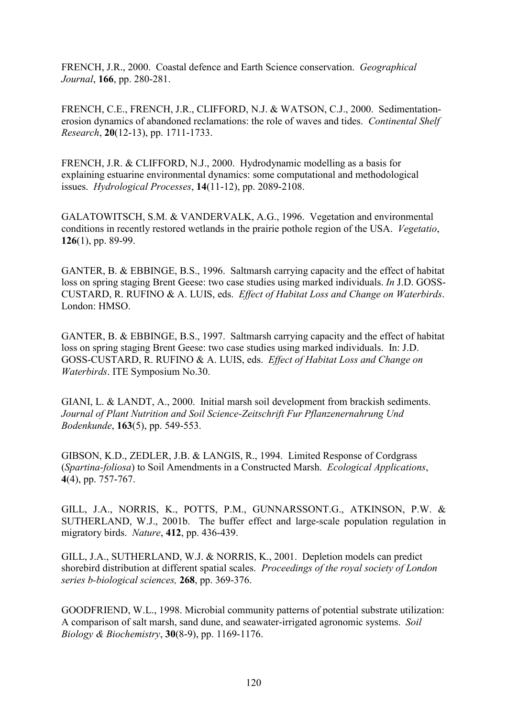FRENCH, J.R., 2000. Coastal defence and Earth Science conservation. *Geographical Journal*, **166**, pp. 280-281.

FRENCH, C.E., FRENCH, J.R., CLIFFORD, N.J. & WATSON, C.J., 2000. Sedimentationerosion dynamics of abandoned reclamations: the role of waves and tides. *Continental Shelf Research*, **20**(12-13), pp. 1711-1733.

FRENCH, J.R. & CLIFFORD, N.J., 2000. Hydrodynamic modelling as a basis for explaining estuarine environmental dynamics: some computational and methodological issues. *Hydrological Processes*, **14**(11-12), pp. 2089-2108.

GALATOWITSCH, S.M. & VANDERVALK, A.G., 1996. Vegetation and environmental conditions in recently restored wetlands in the prairie pothole region of the USA. *Vegetatio*, **126**(1), pp. 89-99.

GANTER, B. & EBBINGE, B.S., 1996. Saltmarsh carrying capacity and the effect of habitat loss on spring staging Brent Geese: two case studies using marked individuals. *In* J.D. GOSS-CUSTARD, R. RUFINO & A. LUIS, eds. *Effect of Habitat Loss and Change on Waterbirds*. London: HMSO.

GANTER, B. & EBBINGE, B.S., 1997. Saltmarsh carrying capacity and the effect of habitat loss on spring staging Brent Geese: two case studies using marked individuals. In: J.D. GOSS-CUSTARD, R. RUFINO & A. LUIS, eds. *Effect of Habitat Loss and Change on Waterbirds*. ITE Symposium No.30.

GIANI, L. & LANDT, A., 2000. Initial marsh soil development from brackish sediments. *Journal of Plant Nutrition and Soil Science-Zeitschrift Fur Pflanzenernahrung Und Bodenkunde*, **163**(5), pp. 549-553.

GIBSON, K.D., ZEDLER, J.B. & LANGIS, R., 1994. Limited Response of Cordgrass (*Spartina-foliosa*) to Soil Amendments in a Constructed Marsh. *Ecological Applications*, **4**(4), pp. 757-767.

GILL, J.A., NORRIS, K., POTTS, P.M., GUNNARSSONT.G., ATKINSON, P.W. & SUTHERLAND, W.J., 2001b. The buffer effect and large-scale population regulation in migratory birds. *Nature*, **412**, pp. 436-439.

GILL, J.A., SUTHERLAND, W.J. & NORRIS, K., 2001. Depletion models can predict shorebird distribution at different spatial scales. *Proceedings of the royal society of London series b-biological sciences,* **268**, pp. 369-376.

GOODFRIEND, W.L., 1998. Microbial community patterns of potential substrate utilization: A comparison of salt marsh, sand dune, and seawater-irrigated agronomic systems. *Soil Biology & Biochemistry*, **30**(8-9), pp. 1169-1176.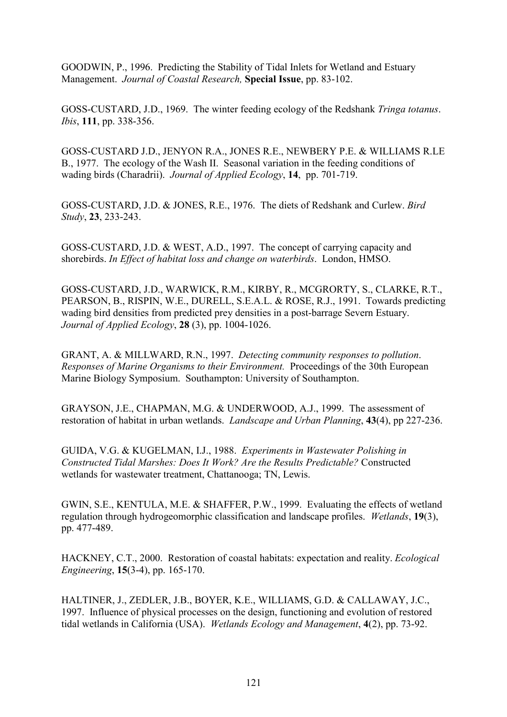GOODWIN, P., 1996. Predicting the Stability of Tidal Inlets for Wetland and Estuary Management. *Journal of Coastal Research,* **Special Issue**, pp. 83-102.

GOSS-CUSTARD, J.D., 1969. The winter feeding ecology of the Redshank *Tringa totanus*. *Ibis*, **111**, pp. 338-356.

GOSS-CUSTARD J.D., JENYON R.A., JONES R.E., NEWBERY P.E. & WILLIAMS R.LE B., 1977. The ecology of the Wash II. Seasonal variation in the feeding conditions of wading birds (Charadrii). *Journal of Applied Ecology*, **14**, pp. 701-719.

GOSS-CUSTARD, J.D. & JONES, R.E., 1976. The diets of Redshank and Curlew. *Bird Study*, **23**, 233-243.

GOSS-CUSTARD, J.D. & WEST, A.D., 1997. The concept of carrying capacity and shorebirds. *In Effect of habitat loss and change on waterbirds*. London, HMSO.

GOSS-CUSTARD, J.D., WARWICK, R.M., KIRBY, R., MCGRORTY, S., CLARKE, R.T., PEARSON, B., RISPIN, W.E., DURELL, S.E.A.L. & ROSE, R.J., 1991. Towards predicting wading bird densities from predicted prey densities in a post-barrage Severn Estuary. *Journal of Applied Ecology*, **28** (3), pp. 1004-1026.

GRANT, A. & MILLWARD, R.N., 1997. *Detecting community responses to pollution*. *Responses of Marine Organisms to their Environment.* Proceedings of the 30th European Marine Biology Symposium. Southampton: University of Southampton.

GRAYSON, J.E., CHAPMAN, M.G. & UNDERWOOD, A.J., 1999. The assessment of restoration of habitat in urban wetlands. *Landscape and Urban Planning*, **43**(4), pp 227-236.

GUIDA, V.G. & KUGELMAN, I.J., 1988. *Experiments in Wastewater Polishing in Constructed Tidal Marshes: Does It Work? Are the Results Predictable?* Constructed wetlands for wastewater treatment, Chattanooga; TN, Lewis.

GWIN, S.E., KENTULA, M.E. & SHAFFER, P.W., 1999. Evaluating the effects of wetland regulation through hydrogeomorphic classification and landscape profiles. *Wetlands*, **19**(3), pp. 477-489.

HACKNEY, C.T., 2000. Restoration of coastal habitats: expectation and reality. *Ecological Engineering*, **15**(3-4), pp. 165-170.

HALTINER, J., ZEDLER, J.B., BOYER, K.E., WILLIAMS, G.D. & CALLAWAY, J.C., 1997. Influence of physical processes on the design, functioning and evolution of restored tidal wetlands in California (USA). *Wetlands Ecology and Management*, **4**(2), pp. 73-92.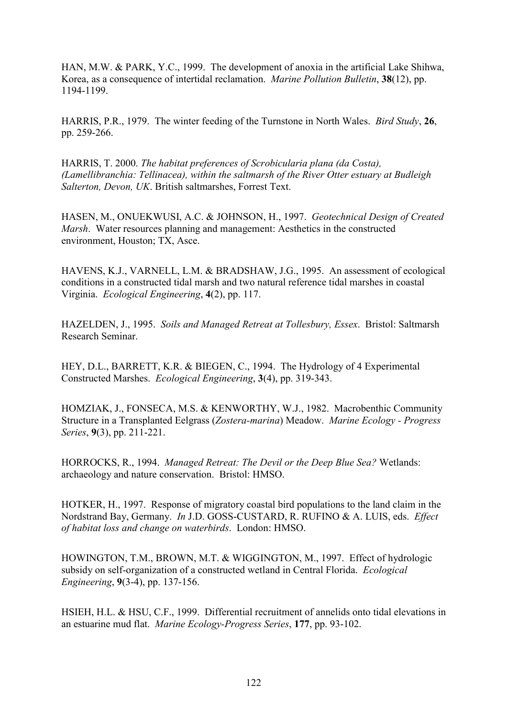HAN, M.W. & PARK, Y.C., 1999. The development of anoxia in the artificial Lake Shihwa, Korea, as a consequence of intertidal reclamation. *Marine Pollution Bulletin*, **38**(12), pp. 1194-1199.

HARRIS, P.R., 1979. The winter feeding of the Turnstone in North Wales. *Bird Study*, **26**, pp. 259-266.

HARRIS, T. 2000. *The habitat preferences of Scrobicularia plana (da Costa), (Lamellibranchia: Tellinacea), within the saltmarsh of the River Otter estuary at Budleigh Salterton, Devon, UK*. British saltmarshes, Forrest Text.

HASEN, M., ONUEKWUSI, A.C. & JOHNSON, H., 1997. *Geotechnical Design of Created Marsh*. Water resources planning and management: Aesthetics in the constructed environment, Houston; TX, Asce.

HAVENS, K.J., VARNELL, L.M. & BRADSHAW, J.G., 1995. An assessment of ecological conditions in a constructed tidal marsh and two natural reference tidal marshes in coastal Virginia. *Ecological Engineering*, **4**(2), pp. 117.

HAZELDEN, J., 1995. *Soils and Managed Retreat at Tollesbury, Essex*. Bristol: Saltmarsh Research Seminar.

HEY, D.L., BARRETT, K.R. & BIEGEN, C., 1994. The Hydrology of 4 Experimental Constructed Marshes. *Ecological Engineering*, **3**(4), pp. 319-343.

HOMZIAK, J., FONSECA, M.S. & KENWORTHY, W.J., 1982. Macrobenthic Community Structure in a Transplanted Eelgrass (*Zostera-marina*) Meadow. *Marine Ecology - Progress Series*, **9**(3), pp. 211-221.

HORROCKS, R., 1994. *Managed Retreat: The Devil or the Deep Blue Sea?* Wetlands: archaeology and nature conservation. Bristol: HMSO.

HOTKER, H., 1997. Response of migratory coastal bird populations to the land claim in the Nordstrand Bay, Germany. *In* J.D. GOSS-CUSTARD, R. RUFINO & A. LUIS, eds. *Effect of habitat loss and change on waterbirds*. London: HMSO.

HOWINGTON, T.M., BROWN, M.T. & WIGGINGTON, M., 1997. Effect of hydrologic subsidy on self-organization of a constructed wetland in Central Florida. *Ecological Engineering*, **9**(3-4), pp. 137-156.

HSIEH, H.L. & HSU, C.F., 1999. Differential recruitment of annelids onto tidal elevations in an estuarine mud flat. *Marine Ecology-Progress Series*, **177**, pp. 93-102.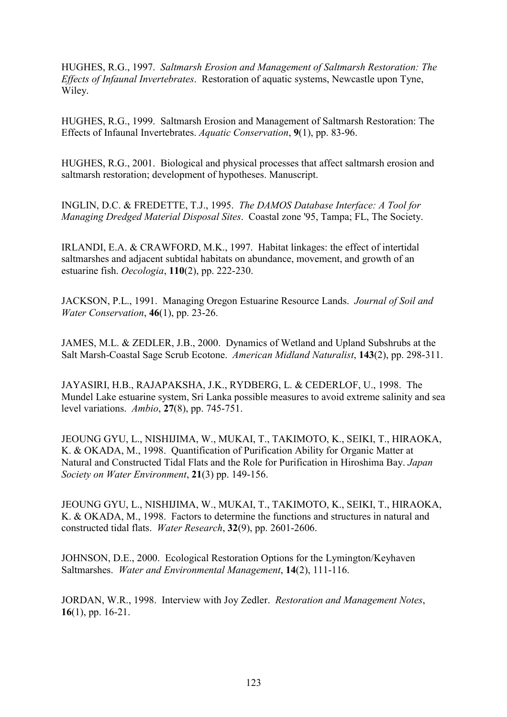HUGHES, R.G., 1997. *Saltmarsh Erosion and Management of Saltmarsh Restoration: The Effects of Infaunal Invertebrates*. Restoration of aquatic systems, Newcastle upon Tyne, Wiley.

HUGHES, R.G., 1999. Saltmarsh Erosion and Management of Saltmarsh Restoration: The Effects of Infaunal Invertebrates. *Aquatic Conservation*, **9**(1), pp. 83-96.

HUGHES, R.G., 2001. Biological and physical processes that affect saltmarsh erosion and saltmarsh restoration; development of hypotheses. Manuscript.

INGLIN, D.C. & FREDETTE, T.J., 1995. *The DAMOS Database Interface: A Tool for Managing Dredged Material Disposal Sites*. Coastal zone '95, Tampa; FL, The Society.

IRLANDI, E.A. & CRAWFORD, M.K., 1997. Habitat linkages: the effect of intertidal saltmarshes and adjacent subtidal habitats on abundance, movement, and growth of an estuarine fish. *Oecologia*, **110**(2), pp. 222-230.

JACKSON, P.L., 1991. Managing Oregon Estuarine Resource Lands. *Journal of Soil and Water Conservation*, **46**(1), pp. 23-26.

JAMES, M.L. & ZEDLER, J.B., 2000. Dynamics of Wetland and Upland Subshrubs at the Salt Marsh-Coastal Sage Scrub Ecotone. *American Midland Naturalist*, **143**(2), pp. 298-311.

JAYASIRI, H.B., RAJAPAKSHA, J.K., RYDBERG, L. & CEDERLOF, U., 1998. The Mundel Lake estuarine system, Sri Lanka possible measures to avoid extreme salinity and sea level variations. *Ambio*, **27**(8), pp. 745-751.

JEOUNG GYU, L., NISHIJIMA, W., MUKAI, T., TAKIMOTO, K., SEIKI, T., HIRAOKA, K. & OKADA, M., 1998. Quantification of Purification Ability for Organic Matter at Natural and Constructed Tidal Flats and the Role for Purification in Hiroshima Bay. *Japan Society on Water Environment*, **21**(3) pp. 149-156.

JEOUNG GYU, L., NISHIJIMA, W., MUKAI, T., TAKIMOTO, K., SEIKI, T., HIRAOKA, K. & OKADA, M., 1998. Factors to determine the functions and structures in natural and constructed tidal flats. *Water Research*, **32**(9), pp. 2601-2606.

JOHNSON, D.E., 2000. Ecological Restoration Options for the Lymington/Keyhaven Saltmarshes. *Water and Environmental Management*, **14**(2), 111-116.

JORDAN, W.R., 1998. Interview with Joy Zedler. *Restoration and Management Notes*, **16**(1), pp. 16-21.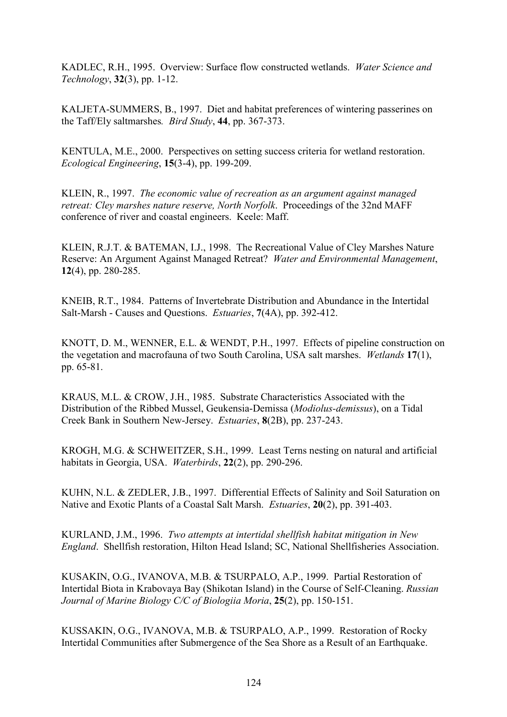KADLEC, R.H., 1995. Overview: Surface flow constructed wetlands. *Water Science and Technology*, **32**(3), pp. 1-12.

KALJETA-SUMMERS, B., 1997. Diet and habitat preferences of wintering passerines on the Taff/Ely saltmarshes*. Bird Study*, **44**, pp. 367-373.

KENTULA, M.E., 2000. Perspectives on setting success criteria for wetland restoration. *Ecological Engineering*, **15**(3-4), pp. 199-209.

KLEIN, R., 1997. *The economic value of recreation as an argument against managed retreat: Cley marshes nature reserve, North Norfolk*. Proceedings of the 32nd MAFF conference of river and coastal engineers. Keele: Maff.

KLEIN, R.J.T. & BATEMAN, I.J., 1998. The Recreational Value of Cley Marshes Nature Reserve: An Argument Against Managed Retreat? *Water and Environmental Management*, **12**(4), pp. 280-285.

KNEIB, R.T., 1984. Patterns of Invertebrate Distribution and Abundance in the Intertidal Salt-Marsh - Causes and Questions. *Estuaries*, **7**(4A), pp. 392-412.

KNOTT, D. M., WENNER, E.L. & WENDT, P.H., 1997. Effects of pipeline construction on the vegetation and macrofauna of two South Carolina, USA salt marshes. *Wetlands* **17**(1), pp. 65-81.

KRAUS, M.L. & CROW, J.H., 1985. Substrate Characteristics Associated with the Distribution of the Ribbed Mussel, Geukensia-Demissa (*Modiolus-demissus*), on a Tidal Creek Bank in Southern New-Jersey. *Estuaries*, **8**(2B), pp. 237-243.

KROGH, M.G. & SCHWEITZER, S.H., 1999. Least Terns nesting on natural and artificial habitats in Georgia, USA. *Waterbirds*, **22**(2), pp. 290-296.

KUHN, N.L. & ZEDLER, J.B., 1997. Differential Effects of Salinity and Soil Saturation on Native and Exotic Plants of a Coastal Salt Marsh. *Estuaries*, **20**(2), pp. 391-403.

KURLAND, J.M., 1996. *Two attempts at intertidal shellfish habitat mitigation in New England*. Shellfish restoration, Hilton Head Island; SC, National Shellfisheries Association.

KUSAKIN, O.G., IVANOVA, M.B. & TSURPALO, A.P., 1999. Partial Restoration of Intertidal Biota in Krabovaya Bay (Shikotan Island) in the Course of Self-Cleaning. *Russian Journal of Marine Biology C/C of Biologiia Moria*, **25**(2), pp. 150-151.

KUSSAKIN, O.G., IVANOVA, M.B. & TSURPALO, A.P., 1999. Restoration of Rocky Intertidal Communities after Submergence of the Sea Shore as a Result of an Earthquake.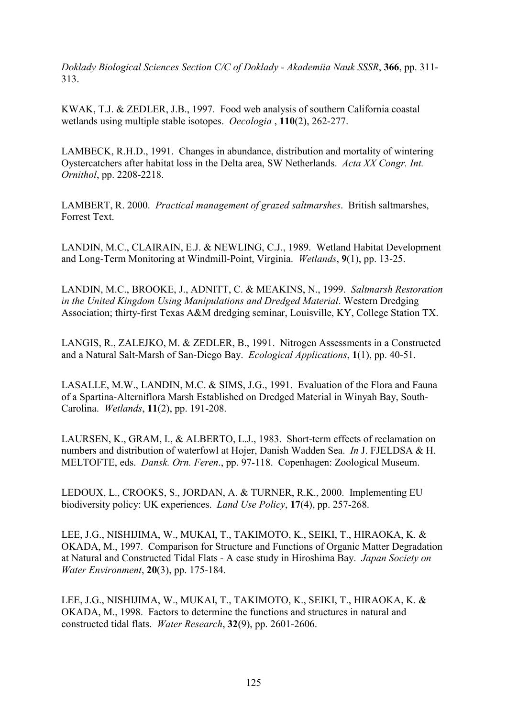*Doklady Biological Sciences Section C/C of Doklady - Akademiia Nauk SSSR*, **366**, pp. 311- 313.

KWAK, T.J. & ZEDLER, J.B., 1997. Food web analysis of southern California coastal wetlands using multiple stable isotopes. *Oecologia* , **110**(2), 262-277.

LAMBECK, R.H.D., 1991. Changes in abundance, distribution and mortality of wintering Oystercatchers after habitat loss in the Delta area, SW Netherlands. *Acta XX Congr. Int. Ornithol*, pp. 2208-2218.

LAMBERT, R. 2000. *Practical management of grazed saltmarshes*. British saltmarshes, Forrest Text.

LANDIN, M.C., CLAIRAIN, E.J. & NEWLING, C.J., 1989. Wetland Habitat Development and Long-Term Monitoring at Windmill-Point, Virginia. *Wetlands*, **9**(1), pp. 13-25.

LANDIN, M.C., BROOKE, J., ADNITT, C. & MEAKINS, N., 1999. *Saltmarsh Restoration in the United Kingdom Using Manipulations and Dredged Material*. Western Dredging Association; thirty-first Texas A&M dredging seminar, Louisville, KY, College Station TX.

LANGIS, R., ZALEJKO, M. & ZEDLER, B., 1991. Nitrogen Assessments in a Constructed and a Natural Salt-Marsh of San-Diego Bay. *Ecological Applications*, **1**(1), pp. 40-51.

LASALLE, M.W., LANDIN, M.C. & SIMS, J.G., 1991. Evaluation of the Flora and Fauna of a Spartina-Alterniflora Marsh Established on Dredged Material in Winyah Bay, South-Carolina. *Wetlands*, **11**(2), pp. 191-208.

LAURSEN, K., GRAM, I., & ALBERTO, L.J., 1983. Short-term effects of reclamation on numbers and distribution of waterfowl at Hojer, Danish Wadden Sea. *In* J. FJELDSA & H. MELTOFTE, eds. *Dansk. Orn. Feren*., pp. 97-118. Copenhagen: Zoological Museum.

LEDOUX, L., CROOKS, S., JORDAN, A. & TURNER, R.K., 2000. Implementing EU biodiversity policy: UK experiences. *Land Use Policy*, **17**(4), pp. 257-268.

LEE, J.G., NISHIJIMA, W., MUKAI, T., TAKIMOTO, K., SEIKI, T., HIRAOKA, K. & OKADA, M., 1997. Comparison for Structure and Functions of Organic Matter Degradation at Natural and Constructed Tidal Flats - A case study in Hiroshima Bay. *Japan Society on Water Environment*, **20**(3), pp. 175-184.

LEE, J.G., NISHIJIMA, W., MUKAI, T., TAKIMOTO, K., SEIKI, T., HIRAOKA, K. & OKADA, M., 1998. Factors to determine the functions and structures in natural and constructed tidal flats. *Water Research*, **32**(9), pp. 2601-2606.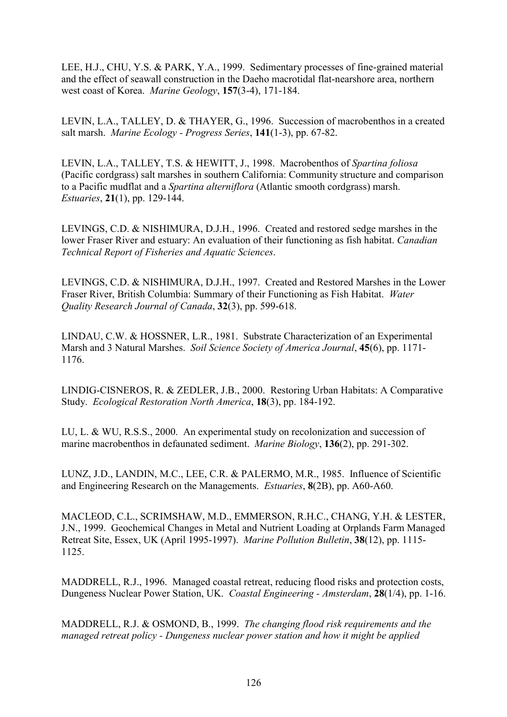LEE, H.J., CHU, Y.S. & PARK, Y.A., 1999. Sedimentary processes of fine-grained material and the effect of seawall construction in the Daeho macrotidal flat-nearshore area, northern west coast of Korea. *Marine Geology*, **157**(3-4), 171-184.

LEVIN, L.A., TALLEY, D. & THAYER, G., 1996. Succession of macrobenthos in a created salt marsh. *Marine Ecology - Progress Series*, **141**(1-3), pp. 67-82.

LEVIN, L.A., TALLEY, T.S. & HEWITT, J., 1998. Macrobenthos of *Spartina foliosa* (Pacific cordgrass) salt marshes in southern California: Community structure and comparison to a Pacific mudflat and a *Spartina alterniflora* (Atlantic smooth cordgrass) marsh. *Estuaries*, **21**(1), pp. 129-144.

LEVINGS, C.D. & NISHIMURA, D.J.H., 1996. Created and restored sedge marshes in the lower Fraser River and estuary: An evaluation of their functioning as fish habitat. *Canadian Technical Report of Fisheries and Aquatic Sciences*.

LEVINGS, C.D. & NISHIMURA, D.J.H., 1997. Created and Restored Marshes in the Lower Fraser River, British Columbia: Summary of their Functioning as Fish Habitat. *Water Quality Research Journal of Canada*, **32**(3), pp. 599-618.

LINDAU, C.W. & HOSSNER, L.R., 1981. Substrate Characterization of an Experimental Marsh and 3 Natural Marshes. *Soil Science Society of America Journal*, **45**(6), pp. 1171- 1176.

LINDIG-CISNEROS, R. & ZEDLER, J.B., 2000. Restoring Urban Habitats: A Comparative Study. *Ecological Restoration North America*, **18**(3), pp. 184-192.

LU, L. & WU, R.S.S., 2000. An experimental study on recolonization and succession of marine macrobenthos in defaunated sediment. *Marine Biology*, **136**(2), pp. 291-302.

LUNZ, J.D., LANDIN, M.C., LEE, C.R. & PALERMO, M.R., 1985. Influence of Scientific and Engineering Research on the Managements. *Estuaries*, **8**(2B), pp. A60-A60.

MACLEOD, C.L., SCRIMSHAW, M.D., EMMERSON, R.H.C., CHANG, Y.H. & LESTER, J.N., 1999. Geochemical Changes in Metal and Nutrient Loading at Orplands Farm Managed Retreat Site, Essex, UK (April 1995-1997). *Marine Pollution Bulletin*, **38**(12), pp. 1115- 1125.

MADDRELL, R.J., 1996. Managed coastal retreat, reducing flood risks and protection costs, Dungeness Nuclear Power Station, UK. *Coastal Engineering - Amsterdam*, **28**(1/4), pp. 1-16.

MADDRELL, R.J. & OSMOND, B., 1999. *The changing flood risk requirements and the managed retreat policy - Dungeness nuclear power station and how it might be applied*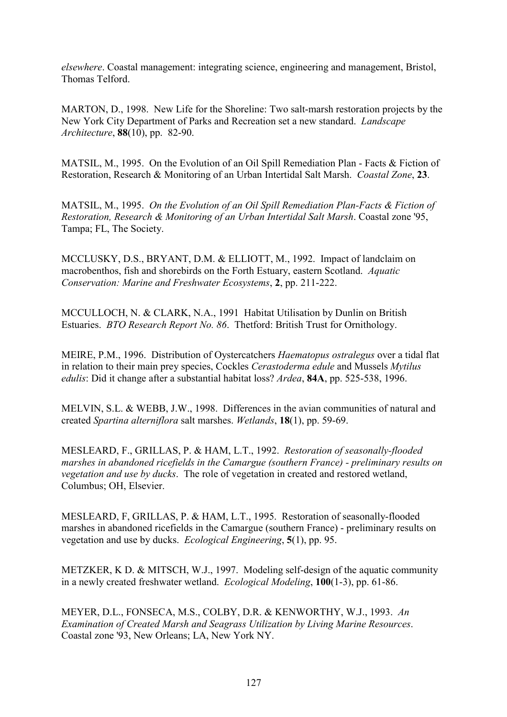*elsewhere*. Coastal management: integrating science, engineering and management, Bristol, Thomas Telford.

MARTON, D., 1998. New Life for the Shoreline: Two salt-marsh restoration projects by the New York City Department of Parks and Recreation set a new standard. *Landscape Architecture*, **88**(10), pp. 82-90.

MATSIL, M., 1995. On the Evolution of an Oil Spill Remediation Plan - Facts & Fiction of Restoration, Research & Monitoring of an Urban Intertidal Salt Marsh. *Coastal Zone*, **23**.

MATSIL, M., 1995. *On the Evolution of an Oil Spill Remediation Plan-Facts & Fiction of Restoration, Research & Monitoring of an Urban Intertidal Salt Marsh*. Coastal zone '95, Tampa; FL, The Society.

MCCLUSKY, D.S., BRYANT, D.M. & ELLIOTT, M., 1992. Impact of landclaim on macrobenthos, fish and shorebirds on the Forth Estuary, eastern Scotland. *Aquatic Conservation: Marine and Freshwater Ecosystems*, **2**, pp. 211-222.

MCCULLOCH, N. & CLARK, N.A., 1991 Habitat Utilisation by Dunlin on British Estuaries. *BTO Research Report No. 86*. Thetford: British Trust for Ornithology.

MEIRE, P.M., 1996. Distribution of Oystercatchers *Haematopus ostralegus* over a tidal flat in relation to their main prey species, Cockles *Cerastoderma edule* and Mussels *Mytilus edulis*: Did it change after a substantial habitat loss? *Ardea*, **84A**, pp. 525-538, 1996.

MELVIN, S.L. & WEBB, J.W., 1998. Differences in the avian communities of natural and created *Spartina alterniflora* salt marshes. *Wetlands*, **18**(1), pp. 59-69.

MESLEARD, F., GRILLAS, P. & HAM, L.T., 1992. *Restoration of seasonally-flooded marshes in abandoned ricefields in the Camargue (southern France) - preliminary results on vegetation and use by ducks*. The role of vegetation in created and restored wetland, Columbus; OH, Elsevier.

MESLEARD, F, GRILLAS, P. & HAM, L.T., 1995. Restoration of seasonally-flooded marshes in abandoned ricefields in the Camargue (southern France) - preliminary results on vegetation and use by ducks. *Ecological Engineering*, **5**(1), pp. 95.

METZKER, K D. & MITSCH, W.J., 1997. Modeling self-design of the aquatic community in a newly created freshwater wetland. *Ecological Modeling*, **100**(1-3), pp. 61-86.

MEYER, D.L., FONSECA, M.S., COLBY, D.R. & KENWORTHY, W.J., 1993. *An Examination of Created Marsh and Seagrass Utilization by Living Marine Resources*. Coastal zone '93, New Orleans; LA, New York NY.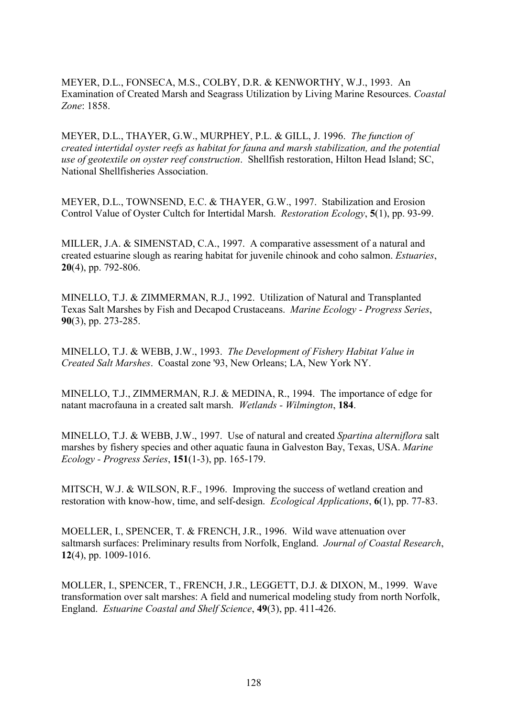MEYER, D.L., FONSECA, M.S., COLBY, D.R. & KENWORTHY, W.J., 1993. An Examination of Created Marsh and Seagrass Utilization by Living Marine Resources. *Coastal Zone*: 1858.

MEYER, D.L., THAYER, G.W., MURPHEY, P.L. & GILL, J. 1996. *The function of created intertidal oyster reefs as habitat for fauna and marsh stabilization, and the potential use of geotextile on oyster reef construction*. Shellfish restoration, Hilton Head Island; SC, National Shellfisheries Association.

MEYER, D.L., TOWNSEND, E.C. & THAYER, G.W., 1997. Stabilization and Erosion Control Value of Oyster Cultch for Intertidal Marsh. *Restoration Ecology*, **5**(1), pp. 93-99.

MILLER, J.A. & SIMENSTAD, C.A., 1997. A comparative assessment of a natural and created estuarine slough as rearing habitat for juvenile chinook and coho salmon. *Estuaries*, **20**(4), pp. 792-806.

MINELLO, T.J. & ZIMMERMAN, R.J., 1992. Utilization of Natural and Transplanted Texas Salt Marshes by Fish and Decapod Crustaceans. *Marine Ecology - Progress Series*, **90**(3), pp. 273-285.

MINELLO, T.J. & WEBB, J.W., 1993. *The Development of Fishery Habitat Value in Created Salt Marshes*. Coastal zone '93, New Orleans; LA, New York NY.

MINELLO, T.J., ZIMMERMAN, R.J. & MEDINA, R., 1994. The importance of edge for natant macrofauna in a created salt marsh. *Wetlands - Wilmington*, **184**.

MINELLO, T.J. & WEBB, J.W., 1997. Use of natural and created *Spartina alterniflora* salt marshes by fishery species and other aquatic fauna in Galveston Bay, Texas, USA. *Marine Ecology - Progress Series*, **151**(1-3), pp. 165-179.

MITSCH, W.J. & WILSON, R.F., 1996. Improving the success of wetland creation and restoration with know-how, time, and self-design. *Ecological Applications*, **6**(1), pp. 77-83.

MOELLER, I., SPENCER, T. & FRENCH, J.R., 1996. Wild wave attenuation over saltmarsh surfaces: Preliminary results from Norfolk, England. *Journal of Coastal Research*, **12**(4), pp. 1009-1016.

MOLLER, I., SPENCER, T., FRENCH, J.R., LEGGETT, D.J. & DIXON, M., 1999. Wave transformation over salt marshes: A field and numerical modeling study from north Norfolk, England. *Estuarine Coastal and Shelf Science*, **49**(3), pp. 411-426.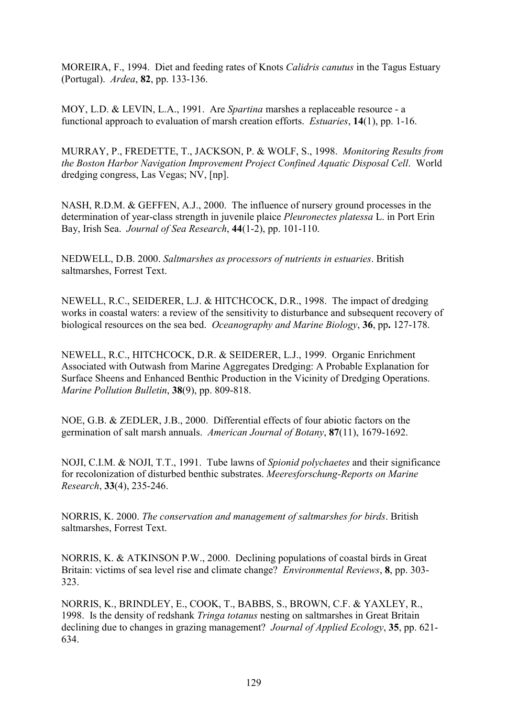MOREIRA, F., 1994. Diet and feeding rates of Knots *Calidris canutus* in the Tagus Estuary (Portugal). *Ardea*, **82**, pp. 133-136.

MOY, L.D. & LEVIN, L.A., 1991. Are *Spartina* marshes a replaceable resource - a functional approach to evaluation of marsh creation efforts. *Estuaries*, **14**(1), pp. 1-16.

MURRAY, P., FREDETTE, T., JACKSON, P. & WOLF, S., 1998. *Monitoring Results from the Boston Harbor Navigation Improvement Project Confined Aquatic Disposal Cell*. World dredging congress, Las Vegas; NV, [np].

NASH, R.D.M. & GEFFEN, A.J., 2000. The influence of nursery ground processes in the determination of year-class strength in juvenile plaice *Pleuronectes platessa* L. in Port Erin Bay, Irish Sea. *Journal of Sea Research*, **44**(1-2), pp. 101-110.

NEDWELL, D.B. 2000. *Saltmarshes as processors of nutrients in estuaries*. British saltmarshes, Forrest Text.

NEWELL, R.C., SEIDERER, L.J. & HITCHCOCK, D.R., 1998. The impact of dredging works in coastal waters: a review of the sensitivity to disturbance and subsequent recovery of biological resources on the sea bed. *Oceanography and Marine Biology*, **36**, pp**.** 127-178.

NEWELL, R.C., HITCHCOCK, D.R. & SEIDERER, L.J., 1999. Organic Enrichment Associated with Outwash from Marine Aggregates Dredging: A Probable Explanation for Surface Sheens and Enhanced Benthic Production in the Vicinity of Dredging Operations. *Marine Pollution Bulletin*, **38**(9), pp. 809-818.

NOE, G.B. & ZEDLER, J.B., 2000. Differential effects of four abiotic factors on the germination of salt marsh annuals. *American Journal of Botany*, **87**(11), 1679-1692.

NOJI, C.I.M. & NOJI, T.T., 1991. Tube lawns of *Spionid polychaetes* and their significance for recolonization of disturbed benthic substrates. *Meeresforschung-Reports on Marine Research*, **33**(4), 235-246.

NORRIS, K. 2000. *The conservation and management of saltmarshes for birds*. British saltmarshes, Forrest Text.

NORRIS, K. & ATKINSON P.W., 2000. Declining populations of coastal birds in Great Britain: victims of sea level rise and climate change? *Environmental Reviews*, **8**, pp. 303- 323.

NORRIS, K., BRINDLEY, E., COOK, T., BABBS, S., BROWN, C.F. & YAXLEY, R., 1998. Is the density of redshank *Tringa totanus* nesting on saltmarshes in Great Britain declining due to changes in grazing management? *Journal of Applied Ecology*, **35**, pp. 621- 634.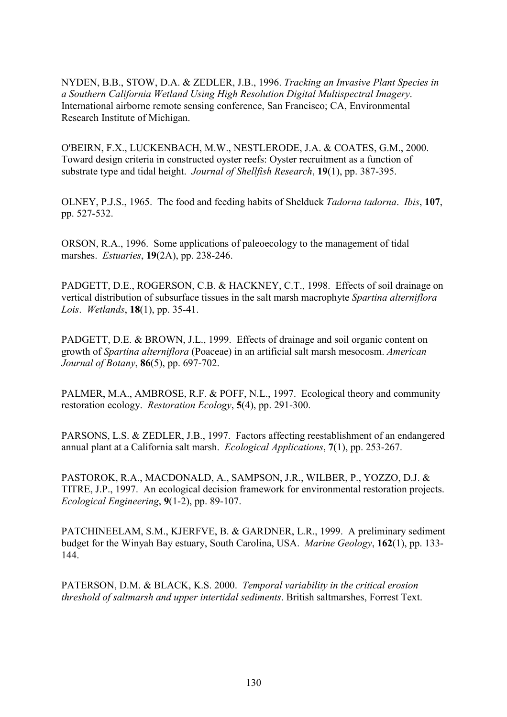NYDEN, B.B., STOW, D.A. & ZEDLER, J.B., 1996. *Tracking an Invasive Plant Species in a Southern California Wetland Using High Resolution Digital Multispectral Imagery*. International airborne remote sensing conference, San Francisco; CA, Environmental Research Institute of Michigan.

O'BEIRN, F.X., LUCKENBACH, M.W., NESTLERODE, J.A. & COATES, G.M., 2000. Toward design criteria in constructed oyster reefs: Oyster recruitment as a function of substrate type and tidal height. *Journal of Shellfish Research*, **19**(1), pp. 387-395.

OLNEY, P.J.S., 1965. The food and feeding habits of Shelduck *Tadorna tadorna*. *Ibis*, **107**, pp. 527-532.

ORSON, R.A., 1996. Some applications of paleoecology to the management of tidal marshes. *Estuaries*, **19**(2A), pp. 238-246.

PADGETT, D.E., ROGERSON, C.B. & HACKNEY, C.T., 1998. Effects of soil drainage on vertical distribution of subsurface tissues in the salt marsh macrophyte *Spartina alterniflora Lois*. *Wetlands*, **18**(1), pp. 35-41.

PADGETT, D.E. & BROWN, J.L., 1999. Effects of drainage and soil organic content on growth of *Spartina alterniflora* (Poaceae) in an artificial salt marsh mesocosm. *American Journal of Botany*, **86**(5), pp. 697-702.

PALMER, M.A., AMBROSE, R.F. & POFF, N.L., 1997. Ecological theory and community restoration ecology. *Restoration Ecology*, **5**(4), pp. 291-300.

PARSONS, L.S. & ZEDLER, J.B., 1997. Factors affecting reestablishment of an endangered annual plant at a California salt marsh. *Ecological Applications*, **7**(1), pp. 253-267.

PASTOROK, R.A., MACDONALD, A., SAMPSON, J.R., WILBER, P., YOZZO, D.J. & TITRE, J.P., 1997. An ecological decision framework for environmental restoration projects. *Ecological Engineering*, **9**(1-2), pp. 89-107.

PATCHINEELAM, S.M., KJERFVE, B. & GARDNER, L.R., 1999. A preliminary sediment budget for the Winyah Bay estuary, South Carolina, USA. *Marine Geology*, **162**(1), pp. 133- 144.

PATERSON, D.M. & BLACK, K.S. 2000. *Temporal variability in the critical erosion threshold of saltmarsh and upper intertidal sediments*. British saltmarshes, Forrest Text.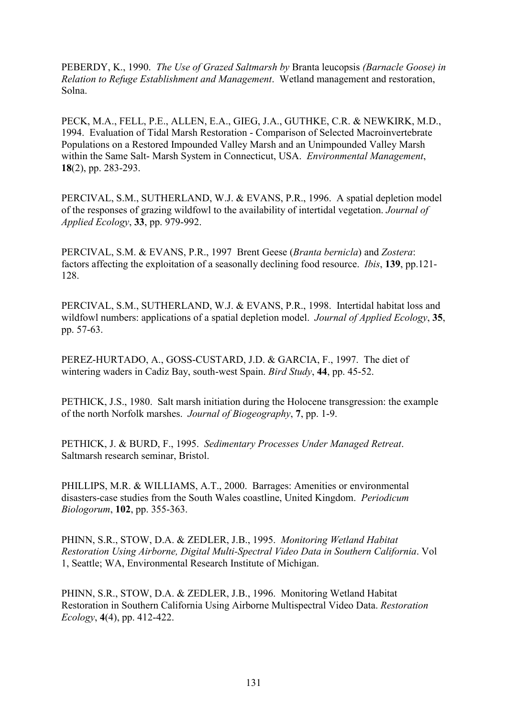PEBERDY, K., 1990. *The Use of Grazed Saltmarsh by* Branta leucopsis *(Barnacle Goose) in Relation to Refuge Establishment and Management*. Wetland management and restoration, Solna.

PECK, M.A., FELL, P.E., ALLEN, E.A., GIEG, J.A., GUTHKE, C.R. & NEWKIRK, M.D., 1994. Evaluation of Tidal Marsh Restoration - Comparison of Selected Macroinvertebrate Populations on a Restored Impounded Valley Marsh and an Unimpounded Valley Marsh within the Same Salt- Marsh System in Connecticut, USA. *Environmental Management*, **18**(2), pp. 283-293.

PERCIVAL, S.M., SUTHERLAND, W.J. & EVANS, P.R., 1996. A spatial depletion model of the responses of grazing wildfowl to the availability of intertidal vegetation. *Journal of Applied Ecology*, **33**, pp. 979-992.

PERCIVAL, S.M. & EVANS, P.R., 1997 Brent Geese (*Branta bernicla*) and *Zostera*: factors affecting the exploitation of a seasonally declining food resource. *Ibis*, **139**, pp.121- 128.

PERCIVAL, S.M., SUTHERLAND, W.J. & EVANS, P.R., 1998. Intertidal habitat loss and wildfowl numbers: applications of a spatial depletion model. *Journal of Applied Ecology*, **35**, pp. 57-63.

PEREZ-HURTADO, A., GOSS-CUSTARD, J.D. & GARCIA, F., 1997. The diet of wintering waders in Cadiz Bay, south-west Spain. *Bird Study*, **44**, pp. 45-52.

PETHICK, J.S., 1980. Salt marsh initiation during the Holocene transgression: the example of the north Norfolk marshes. *Journal of Biogeography*, **7**, pp. 1-9.

PETHICK, J. & BURD, F., 1995. *Sedimentary Processes Under Managed Retreat*. Saltmarsh research seminar, Bristol.

PHILLIPS, M.R. & WILLIAMS, A.T., 2000. Barrages: Amenities or environmental disasters-case studies from the South Wales coastline, United Kingdom. *Periodicum Biologorum*, **102**, pp. 355-363.

PHINN, S.R., STOW, D.A. & ZEDLER, J.B., 1995. *Monitoring Wetland Habitat Restoration Using Airborne, Digital Multi-Spectral Video Data in Southern California*. Vol 1, Seattle; WA, Environmental Research Institute of Michigan.

PHINN, S.R., STOW, D.A. & ZEDLER, J.B., 1996. Monitoring Wetland Habitat Restoration in Southern California Using Airborne Multispectral Video Data. *Restoration Ecology*, **4**(4), pp. 412-422.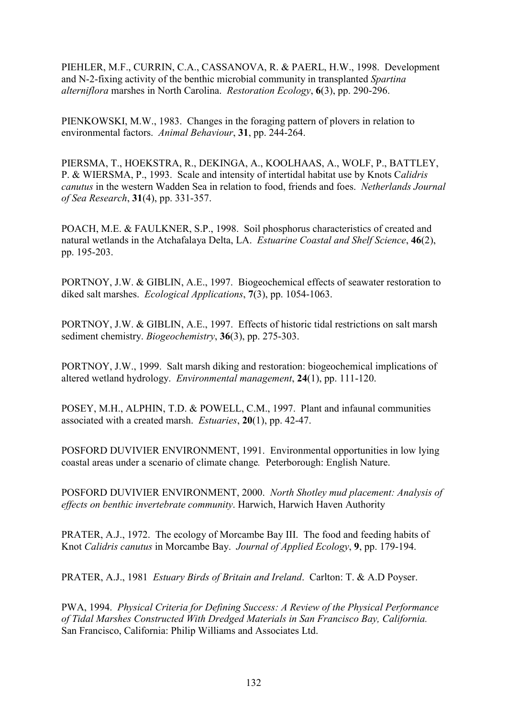PIEHLER, M.F., CURRIN, C.A., CASSANOVA, R. & PAERL, H.W., 1998. Development and N-2-fixing activity of the benthic microbial community in transplanted *Spartina alterniflora* marshes in North Carolina. *Restoration Ecology*, **6**(3), pp. 290-296.

PIENKOWSKI, M.W., 1983. Changes in the foraging pattern of plovers in relation to environmental factors. *Animal Behaviour*, **31**, pp. 244-264.

PIERSMA, T., HOEKSTRA, R., DEKINGA, A., KOOLHAAS, A., WOLF, P., BATTLEY, P. & WIERSMA, P., 1993. Scale and intensity of intertidal habitat use by Knots C*alidris canutus* in the western Wadden Sea in relation to food, friends and foes. *Netherlands Journal of Sea Research*, **31**(4), pp. 331-357.

POACH, M.E. & FAULKNER, S.P., 1998. Soil phosphorus characteristics of created and natural wetlands in the Atchafalaya Delta, LA. *Estuarine Coastal and Shelf Science*, **46**(2), pp. 195-203.

PORTNOY, J.W. & GIBLIN, A.E., 1997. Biogeochemical effects of seawater restoration to diked salt marshes. *Ecological Applications*, **7**(3), pp. 1054-1063.

PORTNOY, J.W. & GIBLIN, A.E., 1997. Effects of historic tidal restrictions on salt marsh sediment chemistry. *Biogeochemistry*, **36**(3), pp. 275-303.

PORTNOY, J.W., 1999. Salt marsh diking and restoration: biogeochemical implications of altered wetland hydrology. *Environmental management*, **24**(1), pp. 111-120.

POSEY, M.H., ALPHIN, T.D. & POWELL, C.M., 1997. Plant and infaunal communities associated with a created marsh. *Estuaries*, **20**(1), pp. 42-47.

POSFORD DUVIVIER ENVIRONMENT, 1991. Environmental opportunities in low lying coastal areas under a scenario of climate change*.* Peterborough: English Nature.

POSFORD DUVIVIER ENVIRONMENT, 2000. *North Shotley mud placement: Analysis of effects on benthic invertebrate community*. Harwich, Harwich Haven Authority

PRATER, A.J., 1972. The ecology of Morcambe Bay III. The food and feeding habits of Knot *Calidris canutus* in Morcambe Bay. *Journal of Applied Ecology*, **9**, pp. 179-194.

PRATER, A.J., 1981 *Estuary Birds of Britain and Ireland*. Carlton: T. & A.D Poyser.

PWA, 1994. *Physical Criteria for Defining Success: A Review of the Physical Performance of Tidal Marshes Constructed With Dredged Materials in San Francisco Bay, California.*  San Francisco, California: Philip Williams and Associates Ltd.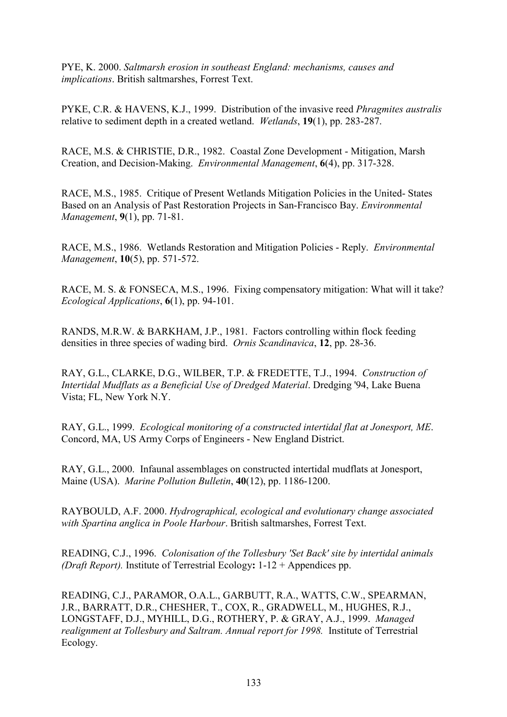PYE, K. 2000. *Saltmarsh erosion in southeast England: mechanisms, causes and implications*. British saltmarshes, Forrest Text.

PYKE, C.R. & HAVENS, K.J., 1999. Distribution of the invasive reed *Phragmites australis* relative to sediment depth in a created wetland. *Wetlands*, **19**(1), pp. 283-287.

RACE, M.S. & CHRISTIE, D.R., 1982. Coastal Zone Development - Mitigation, Marsh Creation, and Decision-Making. *Environmental Management*, **6**(4), pp. 317-328.

RACE, M.S., 1985. Critique of Present Wetlands Mitigation Policies in the United- States Based on an Analysis of Past Restoration Projects in San-Francisco Bay. *Environmental Management*, **9**(1), pp. 71-81.

RACE, M.S., 1986. Wetlands Restoration and Mitigation Policies - Reply. *Environmental Management*, **10**(5), pp. 571-572.

RACE, M. S. & FONSECA, M.S., 1996. Fixing compensatory mitigation: What will it take? *Ecological Applications*, **6**(1), pp. 94-101.

RANDS, M.R.W. & BARKHAM, J.P., 1981. Factors controlling within flock feeding densities in three species of wading bird. *Ornis Scandinavica*, **12**, pp. 28-36.

RAY, G.L., CLARKE, D.G., WILBER, T.P. & FREDETTE, T.J., 1994. *Construction of Intertidal Mudflats as a Beneficial Use of Dredged Material*. Dredging '94, Lake Buena Vista; FL, New York N.Y.

RAY, G.L., 1999. *Ecological monitoring of a constructed intertidal flat at Jonesport, ME*. Concord, MA, US Army Corps of Engineers - New England District.

RAY, G.L., 2000. Infaunal assemblages on constructed intertidal mudflats at Jonesport, Maine (USA). *Marine Pollution Bulletin*, **40**(12), pp. 1186-1200.

RAYBOULD, A.F. 2000. *Hydrographical, ecological and evolutionary change associated with Spartina anglica in Poole Harbour*. British saltmarshes, Forrest Text.

READING, C.J., 1996. *Colonisation of the Tollesbury 'Set Back' site by intertidal animals (Draft Report).* Institute of Terrestrial Ecology**:** 1-12 + Appendices pp.

READING, C.J., PARAMOR, O.A.L., GARBUTT, R.A., WATTS, C.W., SPEARMAN, J.R., BARRATT, D.R., CHESHER, T., COX, R., GRADWELL, M., HUGHES, R.J., LONGSTAFF, D.J., MYHILL, D.G., ROTHERY, P. & GRAY, A.J., 1999. *Managed realignment at Tollesbury and Saltram. Annual report for 1998.* Institute of Terrestrial Ecology.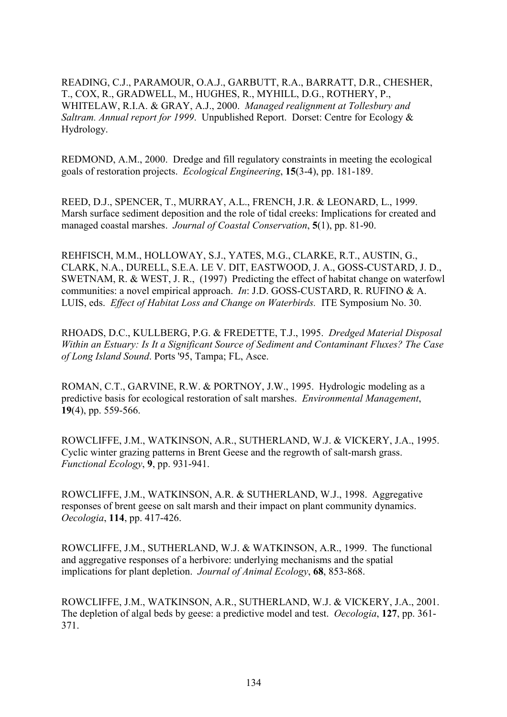READING, C.J., PARAMOUR, O.A.J., GARBUTT, R.A., BARRATT, D.R., CHESHER, T., COX, R., GRADWELL, M., HUGHES, R., MYHILL, D.G., ROTHERY, P., WHITELAW, R.I.A. & GRAY, A.J., 2000. *Managed realignment at Tollesbury and Saltram. Annual report for 1999*. Unpublished Report. Dorset: Centre for Ecology & Hydrology.

REDMOND, A.M., 2000. Dredge and fill regulatory constraints in meeting the ecological goals of restoration projects. *Ecological Engineering*, **15**(3-4), pp. 181-189.

REED, D.J., SPENCER, T., MURRAY, A.L., FRENCH, J.R. & LEONARD, L., 1999. Marsh surface sediment deposition and the role of tidal creeks: Implications for created and managed coastal marshes. *Journal of Coastal Conservation*, **5**(1), pp. 81-90.

REHFISCH, M.M., HOLLOWAY, S.J., YATES, M.G., CLARKE, R.T., AUSTIN, G., CLARK, N.A., DURELL, S.E.A. LE V. DIT, EASTWOOD, J. A., GOSS-CUSTARD, J. D., SWETNAM, R. & WEST, J. R., (1997) Predicting the effect of habitat change on waterfowl communities: a novel empirical approach. *In*: J.D. GOSS-CUSTARD, R. RUFINO & A. LUIS, eds. *Effect of Habitat Loss and Change on Waterbirds.* ITE Symposium No. 30.

RHOADS, D.C., KULLBERG, P.G. & FREDETTE, T.J., 1995. *Dredged Material Disposal Within an Estuary: Is It a Significant Source of Sediment and Contaminant Fluxes? The Case of Long Island Sound*. Ports '95, Tampa; FL, Asce.

ROMAN, C.T., GARVINE, R.W. & PORTNOY, J.W., 1995. Hydrologic modeling as a predictive basis for ecological restoration of salt marshes. *Environmental Management*, **19**(4), pp. 559-566.

ROWCLIFFE, J.M., WATKINSON, A.R., SUTHERLAND, W.J. & VICKERY, J.A., 1995. Cyclic winter grazing patterns in Brent Geese and the regrowth of salt-marsh grass. *Functional Ecology*, **9**, pp. 931-941.

ROWCLIFFE, J.M., WATKINSON, A.R. & SUTHERLAND, W.J., 1998. Aggregative responses of brent geese on salt marsh and their impact on plant community dynamics. *Oecologia*, **114**, pp. 417-426.

ROWCLIFFE, J.M., SUTHERLAND, W.J. & WATKINSON, A.R., 1999. The functional and aggregative responses of a herbivore: underlying mechanisms and the spatial implications for plant depletion. *Journal of Animal Ecology*, **68**, 853-868.

ROWCLIFFE, J.M., WATKINSON, A.R., SUTHERLAND, W.J. & VICKERY, J.A., 2001. The depletion of algal beds by geese: a predictive model and test. *Oecologia*, **127**, pp. 361- 371.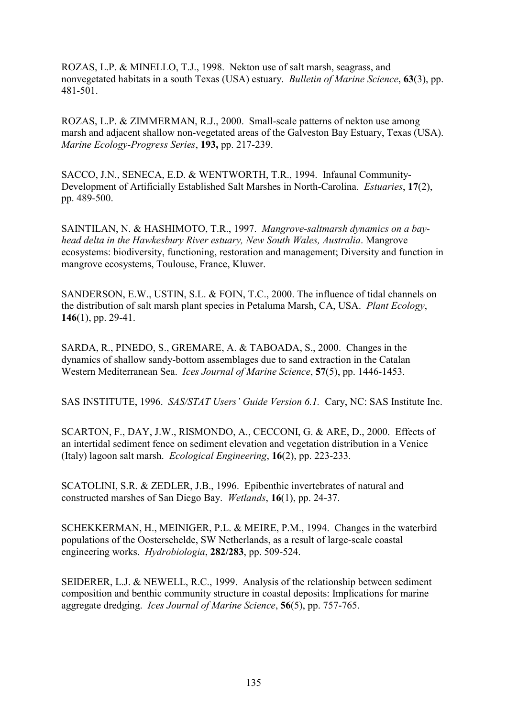ROZAS, L.P. & MINELLO, T.J., 1998. Nekton use of salt marsh, seagrass, and nonvegetated habitats in a south Texas (USA) estuary. *Bulletin of Marine Science*, **63**(3), pp. 481-501.

ROZAS, L.P. & ZIMMERMAN, R.J., 2000. Small-scale patterns of nekton use among marsh and adjacent shallow non-vegetated areas of the Galveston Bay Estuary, Texas (USA). *Marine Ecology-Progress Series*, **193,** pp. 217-239.

SACCO, J.N., SENECA, E.D. & WENTWORTH, T.R., 1994. Infaunal Community-Development of Artificially Established Salt Marshes in North-Carolina. *Estuaries*, **17**(2), pp. 489-500.

SAINTILAN, N. & HASHIMOTO, T.R., 1997. *Mangrove-saltmarsh dynamics on a bayhead delta in the Hawkesbury River estuary, New South Wales, Australia*. Mangrove ecosystems: biodiversity, functioning, restoration and management; Diversity and function in mangrove ecosystems, Toulouse, France, Kluwer.

SANDERSON, E.W., USTIN, S.L. & FOIN, T.C., 2000. The influence of tidal channels on the distribution of salt marsh plant species in Petaluma Marsh, CA, USA. *Plant Ecology*, **146**(1), pp. 29-41.

SARDA, R., PINEDO, S., GREMARE, A. & TABOADA, S., 2000. Changes in the dynamics of shallow sandy-bottom assemblages due to sand extraction in the Catalan Western Mediterranean Sea. *Ices Journal of Marine Science*, **57**(5), pp. 1446-1453.

SAS INSTITUTE, 1996. *SAS/STAT Users' Guide Version 6.1.* Cary, NC: SAS Institute Inc.

SCARTON, F., DAY, J.W., RISMONDO, A., CECCONI, G. & ARE, D., 2000. Effects of an intertidal sediment fence on sediment elevation and vegetation distribution in a Venice (Italy) lagoon salt marsh. *Ecological Engineering*, **16**(2), pp. 223-233.

SCATOLINI, S.R. & ZEDLER, J.B., 1996. Epibenthic invertebrates of natural and constructed marshes of San Diego Bay. *Wetlands*, **16**(1), pp. 24-37.

SCHEKKERMAN, H., MEINIGER, P.L. & MEIRE, P.M., 1994. Changes in the waterbird populations of the Oosterschelde, SW Netherlands, as a result of large-scale coastal engineering works. *Hydrobiologia*, **282/283**, pp. 509-524.

SEIDERER, L.J. & NEWELL, R.C., 1999. Analysis of the relationship between sediment composition and benthic community structure in coastal deposits: Implications for marine aggregate dredging. *Ices Journal of Marine Science*, **56**(5), pp. 757-765.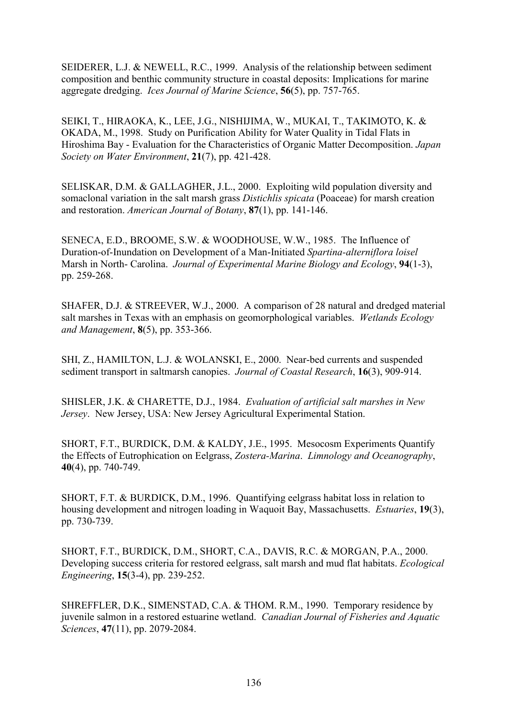SEIDERER, L.J. & NEWELL, R.C., 1999. Analysis of the relationship between sediment composition and benthic community structure in coastal deposits: Implications for marine aggregate dredging. *Ices Journal of Marine Science*, **56**(5), pp. 757-765.

SEIKI, T., HIRAOKA, K., LEE, J.G., NISHIJIMA, W., MUKAI, T., TAKIMOTO, K. & OKADA, M., 1998. Study on Purification Ability for Water Quality in Tidal Flats in Hiroshima Bay - Evaluation for the Characteristics of Organic Matter Decomposition. *Japan Society on Water Environment*, **21**(7), pp. 421-428.

SELISKAR, D.M. & GALLAGHER, J.L., 2000. Exploiting wild population diversity and somaclonal variation in the salt marsh grass *Distichlis spicata* (Poaceae) for marsh creation and restoration. *American Journal of Botany*, **87**(1), pp. 141-146.

SENECA, E.D., BROOME, S.W. & WOODHOUSE, W.W., 1985. The Influence of Duration-of-Inundation on Development of a Man-Initiated *Spartina-alterniflora loisel* Marsh in North- Carolina. *Journal of Experimental Marine Biology and Ecology*, **94**(1-3), pp. 259-268.

SHAFER, D.J. & STREEVER, W.J., 2000. A comparison of 28 natural and dredged material salt marshes in Texas with an emphasis on geomorphological variables. *Wetlands Ecology and Management*, **8**(5), pp. 353-366.

SHI, Z., HAMILTON, L.J. & WOLANSKI, E., 2000. Near-bed currents and suspended sediment transport in saltmarsh canopies. *Journal of Coastal Research*, **16**(3), 909-914.

SHISLER, J.K. & CHARETTE, D.J., 1984. *Evaluation of artificial salt marshes in New Jersey*. New Jersey, USA: New Jersey Agricultural Experimental Station.

SHORT, F.T., BURDICK, D.M. & KALDY, J.E., 1995. Mesocosm Experiments Quantify the Effects of Eutrophication on Eelgrass, *Zostera-Marina*. *Limnology and Oceanography*, **40**(4), pp. 740-749.

SHORT, F.T. & BURDICK, D.M., 1996. Quantifying eelgrass habitat loss in relation to housing development and nitrogen loading in Waquoit Bay, Massachusetts. *Estuaries*, **19**(3), pp. 730-739.

SHORT, F.T., BURDICK, D.M., SHORT, C.A., DAVIS, R.C. & MORGAN, P.A., 2000. Developing success criteria for restored eelgrass, salt marsh and mud flat habitats. *Ecological Engineering*, **15**(3-4), pp. 239-252.

SHREFFLER, D.K., SIMENSTAD, C.A. & THOM. R.M., 1990. Temporary residence by juvenile salmon in a restored estuarine wetland. *Canadian Journal of Fisheries and Aquatic Sciences*, **47**(11), pp. 2079-2084.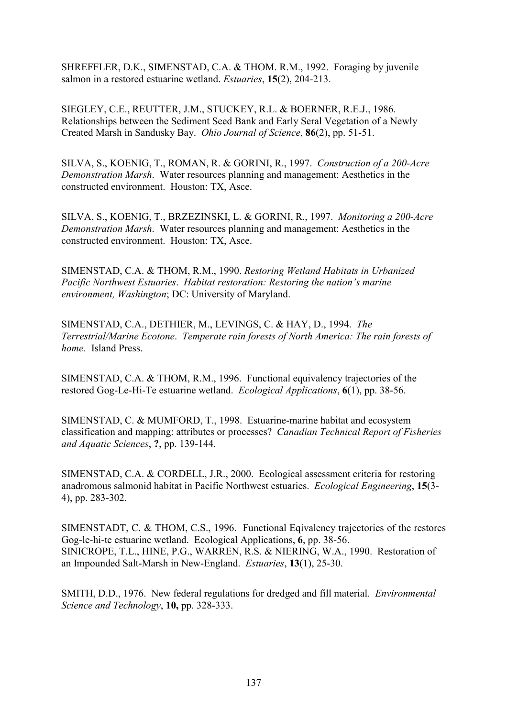SHREFFLER, D.K., SIMENSTAD, C.A. & THOM. R.M., 1992. Foraging by juvenile salmon in a restored estuarine wetland. *Estuaries*, **15**(2), 204-213.

SIEGLEY, C.E., REUTTER, J.M., STUCKEY, R.L. & BOERNER, R.E.J., 1986. Relationships between the Sediment Seed Bank and Early Seral Vegetation of a Newly Created Marsh in Sandusky Bay. *Ohio Journal of Science*, **86**(2), pp. 51-51.

SILVA, S., KOENIG, T., ROMAN, R. & GORINI, R., 1997. *Construction of a 200-Acre Demonstration Marsh*. Water resources planning and management: Aesthetics in the constructed environment. Houston: TX, Asce.

SILVA, S., KOENIG, T., BRZEZINSKI, L. & GORINI, R., 1997. *Monitoring a 200-Acre Demonstration Marsh*. Water resources planning and management: Aesthetics in the constructed environment. Houston: TX, Asce.

SIMENSTAD, C.A. & THOM, R.M., 1990. *Restoring Wetland Habitats in Urbanized Pacific Northwest Estuaries*. *Habitat restoration: Restoring the nation's marine environment, Washington*; DC: University of Maryland.

SIMENSTAD, C.A., DETHIER, M., LEVINGS, C. & HAY, D., 1994. *The Terrestrial/Marine Ecotone*. *Temperate rain forests of North America: The rain forests of home.* Island Press.

SIMENSTAD, C.A. & THOM, R.M., 1996. Functional equivalency trajectories of the restored Gog-Le-Hi-Te estuarine wetland. *Ecological Applications*, **6**(1), pp. 38-56.

SIMENSTAD, C. & MUMFORD, T., 1998. Estuarine-marine habitat and ecosystem classification and mapping: attributes or processes? *Canadian Technical Report of Fisheries and Aquatic Sciences*, **?**, pp. 139-144.

SIMENSTAD, C.A. & CORDELL, J.R., 2000. Ecological assessment criteria for restoring anadromous salmonid habitat in Pacific Northwest estuaries. *Ecological Engineering*, **15**(3- 4), pp. 283-302.

SIMENSTADT, C. & THOM, C.S., 1996. Functional Eqivalency trajectories of the restores Gog-le-hi-te estuarine wetland. Ecological Applications, **6**, pp. 38-56. SINICROPE, T.L., HINE, P.G., WARREN, R.S. & NIERING, W.A., 1990. Restoration of an Impounded Salt-Marsh in New-England. *Estuaries*, **13**(1), 25-30.

SMITH, D.D., 1976. New federal regulations for dredged and fill material. *Environmental Science and Technology*, **10,** pp. 328-333.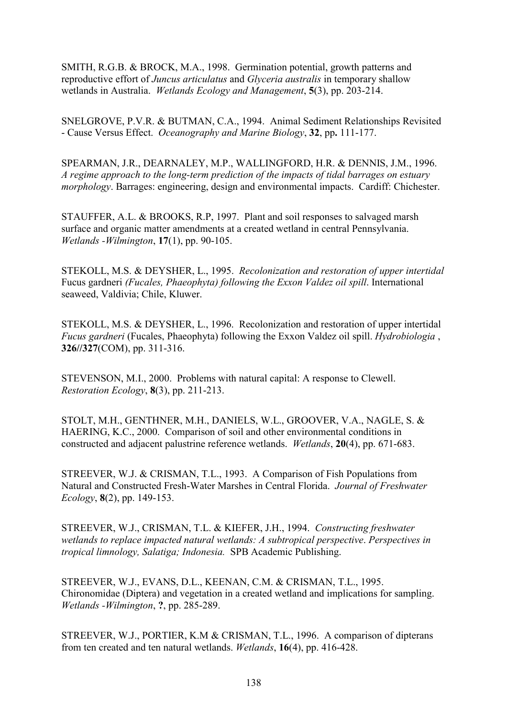SMITH, R.G.B. & BROCK, M.A., 1998. Germination potential, growth patterns and reproductive effort of *Juncus articulatus* and *Glyceria australis* in temporary shallow wetlands in Australia. *Wetlands Ecology and Management*, **5**(3), pp. 203-214.

SNELGROVE, P.V.R. & BUTMAN, C.A., 1994. Animal Sediment Relationships Revisited - Cause Versus Effect. *Oceanography and Marine Biology*, **32**, pp**.** 111-177.

SPEARMAN, J.R., DEARNALEY, M.P., WALLINGFORD, H.R. & DENNIS, J.M., 1996. *A regime approach to the long-term prediction of the impacts of tidal barrages on estuary morphology*. Barrages: engineering, design and environmental impacts. Cardiff: Chichester.

STAUFFER, A.L. & BROOKS, R.P, 1997. Plant and soil responses to salvaged marsh surface and organic matter amendments at a created wetland in central Pennsylvania. *Wetlands -Wilmington*, **17**(1), pp. 90-105.

STEKOLL, M.S. & DEYSHER, L., 1995. *Recolonization and restoration of upper intertidal*  Fucus gardneri *(Fucales, Phaeophyta) following the Exxon Valdez oil spill*. International seaweed, Valdivia; Chile, Kluwer.

STEKOLL, M.S. & DEYSHER, L., 1996. Recolonization and restoration of upper intertidal *Fucus gardneri* (Fucales, Phaeophyta) following the Exxon Valdez oil spill. *Hydrobiologia* , **326//327**(COM), pp. 311-316.

STEVENSON, M.I., 2000. Problems with natural capital: A response to Clewell. *Restoration Ecology*, **8**(3), pp. 211-213.

STOLT, M.H., GENTHNER, M.H., DANIELS, W.L., GROOVER, V.A., NAGLE, S. & HAERING, K.C., 2000. Comparison of soil and other environmental conditions in constructed and adjacent palustrine reference wetlands. *Wetlands*, **20**(4), pp. 671-683.

STREEVER, W.J. & CRISMAN, T.L., 1993. A Comparison of Fish Populations from Natural and Constructed Fresh-Water Marshes in Central Florida. *Journal of Freshwater Ecology*, **8**(2), pp. 149-153.

STREEVER, W.J., CRISMAN, T.L. & KIEFER, J.H., 1994. *Constructing freshwater wetlands to replace impacted natural wetlands: A subtropical perspective*. *Perspectives in tropical limnology, Salatiga; Indonesia.* SPB Academic Publishing.

STREEVER, W.J., EVANS, D.L., KEENAN, C.M. & CRISMAN, T.L., 1995. Chironomidae (Diptera) and vegetation in a created wetland and implications for sampling. *Wetlands -Wilmington*, **?**, pp. 285-289.

STREEVER, W.J., PORTIER, K.M & CRISMAN, T.L., 1996. A comparison of dipterans from ten created and ten natural wetlands. *Wetlands*, **16**(4), pp. 416-428.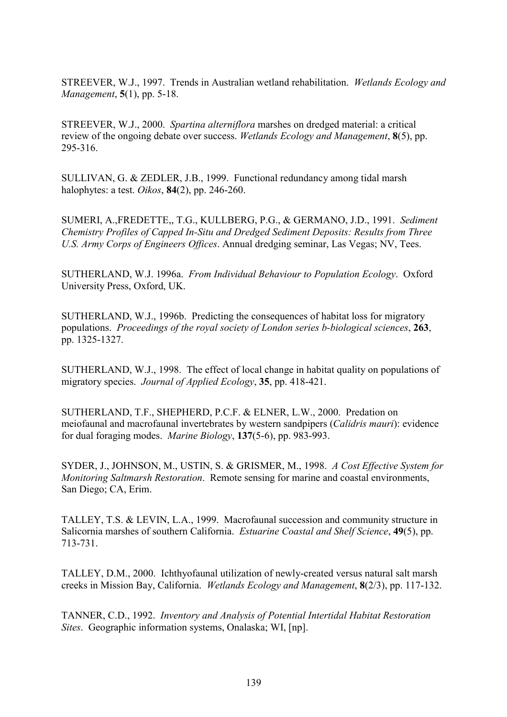STREEVER, W.J., 1997. Trends in Australian wetland rehabilitation. *Wetlands Ecology and Management*, **5**(1), pp. 5-18.

STREEVER, W.J., 2000. *Spartina alterniflora* marshes on dredged material: a critical review of the ongoing debate over success. *Wetlands Ecology and Management*, **8**(5), pp. 295-316.

SULLIVAN, G. & ZEDLER, J.B., 1999. Functional redundancy among tidal marsh halophytes: a test. *Oikos*, **84**(2), pp. 246-260.

SUMERI, A.,FREDETTE,, T.G., KULLBERG, P.G., & GERMANO, J.D., 1991. *Sediment Chemistry Profiles of Capped In-Situ and Dredged Sediment Deposits: Results from Three U.S. Army Corps of Engineers Offices*. Annual dredging seminar, Las Vegas; NV, Tees.

SUTHERLAND, W.J. 1996a. *From Individual Behaviour to Population Ecology*. Oxford University Press, Oxford, UK.

SUTHERLAND, W.J., 1996b. Predicting the consequences of habitat loss for migratory populations. *Proceedings of the royal society of London series b-biological sciences*, **263**, pp. 1325-1327.

SUTHERLAND, W.J., 1998. The effect of local change in habitat quality on populations of migratory species. *Journal of Applied Ecology*, **35**, pp. 418-421.

SUTHERLAND, T.F., SHEPHERD, P.C.F. & ELNER, L.W., 2000. Predation on meiofaunal and macrofaunal invertebrates by western sandpipers (*Calidris mauri*): evidence for dual foraging modes. *Marine Biology*, **137**(5-6), pp. 983-993.

SYDER, J., JOHNSON, M., USTIN, S. & GRISMER, M., 1998. *A Cost Effective System for Monitoring Saltmarsh Restoration*. Remote sensing for marine and coastal environments, San Diego; CA, Erim.

TALLEY, T.S. & LEVIN, L.A., 1999. Macrofaunal succession and community structure in Salicornia marshes of southern California. *Estuarine Coastal and Shelf Science*, **49**(5), pp. 713-731.

TALLEY, D.M., 2000. Ichthyofaunal utilization of newly-created versus natural salt marsh creeks in Mission Bay, California. *Wetlands Ecology and Management*, **8**(2/3), pp. 117-132.

TANNER, C.D., 1992. *Inventory and Analysis of Potential Intertidal Habitat Restoration Sites*. Geographic information systems, Onalaska; WI, [np].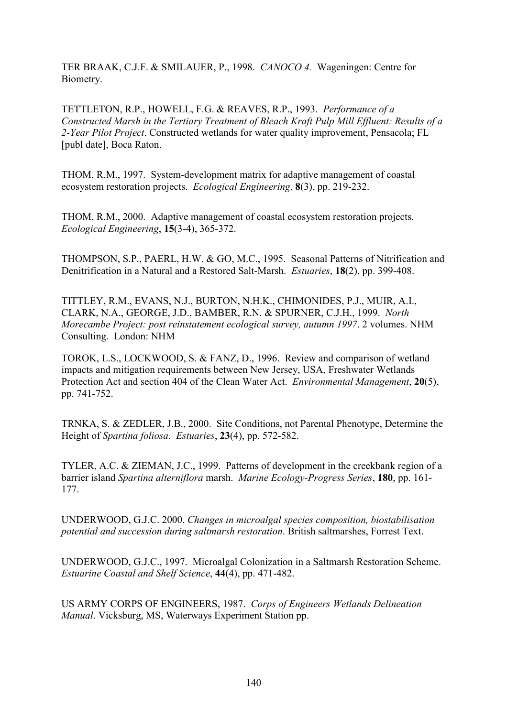TER BRAAK, C.J.F. & SMILAUER, P., 1998. *CANOCO 4.* Wageningen: Centre for Biometry.

TETTLETON, R.P., HOWELL, F.G. & REAVES, R.P., 1993. *Performance of a Constructed Marsh in the Tertiary Treatment of Bleach Kraft Pulp Mill Effluent: Results of a 2-Year Pilot Project*. Constructed wetlands for water quality improvement, Pensacola; FL [publ date], Boca Raton.

THOM, R.M., 1997. System-development matrix for adaptive management of coastal ecosystem restoration projects. *Ecological Engineering*, **8**(3), pp. 219-232.

THOM, R.M., 2000. Adaptive management of coastal ecosystem restoration projects. *Ecological Engineering*, **15**(3-4), 365-372.

THOMPSON, S.P., PAERL, H.W. & GO, M.C., 1995. Seasonal Patterns of Nitrification and Denitrification in a Natural and a Restored Salt-Marsh. *Estuaries*, **18**(2), pp. 399-408.

TITTLEY, R.M., EVANS, N.J., BURTON, N.H.K., CHIMONIDES, P.J., MUIR, A.I., CLARK, N.A., GEORGE, J.D., BAMBER, R.N. & SPURNER, C.J.H., 1999. *North Morecambe Project: post reinstatement ecological survey, autumn 1997*. 2 volumes. NHM Consulting. London: NHM

TOROK, L.S., LOCKWOOD, S. & FANZ, D., 1996. Review and comparison of wetland impacts and mitigation requirements between New Jersey, USA, Freshwater Wetlands Protection Act and section 404 of the Clean Water Act. *Environmental Management*, **20**(5), pp. 741-752.

TRNKA, S. & ZEDLER, J.B., 2000. Site Conditions, not Parental Phenotype, Determine the Height of *Spartina foliosa*. *Estuaries*, **23**(4), pp. 572-582.

TYLER, A.C. & ZIEMAN, J.C., 1999. Patterns of development in the creekbank region of a barrier island *Spartina alterniflora* marsh. *Marine Ecology-Progress Series*, **180**, pp. 161- 177.

UNDERWOOD, G.J.C. 2000. *Changes in microalgal species composition, biostabilisation potential and succession during saltmarsh restoration*. British saltmarshes, Forrest Text.

UNDERWOOD, G.J.C., 1997. Microalgal Colonization in a Saltmarsh Restoration Scheme. *Estuarine Coastal and Shelf Science*, **44**(4), pp. 471-482.

US ARMY CORPS OF ENGINEERS, 1987. *Corps of Engineers Wetlands Delineation Manual*. Vicksburg, MS, Waterways Experiment Station pp.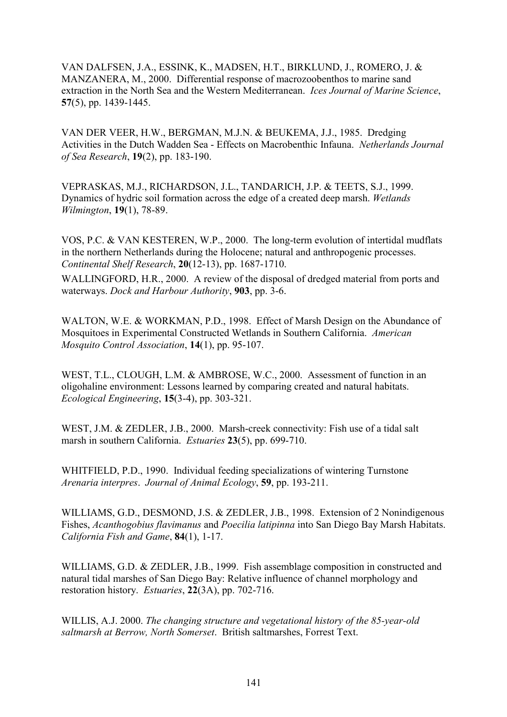VAN DALFSEN, J.A., ESSINK, K., MADSEN, H.T., BIRKLUND, J., ROMERO, J. & MANZANERA, M., 2000. Differential response of macrozoobenthos to marine sand extraction in the North Sea and the Western Mediterranean. *Ices Journal of Marine Science*, **57**(5), pp. 1439-1445.

VAN DER VEER, H.W., BERGMAN, M.J.N. & BEUKEMA, J.J., 1985. Dredging Activities in the Dutch Wadden Sea - Effects on Macrobenthic Infauna. *Netherlands Journal of Sea Research*, **19**(2), pp. 183-190.

VEPRASKAS, M.J., RICHARDSON, J.L., TANDARICH, J.P. & TEETS, S.J., 1999. Dynamics of hydric soil formation across the edge of a created deep marsh. *Wetlands Wilmington*, **19**(1), 78-89.

VOS, P.C. & VAN KESTEREN, W.P., 2000. The long-term evolution of intertidal mudflats in the northern Netherlands during the Holocene; natural and anthropogenic processes. *Continental Shelf Research*, **20**(12-13), pp. 1687-1710.

WALLINGFORD, H.R., 2000. A review of the disposal of dredged material from ports and waterways. *Dock and Harbour Authority*, **903**, pp. 3-6.

WALTON, W.E. & WORKMAN, P.D., 1998. Effect of Marsh Design on the Abundance of Mosquitoes in Experimental Constructed Wetlands in Southern California. *American Mosquito Control Association*, **14**(1), pp. 95-107.

WEST, T.L., CLOUGH, L.M. & AMBROSE, W.C., 2000. Assessment of function in an oligohaline environment: Lessons learned by comparing created and natural habitats. *Ecological Engineering*, **15**(3-4), pp. 303-321.

WEST, J.M. & ZEDLER, J.B., 2000. Marsh-creek connectivity: Fish use of a tidal salt marsh in southern California. *Estuaries* **23**(5), pp. 699-710.

WHITFIELD, P.D., 1990. Individual feeding specializations of wintering Turnstone *Arenaria interpres*. *Journal of Animal Ecology*, **59**, pp. 193-211.

WILLIAMS, G.D., DESMOND, J.S. & ZEDLER, J.B., 1998. Extension of 2 Nonindigenous Fishes, *Acanthogobius flavimanus* and *Poecilia latipinna* into San Diego Bay Marsh Habitats. *California Fish and Game*, **84**(1), 1-17.

WILLIAMS, G.D. & ZEDLER, J.B., 1999. Fish assemblage composition in constructed and natural tidal marshes of San Diego Bay: Relative influence of channel morphology and restoration history. *Estuaries*, **22**(3A), pp. 702-716.

WILLIS, A.J. 2000. *The changing structure and vegetational history of the 85-year-old saltmarsh at Berrow, North Somerset*. British saltmarshes, Forrest Text.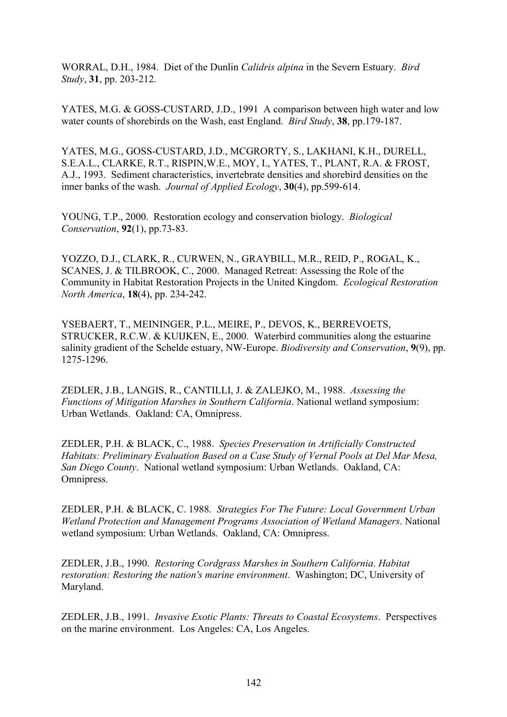WORRAL, D.H., 1984. Diet of the Dunlin *Calidris alpina* in the Severn Estuary. *Bird Study*, **31**, pp. 203-212.

YATES, M.G. & GOSS-CUSTARD, J.D., 1991 A comparison between high water and low water counts of shorebirds on the Wash, east England. *Bird Study*, **38**, pp.179-187.

YATES, M.G., GOSS-CUSTARD, J.D., MCGRORTY, S., LAKHANI, K.H., DURELL, S.E.A.L., CLARKE, R.T., RISPIN,W.E., MOY, I., YATES, T., PLANT, R.A. & FROST, A.J., 1993. Sediment characteristics, invertebrate densities and shorebird densities on the inner banks of the wash. *Journal of Applied Ecology*, **30**(4), pp.599-614.

YOUNG, T.P., 2000. Restoration ecology and conservation biology. *Biological Conservation*, **92**(1), pp.73-83.

YOZZO, D.J., CLARK, R., CURWEN, N., GRAYBILL, M.R., REID, P., ROGAL, K., SCANES, J. & TILBROOK, C., 2000. Managed Retreat: Assessing the Role of the Community in Habitat Restoration Projects in the United Kingdom. *Ecological Restoration North America*, **18**(4), pp. 234-242.

YSEBAERT, T., MEININGER, P.L., MEIRE, P., DEVOS, K., BERREVOETS, STRUCKER, R.C.W. & KUIJKEN, E., 2000. Waterbird communities along the estuarine salinity gradient of the Schelde estuary, NW-Europe. *Biodiversity and Conservation*, **9**(9), pp. 1275-1296.

ZEDLER, J.B., LANGIS, R., CANTILLI, J. & ZALEJKO, M., 1988. *Assessing the Functions of Mitigation Marshes in Southern California*. National wetland symposium: Urban Wetlands. Oakland: CA, Omnipress.

ZEDLER, P.H. & BLACK, C., 1988. *Species Preservation in Artificially Constructed Habitats: Preliminary Evaluation Based on a Case Study of Vernal Pools at Del Mar Mesa, San Diego County*. National wetland symposium: Urban Wetlands. Oakland, CA: Omnipress.

ZEDLER, P.H. & BLACK, C. 1988. *Strategies For The Future: Local Government Urban Wetland Protection and Management Programs Association of Wetland Managers*. National wetland symposium: Urban Wetlands. Oakland, CA: Omnipress.

ZEDLER, J.B., 1990. *Restoring Cordgrass Marshes in Southern California*. *Habitat restoration: Restoring the nation's marine environment*. Washington; DC, University of Maryland.

ZEDLER, J.B., 1991. *Invasive Exotic Plants: Threats to Coastal Ecosystems*. Perspectives on the marine environment. Los Angeles: CA, Los Angeles.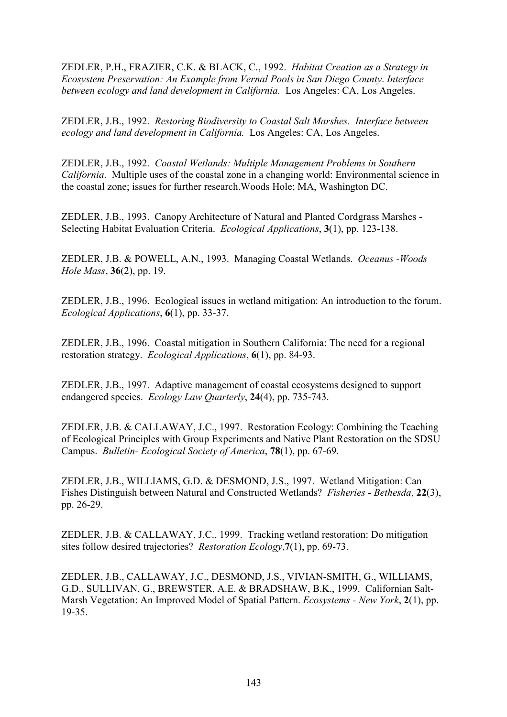ZEDLER, P.H., FRAZIER, C.K. & BLACK, C., 1992. *Habitat Creation as a Strategy in Ecosystem Preservation: An Example from Vernal Pools in San Diego County*. *Interface between ecology and land development in California.* Los Angeles: CA, Los Angeles.

ZEDLER, J.B., 1992. *Restoring Biodiversity to Coastal Salt Marshes. Interface between ecology and land development in California.* Los Angeles: CA, Los Angeles.

ZEDLER, J.B., 1992. *Coastal Wetlands: Multiple Management Problems in Southern California*. Multiple uses of the coastal zone in a changing world: Environmental science in the coastal zone; issues for further research.Woods Hole; MA, Washington DC.

ZEDLER, J.B., 1993. Canopy Architecture of Natural and Planted Cordgrass Marshes - Selecting Habitat Evaluation Criteria. *Ecological Applications*, **3**(1), pp. 123-138.

ZEDLER, J.B. & POWELL, A.N., 1993. Managing Coastal Wetlands. *Oceanus -Woods Hole Mass*, **36**(2), pp. 19.

ZEDLER, J.B., 1996. Ecological issues in wetland mitigation: An introduction to the forum. *Ecological Applications*, **6**(1), pp. 33-37.

ZEDLER, J.B., 1996. Coastal mitigation in Southern California: The need for a regional restoration strategy. *Ecological Applications*, **6**(1), pp. 84-93.

ZEDLER, J.B., 1997. Adaptive management of coastal ecosystems designed to support endangered species. *Ecology Law Quarterly*, **24**(4), pp. 735-743.

ZEDLER, J.B. & CALLAWAY, J.C., 1997. Restoration Ecology: Combining the Teaching of Ecological Principles with Group Experiments and Native Plant Restoration on the SDSU Campus. *Bulletin- Ecological Society of America*, **78**(1), pp. 67-69.

ZEDLER, J.B., WILLIAMS, G.D. & DESMOND, J.S., 1997. Wetland Mitigation: Can Fishes Distinguish between Natural and Constructed Wetlands? *Fisheries - Bethesda*, **22**(3), pp. 26-29.

ZEDLER, J.B. & CALLAWAY, J.C., 1999. Tracking wetland restoration: Do mitigation sites follow desired trajectories? *Restoration Ecology*,**7**(1), pp. 69-73.

ZEDLER, J.B., CALLAWAY, J.C., DESMOND, J.S., VIVIAN-SMITH, G., WILLIAMS, G.D., SULLIVAN, G., BREWSTER, A.E. & BRADSHAW, B.K., 1999. Californian Salt-Marsh Vegetation: An Improved Model of Spatial Pattern. *Ecosystems - New York*, **2**(1), pp. 19-35.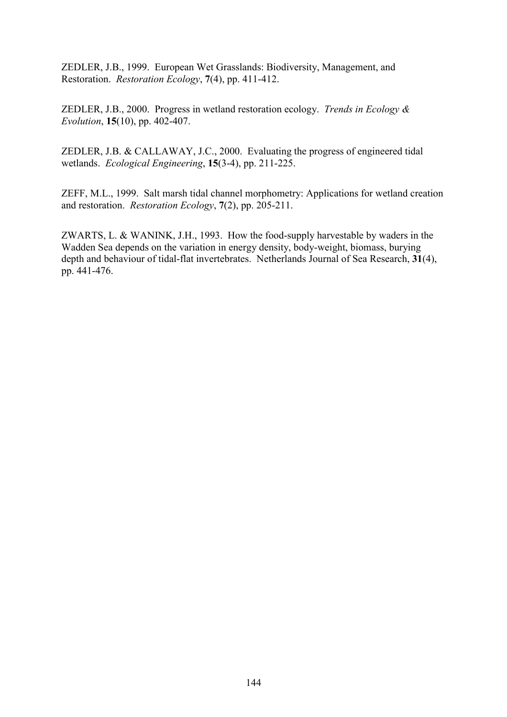ZEDLER, J.B., 1999. European Wet Grasslands: Biodiversity, Management, and Restoration. *Restoration Ecology*, **7**(4), pp. 411-412.

ZEDLER, J.B., 2000. Progress in wetland restoration ecology. *Trends in Ecology & Evolution*, **15**(10), pp. 402-407.

ZEDLER, J.B. & CALLAWAY, J.C., 2000. Evaluating the progress of engineered tidal wetlands. *Ecological Engineering*, **15**(3-4), pp. 211-225.

ZEFF, M.L., 1999. Salt marsh tidal channel morphometry: Applications for wetland creation and restoration. *Restoration Ecology*, **7**(2), pp. 205-211.

ZWARTS, L. & WANINK, J.H., 1993. How the food-supply harvestable by waders in the Wadden Sea depends on the variation in energy density, body-weight, biomass, burying depth and behaviour of tidal-flat invertebrates. Netherlands Journal of Sea Research, **31**(4), pp. 441-476.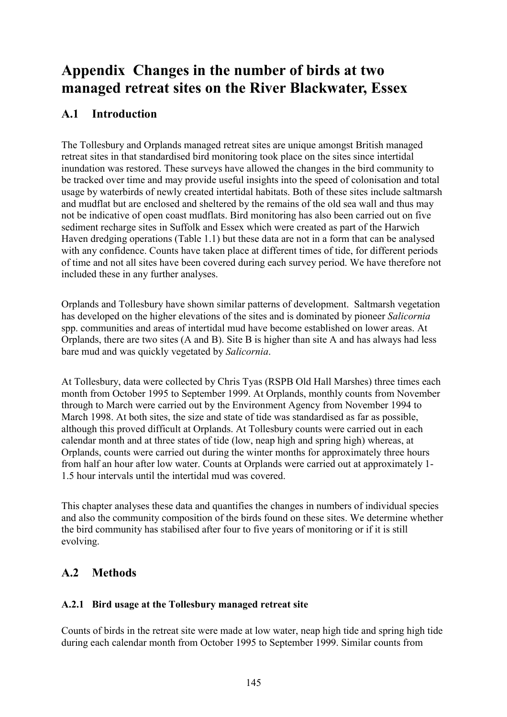# **Appendix Changes in the number of birds at two managed retreat sites on the River Blackwater, Essex**

# **A.1 Introduction**

The Tollesbury and Orplands managed retreat sites are unique amongst British managed retreat sites in that standardised bird monitoring took place on the sites since intertidal inundation was restored. These surveys have allowed the changes in the bird community to be tracked over time and may provide useful insights into the speed of colonisation and total usage by waterbirds of newly created intertidal habitats. Both of these sites include saltmarsh and mudflat but are enclosed and sheltered by the remains of the old sea wall and thus may not be indicative of open coast mudflats. Bird monitoring has also been carried out on five sediment recharge sites in Suffolk and Essex which were created as part of the Harwich Haven dredging operations (Table 1.1) but these data are not in a form that can be analysed with any confidence. Counts have taken place at different times of tide, for different periods of time and not all sites have been covered during each survey period. We have therefore not included these in any further analyses.

Orplands and Tollesbury have shown similar patterns of development. Saltmarsh vegetation has developed on the higher elevations of the sites and is dominated by pioneer *Salicornia*  spp. communities and areas of intertidal mud have become established on lower areas. At Orplands, there are two sites (A and B). Site B is higher than site A and has always had less bare mud and was quickly vegetated by *Salicornia*.

At Tollesbury, data were collected by Chris Tyas (RSPB Old Hall Marshes) three times each month from October 1995 to September 1999. At Orplands, monthly counts from November through to March were carried out by the Environment Agency from November 1994 to March 1998. At both sites, the size and state of tide was standardised as far as possible, although this proved difficult at Orplands. At Tollesbury counts were carried out in each calendar month and at three states of tide (low, neap high and spring high) whereas, at Orplands, counts were carried out during the winter months for approximately three hours from half an hour after low water. Counts at Orplands were carried out at approximately 1- 1.5 hour intervals until the intertidal mud was covered.

This chapter analyses these data and quantifies the changes in numbers of individual species and also the community composition of the birds found on these sites. We determine whether the bird community has stabilised after four to five years of monitoring or if it is still evolving.

# **A.2 Methods**

### **A.2.1 Bird usage at the Tollesbury managed retreat site**

Counts of birds in the retreat site were made at low water, neap high tide and spring high tide during each calendar month from October 1995 to September 1999. Similar counts from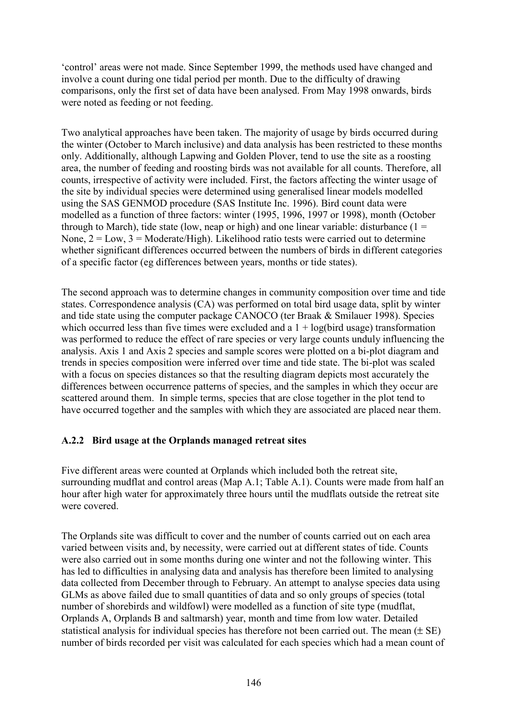'control' areas were not made. Since September 1999, the methods used have changed and involve a count during one tidal period per month. Due to the difficulty of drawing comparisons, only the first set of data have been analysed. From May 1998 onwards, birds were noted as feeding or not feeding.

Two analytical approaches have been taken. The majority of usage by birds occurred during the winter (October to March inclusive) and data analysis has been restricted to these months only. Additionally, although Lapwing and Golden Plover, tend to use the site as a roosting area, the number of feeding and roosting birds was not available for all counts. Therefore, all counts, irrespective of activity were included. First, the factors affecting the winter usage of the site by individual species were determined using generalised linear models modelled using the SAS GENMOD procedure (SAS Institute Inc. 1996). Bird count data were modelled as a function of three factors: winter (1995, 1996, 1997 or 1998), month (October through to March), tide state (low, neap or high) and one linear variable: disturbance  $(1 =$ None,  $2 = Low$ ,  $3 = Modernite/High$ ). Likelihood ratio tests were carried out to determine whether significant differences occurred between the numbers of birds in different categories of a specific factor (eg differences between years, months or tide states).

The second approach was to determine changes in community composition over time and tide states. Correspondence analysis (CA) was performed on total bird usage data, split by winter and tide state using the computer package CANOCO (ter Braak & Smilauer 1998). Species which occurred less than five times were excluded and a  $1 + log(b)$  transformation was performed to reduce the effect of rare species or very large counts unduly influencing the analysis. Axis 1 and Axis 2 species and sample scores were plotted on a bi-plot diagram and trends in species composition were inferred over time and tide state. The bi-plot was scaled with a focus on species distances so that the resulting diagram depicts most accurately the differences between occurrence patterns of species, and the samples in which they occur are scattered around them. In simple terms, species that are close together in the plot tend to have occurred together and the samples with which they are associated are placed near them.

#### **A.2.2 Bird usage at the Orplands managed retreat sites**

Five different areas were counted at Orplands which included both the retreat site, surrounding mudflat and control areas (Map A.1; Table A.1). Counts were made from half an hour after high water for approximately three hours until the mudflats outside the retreat site were covered.

The Orplands site was difficult to cover and the number of counts carried out on each area varied between visits and, by necessity, were carried out at different states of tide. Counts were also carried out in some months during one winter and not the following winter. This has led to difficulties in analysing data and analysis has therefore been limited to analysing data collected from December through to February. An attempt to analyse species data using GLMs as above failed due to small quantities of data and so only groups of species (total number of shorebirds and wildfowl) were modelled as a function of site type (mudflat, Orplands A, Orplands B and saltmarsh) year, month and time from low water. Detailed statistical analysis for individual species has therefore not been carried out. The mean  $(\pm S E)$ number of birds recorded per visit was calculated for each species which had a mean count of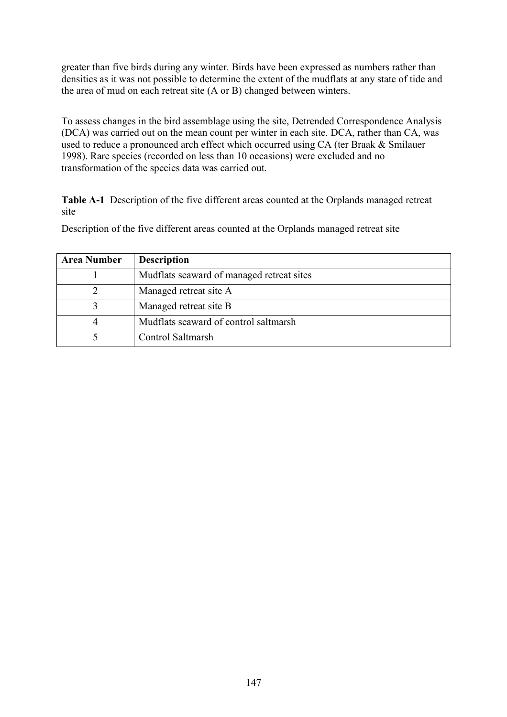greater than five birds during any winter. Birds have been expressed as numbers rather than densities as it was not possible to determine the extent of the mudflats at any state of tide and the area of mud on each retreat site (A or B) changed between winters.

To assess changes in the bird assemblage using the site, Detrended Correspondence Analysis (DCA) was carried out on the mean count per winter in each site. DCA, rather than CA, was used to reduce a pronounced arch effect which occurred using CA (ter Braak & Smilauer 1998). Rare species (recorded on less than 10 occasions) were excluded and no transformation of the species data was carried out.

**Table A-1** Description of the five different areas counted at the Orplands managed retreat site

| <b>Area Number</b> | <b>Description</b>                        |
|--------------------|-------------------------------------------|
|                    | Mudflats seaward of managed retreat sites |
|                    | Managed retreat site A                    |
|                    | Managed retreat site B                    |
|                    | Mudflats seaward of control saltmarsh     |
|                    | Control Saltmarsh                         |

Description of the five different areas counted at the Orplands managed retreat site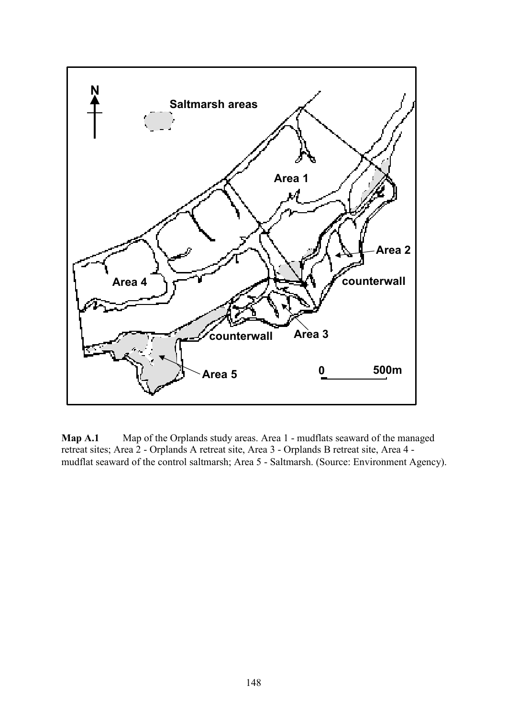

**Map A.1** Map of the Orplands study areas. Area 1 - mudflats seaward of the managed retreat sites; Area 2 - Orplands A retreat site, Area 3 - Orplands B retreat site, Area 4 mudflat seaward of the control saltmarsh; Area 5 - Saltmarsh. (Source: Environment Agency).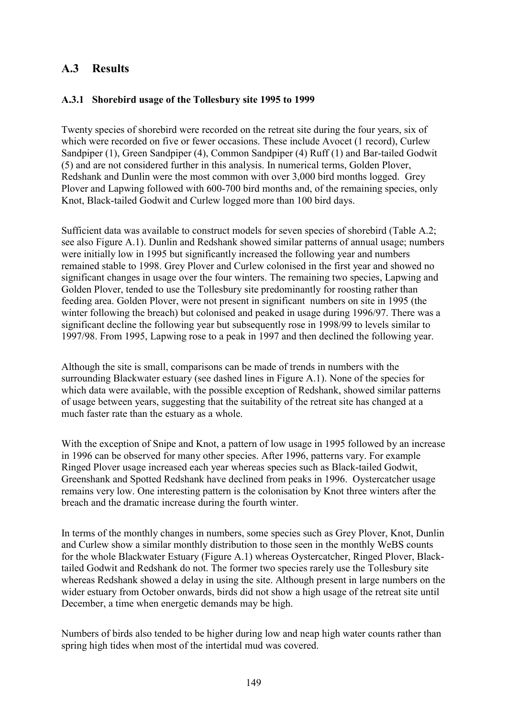## **A.3 Results**

#### **A.3.1 Shorebird usage of the Tollesbury site 1995 to 1999**

Twenty species of shorebird were recorded on the retreat site during the four years, six of which were recorded on five or fewer occasions. These include Avocet (1 record), Curlew Sandpiper (1), Green Sandpiper (4), Common Sandpiper (4) Ruff (1) and Bar-tailed Godwit (5) and are not considered further in this analysis. In numerical terms, Golden Plover, Redshank and Dunlin were the most common with over 3,000 bird months logged. Grey Plover and Lapwing followed with 600-700 bird months and, of the remaining species, only Knot, Black-tailed Godwit and Curlew logged more than 100 bird days.

Sufficient data was available to construct models for seven species of shorebird (Table A.2; see also Figure A.1). Dunlin and Redshank showed similar patterns of annual usage; numbers were initially low in 1995 but significantly increased the following year and numbers remained stable to 1998. Grey Plover and Curlew colonised in the first year and showed no significant changes in usage over the four winters. The remaining two species, Lapwing and Golden Plover, tended to use the Tollesbury site predominantly for roosting rather than feeding area. Golden Plover, were not present in significant numbers on site in 1995 (the winter following the breach) but colonised and peaked in usage during 1996/97. There was a significant decline the following year but subsequently rose in 1998/99 to levels similar to 1997/98. From 1995, Lapwing rose to a peak in 1997 and then declined the following year.

Although the site is small, comparisons can be made of trends in numbers with the surrounding Blackwater estuary (see dashed lines in Figure A.1). None of the species for which data were available, with the possible exception of Redshank, showed similar patterns of usage between years, suggesting that the suitability of the retreat site has changed at a much faster rate than the estuary as a whole.

With the exception of Snipe and Knot, a pattern of low usage in 1995 followed by an increase in 1996 can be observed for many other species. After 1996, patterns vary. For example Ringed Plover usage increased each year whereas species such as Black-tailed Godwit, Greenshank and Spotted Redshank have declined from peaks in 1996. Oystercatcher usage remains very low. One interesting pattern is the colonisation by Knot three winters after the breach and the dramatic increase during the fourth winter.

In terms of the monthly changes in numbers, some species such as Grey Plover, Knot, Dunlin and Curlew show a similar monthly distribution to those seen in the monthly WeBS counts for the whole Blackwater Estuary (Figure A.1) whereas Oystercatcher, Ringed Plover, Blacktailed Godwit and Redshank do not. The former two species rarely use the Tollesbury site whereas Redshank showed a delay in using the site. Although present in large numbers on the wider estuary from October onwards, birds did not show a high usage of the retreat site until December, a time when energetic demands may be high.

Numbers of birds also tended to be higher during low and neap high water counts rather than spring high tides when most of the intertidal mud was covered.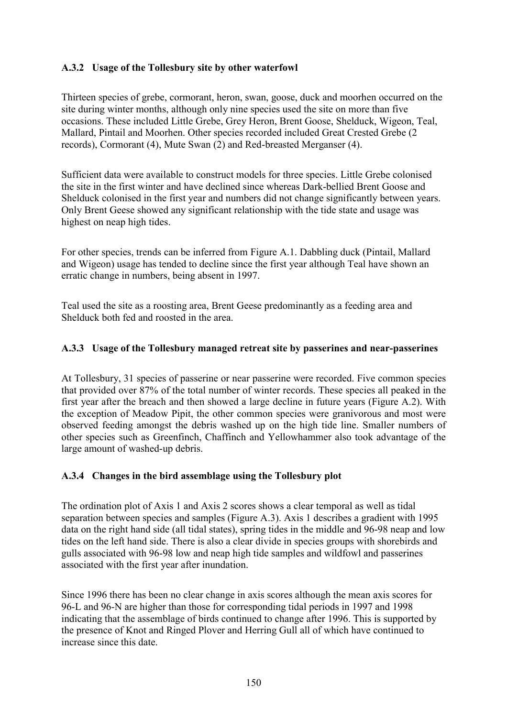#### **A.3.2 Usage of the Tollesbury site by other waterfowl**

Thirteen species of grebe, cormorant, heron, swan, goose, duck and moorhen occurred on the site during winter months, although only nine species used the site on more than five occasions. These included Little Grebe, Grey Heron, Brent Goose, Shelduck, Wigeon, Teal, Mallard, Pintail and Moorhen. Other species recorded included Great Crested Grebe (2 records), Cormorant (4), Mute Swan (2) and Red-breasted Merganser (4).

Sufficient data were available to construct models for three species. Little Grebe colonised the site in the first winter and have declined since whereas Dark-bellied Brent Goose and Shelduck colonised in the first year and numbers did not change significantly between years. Only Brent Geese showed any significant relationship with the tide state and usage was highest on neap high tides.

For other species, trends can be inferred from Figure A.1. Dabbling duck (Pintail, Mallard and Wigeon) usage has tended to decline since the first year although Teal have shown an erratic change in numbers, being absent in 1997.

Teal used the site as a roosting area, Brent Geese predominantly as a feeding area and Shelduck both fed and roosted in the area.

#### **A.3.3 Usage of the Tollesbury managed retreat site by passerines and near-passerines**

At Tollesbury, 31 species of passerine or near passerine were recorded. Five common species that provided over 87% of the total number of winter records. These species all peaked in the first year after the breach and then showed a large decline in future years (Figure A.2). With the exception of Meadow Pipit, the other common species were granivorous and most were observed feeding amongst the debris washed up on the high tide line. Smaller numbers of other species such as Greenfinch, Chaffinch and Yellowhammer also took advantage of the large amount of washed-up debris.

#### **A.3.4 Changes in the bird assemblage using the Tollesbury plot**

The ordination plot of Axis 1 and Axis 2 scores shows a clear temporal as well as tidal separation between species and samples (Figure A.3). Axis 1 describes a gradient with 1995 data on the right hand side (all tidal states), spring tides in the middle and 96-98 neap and low tides on the left hand side. There is also a clear divide in species groups with shorebirds and gulls associated with 96-98 low and neap high tide samples and wildfowl and passerines associated with the first year after inundation.

Since 1996 there has been no clear change in axis scores although the mean axis scores for 96-L and 96-N are higher than those for corresponding tidal periods in 1997 and 1998 indicating that the assemblage of birds continued to change after 1996. This is supported by the presence of Knot and Ringed Plover and Herring Gull all of which have continued to increase since this date.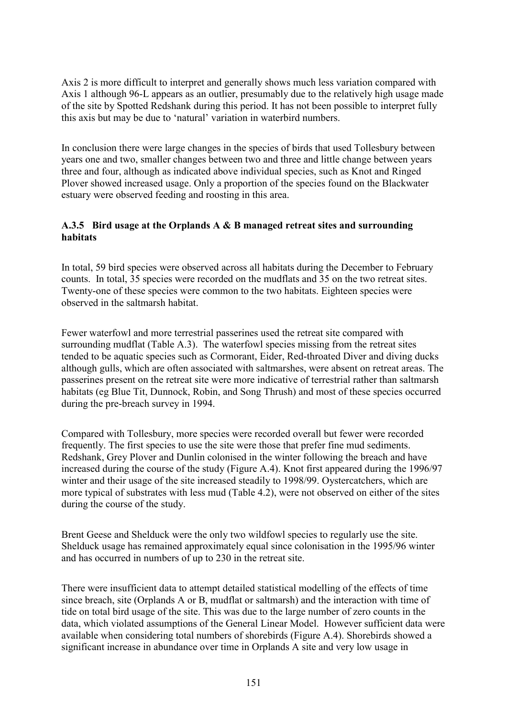Axis 2 is more difficult to interpret and generally shows much less variation compared with Axis 1 although 96-L appears as an outlier, presumably due to the relatively high usage made of the site by Spotted Redshank during this period. It has not been possible to interpret fully this axis but may be due to 'natural' variation in waterbird numbers.

In conclusion there were large changes in the species of birds that used Tollesbury between years one and two, smaller changes between two and three and little change between years three and four, although as indicated above individual species, such as Knot and Ringed Plover showed increased usage. Only a proportion of the species found on the Blackwater estuary were observed feeding and roosting in this area.

#### **A.3.5 Bird usage at the Orplands A & B managed retreat sites and surrounding habitats**

In total, 59 bird species were observed across all habitats during the December to February counts. In total, 35 species were recorded on the mudflats and 35 on the two retreat sites. Twenty-one of these species were common to the two habitats. Eighteen species were observed in the saltmarsh habitat.

Fewer waterfowl and more terrestrial passerines used the retreat site compared with surrounding mudflat (Table A.3). The waterfowl species missing from the retreat sites tended to be aquatic species such as Cormorant, Eider, Red-throated Diver and diving ducks although gulls, which are often associated with saltmarshes, were absent on retreat areas. The passerines present on the retreat site were more indicative of terrestrial rather than saltmarsh habitats (eg Blue Tit, Dunnock, Robin, and Song Thrush) and most of these species occurred during the pre-breach survey in 1994.

Compared with Tollesbury, more species were recorded overall but fewer were recorded frequently. The first species to use the site were those that prefer fine mud sediments. Redshank, Grey Plover and Dunlin colonised in the winter following the breach and have increased during the course of the study (Figure A.4). Knot first appeared during the 1996/97 winter and their usage of the site increased steadily to 1998/99. Oystercatchers, which are more typical of substrates with less mud (Table 4.2), were not observed on either of the sites during the course of the study.

Brent Geese and Shelduck were the only two wildfowl species to regularly use the site. Shelduck usage has remained approximately equal since colonisation in the 1995/96 winter and has occurred in numbers of up to 230 in the retreat site.

There were insufficient data to attempt detailed statistical modelling of the effects of time since breach, site (Orplands A or B, mudflat or saltmarsh) and the interaction with time of tide on total bird usage of the site. This was due to the large number of zero counts in the data, which violated assumptions of the General Linear Model. However sufficient data were available when considering total numbers of shorebirds (Figure A.4). Shorebirds showed a significant increase in abundance over time in Orplands A site and very low usage in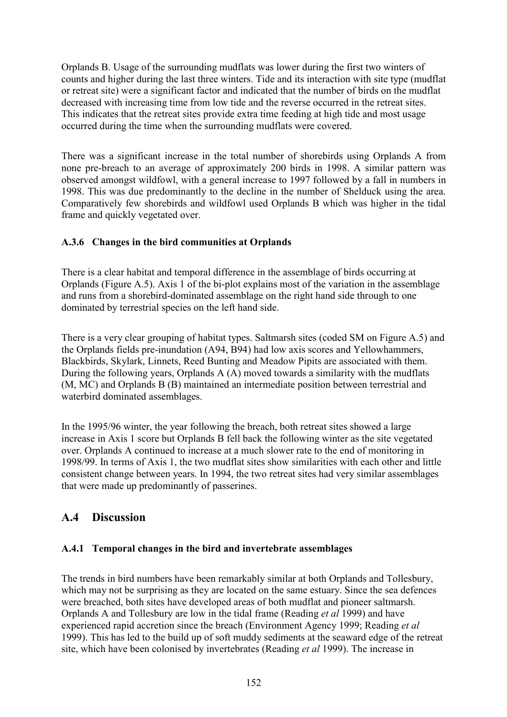Orplands B. Usage of the surrounding mudflats was lower during the first two winters of counts and higher during the last three winters. Tide and its interaction with site type (mudflat or retreat site) were a significant factor and indicated that the number of birds on the mudflat decreased with increasing time from low tide and the reverse occurred in the retreat sites. This indicates that the retreat sites provide extra time feeding at high tide and most usage occurred during the time when the surrounding mudflats were covered.

There was a significant increase in the total number of shorebirds using Orplands A from none pre-breach to an average of approximately 200 birds in 1998. A similar pattern was observed amongst wildfowl, with a general increase to 1997 followed by a fall in numbers in 1998. This was due predominantly to the decline in the number of Shelduck using the area. Comparatively few shorebirds and wildfowl used Orplands B which was higher in the tidal frame and quickly vegetated over.

#### **A.3.6 Changes in the bird communities at Orplands**

There is a clear habitat and temporal difference in the assemblage of birds occurring at Orplands (Figure A.5). Axis 1 of the bi-plot explains most of the variation in the assemblage and runs from a shorebird-dominated assemblage on the right hand side through to one dominated by terrestrial species on the left hand side.

There is a very clear grouping of habitat types. Saltmarsh sites (coded SM on Figure A.5) and the Orplands fields pre-inundation (A94, B94) had low axis scores and Yellowhammers, Blackbirds, Skylark, Linnets, Reed Bunting and Meadow Pipits are associated with them. During the following years, Orplands  $A(A)$  moved towards a similarity with the mudflats (M, MC) and Orplands B (B) maintained an intermediate position between terrestrial and waterbird dominated assemblages.

In the 1995/96 winter, the year following the breach, both retreat sites showed a large increase in Axis 1 score but Orplands B fell back the following winter as the site vegetated over. Orplands A continued to increase at a much slower rate to the end of monitoring in 1998/99. In terms of Axis 1, the two mudflat sites show similarities with each other and little consistent change between years. In 1994, the two retreat sites had very similar assemblages that were made up predominantly of passerines.

# **A.4 Discussion**

### **A.4.1 Temporal changes in the bird and invertebrate assemblages**

The trends in bird numbers have been remarkably similar at both Orplands and Tollesbury, which may not be surprising as they are located on the same estuary. Since the sea defences were breached, both sites have developed areas of both mudflat and pioneer saltmarsh. Orplands A and Tollesbury are low in the tidal frame (Reading *et al* 1999) and have experienced rapid accretion since the breach (Environment Agency 1999; Reading *et al* 1999). This has led to the build up of soft muddy sediments at the seaward edge of the retreat site, which have been colonised by invertebrates (Reading *et al* 1999). The increase in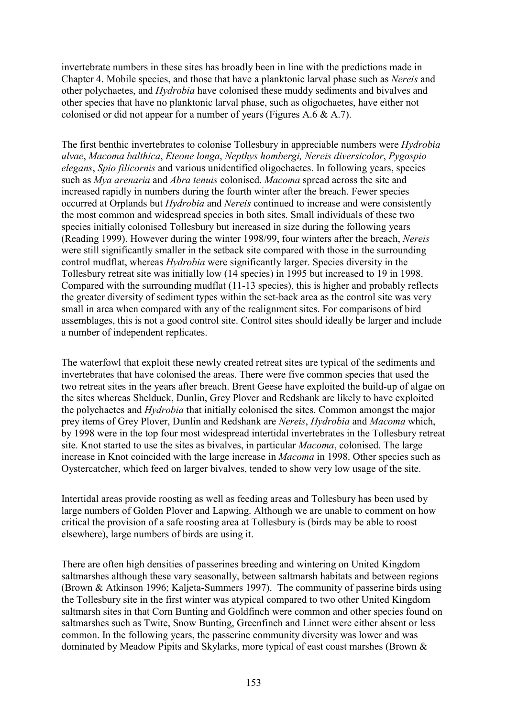invertebrate numbers in these sites has broadly been in line with the predictions made in Chapter 4. Mobile species, and those that have a planktonic larval phase such as *Nereis* and other polychaetes, and *Hydrobia* have colonised these muddy sediments and bivalves and other species that have no planktonic larval phase, such as oligochaetes, have either not colonised or did not appear for a number of years (Figures A.6 & A.7).

The first benthic invertebrates to colonise Tollesbury in appreciable numbers were *Hydrobia ulvae*, *Macoma balthica*, *Eteone longa*, *Nepthys hombergi, Nereis diversicolor*, *Pygospio elegans*, *Spio filicornis* and various unidentified oligochaetes. In following years, species such as *Mya arenaria* and *Abra tenuis* colonised. *Macoma* spread across the site and increased rapidly in numbers during the fourth winter after the breach. Fewer species occurred at Orplands but *Hydrobia* and *Nereis* continued to increase and were consistently the most common and widespread species in both sites. Small individuals of these two species initially colonised Tollesbury but increased in size during the following years (Reading 1999). However during the winter 1998/99, four winters after the breach, *Nereis* were still significantly smaller in the setback site compared with those in the surrounding control mudflat, whereas *Hydrobia* were significantly larger. Species diversity in the Tollesbury retreat site was initially low (14 species) in 1995 but increased to 19 in 1998. Compared with the surrounding mudflat (11-13 species), this is higher and probably reflects the greater diversity of sediment types within the set-back area as the control site was very small in area when compared with any of the realignment sites. For comparisons of bird assemblages, this is not a good control site. Control sites should ideally be larger and include a number of independent replicates.

The waterfowl that exploit these newly created retreat sites are typical of the sediments and invertebrates that have colonised the areas. There were five common species that used the two retreat sites in the years after breach. Brent Geese have exploited the build-up of algae on the sites whereas Shelduck, Dunlin, Grey Plover and Redshank are likely to have exploited the polychaetes and *Hydrobia* that initially colonised the sites. Common amongst the major prey items of Grey Plover, Dunlin and Redshank are *Nereis*, *Hydrobia* and *Macoma* which, by 1998 were in the top four most widespread intertidal invertebrates in the Tollesbury retreat site. Knot started to use the sites as bivalves, in particular *Macoma*, colonised. The large increase in Knot coincided with the large increase in *Macoma* in 1998. Other species such as Oystercatcher, which feed on larger bivalves, tended to show very low usage of the site.

Intertidal areas provide roosting as well as feeding areas and Tollesbury has been used by large numbers of Golden Plover and Lapwing. Although we are unable to comment on how critical the provision of a safe roosting area at Tollesbury is (birds may be able to roost elsewhere), large numbers of birds are using it.

There are often high densities of passerines breeding and wintering on United Kingdom saltmarshes although these vary seasonally, between saltmarsh habitats and between regions (Brown & Atkinson 1996; Kaljeta-Summers 1997). The community of passerine birds using the Tollesbury site in the first winter was atypical compared to two other United Kingdom saltmarsh sites in that Corn Bunting and Goldfinch were common and other species found on saltmarshes such as Twite, Snow Bunting, Greenfinch and Linnet were either absent or less common. In the following years, the passerine community diversity was lower and was dominated by Meadow Pipits and Skylarks, more typical of east coast marshes (Brown &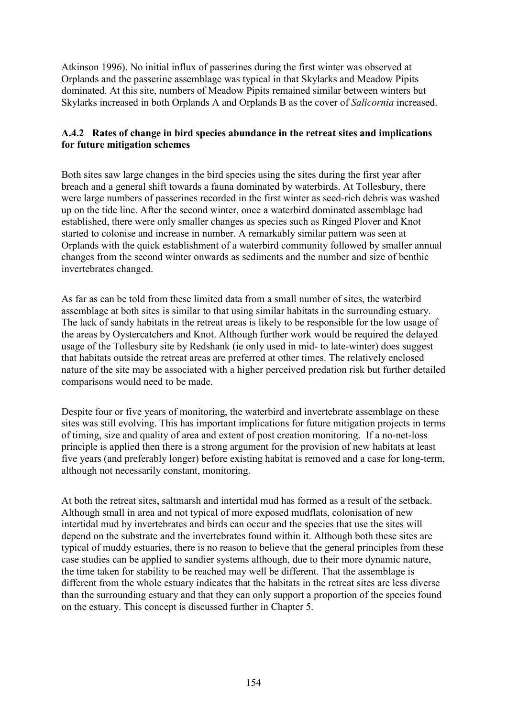Atkinson 1996). No initial influx of passerines during the first winter was observed at Orplands and the passerine assemblage was typical in that Skylarks and Meadow Pipits dominated. At this site, numbers of Meadow Pipits remained similar between winters but Skylarks increased in both Orplands A and Orplands B as the cover of *Salicornia* increased.

#### **A.4.2 Rates of change in bird species abundance in the retreat sites and implications for future mitigation schemes**

Both sites saw large changes in the bird species using the sites during the first year after breach and a general shift towards a fauna dominated by waterbirds. At Tollesbury, there were large numbers of passerines recorded in the first winter as seed-rich debris was washed up on the tide line. After the second winter, once a waterbird dominated assemblage had established, there were only smaller changes as species such as Ringed Plover and Knot started to colonise and increase in number. A remarkably similar pattern was seen at Orplands with the quick establishment of a waterbird community followed by smaller annual changes from the second winter onwards as sediments and the number and size of benthic invertebrates changed.

As far as can be told from these limited data from a small number of sites, the waterbird assemblage at both sites is similar to that using similar habitats in the surrounding estuary. The lack of sandy habitats in the retreat areas is likely to be responsible for the low usage of the areas by Oystercatchers and Knot. Although further work would be required the delayed usage of the Tollesbury site by Redshank (ie only used in mid- to late-winter) does suggest that habitats outside the retreat areas are preferred at other times. The relatively enclosed nature of the site may be associated with a higher perceived predation risk but further detailed comparisons would need to be made.

Despite four or five years of monitoring, the waterbird and invertebrate assemblage on these sites was still evolving. This has important implications for future mitigation projects in terms of timing, size and quality of area and extent of post creation monitoring. If a no-net-loss principle is applied then there is a strong argument for the provision of new habitats at least five years (and preferably longer) before existing habitat is removed and a case for long-term, although not necessarily constant, monitoring.

At both the retreat sites, saltmarsh and intertidal mud has formed as a result of the setback. Although small in area and not typical of more exposed mudflats, colonisation of new intertidal mud by invertebrates and birds can occur and the species that use the sites will depend on the substrate and the invertebrates found within it. Although both these sites are typical of muddy estuaries, there is no reason to believe that the general principles from these case studies can be applied to sandier systems although, due to their more dynamic nature, the time taken for stability to be reached may well be different. That the assemblage is different from the whole estuary indicates that the habitats in the retreat sites are less diverse than the surrounding estuary and that they can only support a proportion of the species found on the estuary. This concept is discussed further in Chapter 5.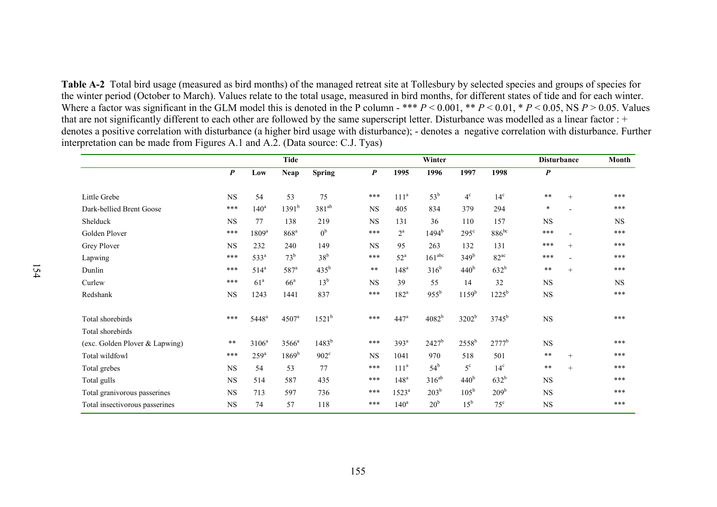**Table A-2** Total bird usage (measured as bird months) of the managed retreat site at Tollesbury by selected species and groups of species for the winter period (October to March). Values relate to the total usage, measured in bird months, for different states of tide and for each winter. Where a factor was significant in the GLM model this is denoted in the P column - \*\*\*  $P < 0.001$ , \*\*  $P < 0.01$ , \*  $P < 0.05$ , NS  $P > 0.05$ . Values that are not significantly different to each other are followed by the same superscript letter. Disturbance was modelled as a linear factor : + denotes a positive correlation with disturbance (a higher bird usage with disturbance); - denotes a negative correlation with disturbance. Further interpretation can be made from Figures A.1 and A.2. (Data source: C.J. Tyas)

|                                | <b>Tide</b>      |                    |                   |                   | Winter           |                   |                    |                   |                  | <b>Disturbance</b>        |        | Month     |
|--------------------------------|------------------|--------------------|-------------------|-------------------|------------------|-------------------|--------------------|-------------------|------------------|---------------------------|--------|-----------|
|                                | $\boldsymbol{P}$ | Low                | Neap              | <b>Spring</b>     | $\boldsymbol{P}$ | 1995              | 1996               | 1997              | 1998             | $\boldsymbol{P}$          |        |           |
| Little Grebe                   | <b>NS</b>        | 54                 | 53                | 75                | ***              | 111 <sup>a</sup>  | $53^b$             | $4^{\circ}$       | $14^{\circ}$     | $***$                     | $^{+}$ | ***       |
| Dark-bellied Brent Goose       | ***              | 140 <sup>a</sup>   | $1391^{b}$        | 381 <sup>ab</sup> | NS               | 405               | 834                | 379               | 294              | $\ast$                    |        | ***       |
| Shelduck                       | <b>NS</b>        | 77                 | 138               | 219               | <b>NS</b>        | 131               | 36                 | 110               | 157              | NS                        |        | <b>NS</b> |
| Golden Plover                  | ***              | 1809 <sup>a</sup>  | 868 <sup>a</sup>  | 0 <sup>b</sup>    | ***              | $2^a$             | $1494^b$           | $295^{\circ}$     | $886^{bc}$       | ***                       |        | ***       |
| Grey Plover                    | <b>NS</b>        | 232                | 240               | 149               | <b>NS</b>        | 95                | 263                | 132               | 131              | ***                       | $^{+}$ | $***$     |
| Lapwing                        | ***              | $533^a$            | $73^b$            | $38^b$            | ***              | $52^{\mathrm{a}}$ | 161 <sup>abc</sup> | 349 <sup>b</sup>  | $82^{ac}$        | ***                       |        | $***$     |
| Dunlin                         | ***              | $514^a$            | $587^a$           | $435^{\rm b}$     | $\ast\ast$       | 148 <sup>a</sup>  | $316^b$            | 440 <sup>b</sup>  | $632^b$          | $***$                     | $^{+}$ | $***$     |
| Curlew                         | ***              | 61 <sup>a</sup>    | 66 <sup>a</sup>   | 13 <sup>b</sup>   | <b>NS</b>        | 39                | 55                 | 14                | 32               | <b>NS</b>                 |        | <b>NS</b> |
| Redshank                       | <b>NS</b>        | 1243               | 1441              | 837               | ***              | $182^a$           | $955^{\rm b}$      | $1159^b$          | $1225^b$         | $_{\rm NS}$               |        | ***       |
| Total shorebirds               | ***              | 5448 <sup>a</sup>  | 4507 <sup>a</sup> | $1521^b$          | ***              | 447 <sup>a</sup>  | $4082^{b}$         | 3202 <sup>b</sup> | $3745^{b}$       | <b>NS</b>                 |        | $***$     |
| Total shorebirds               | $* *$            |                    |                   |                   | $***$            |                   |                    |                   |                  |                           |        | $***$     |
| (exc. Golden Plover & Lapwing) | ***              | $3106^a$           | $3566^a$          | $1483^{b}$        |                  | $393^a$           | $2427^b$           | $2558^b$          | $2777^b$         | $_{\rm NS}$<br>$\ast\ast$ |        | ***       |
| Total wildfowl                 |                  | $259^{\mathrm{a}}$ | $1869^{\rm b}$    | $902^{\circ}$     | <b>NS</b>        | 1041              | 970                | 518               | 501              |                           | $+$    |           |
| Total grebes                   | $_{\rm NS}$      | 54                 | 53                | 77                | ***              | 111 <sup>a</sup>  | $54^{\rm b}$       | $5^{\circ}$       | 14 <sup>c</sup>  | $***$                     | $+$    | $***$     |
| Total gulls                    | NS               | 514                | 587               | 435               | ***              | 148 <sup>a</sup>  | $316^{ab}$         | 440 <sup>b</sup>  | 632 <sup>b</sup> | <b>NS</b>                 |        | $***$     |
| Total granivorous passerines   | <b>NS</b>        | 713                | 597               | 736               | ***              | $1523^{\rm a}$    | $203^b$            | $105^{\rm b}$     | 209 <sup>b</sup> | <b>NS</b>                 |        | $***$     |
| Total insectivorous passerines | $_{\rm NS}$      | 74                 | 57                | 118               | ***              | 140 <sup>a</sup>  | 20 <sup>b</sup>    | $15^{\rm b}$      | $75^{\circ}$     | <b>NS</b>                 |        | $***$     |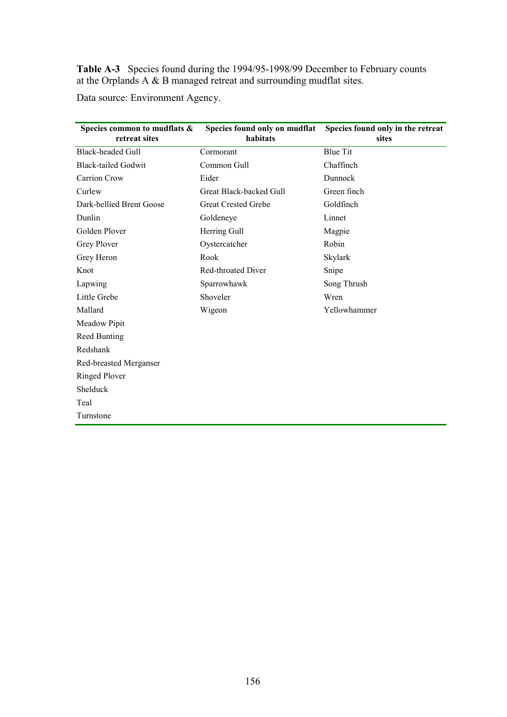**Table A-3** Species found during the 1994/95-1998/99 December to February counts at the Orplands A & B managed retreat and surrounding mudflat sites.

Data source: Environment Agency.

| Species common to mudflats &<br>retreat sites | Species found only on mudflat<br>habitats | Species found only in the retreat<br>sites |
|-----------------------------------------------|-------------------------------------------|--------------------------------------------|
| <b>Black-headed Gull</b>                      | Cormorant                                 | <b>Blue Tit</b>                            |
| <b>Black-tailed Godwit</b>                    | Common Gull                               | Chaffinch                                  |
| <b>Carrion Crow</b>                           | Eider                                     | Dunnock                                    |
| Curlew                                        | Great Black-backed Gull                   | Green finch                                |
| Dark-bellied Brent Goose                      | <b>Great Crested Grebe</b>                | Goldfinch                                  |
| Dunlin                                        | Goldeneye                                 | Linnet                                     |
| Golden Plover                                 | Herring Gull                              | Magpie                                     |
| <b>Grey Plover</b>                            | Oystercatcher                             | Robin                                      |
| Grey Heron                                    | Rook                                      | Skylark                                    |
| Knot                                          | Red-throated Diver                        | Snipe                                      |
| Lapwing                                       | Sparrowhawk                               | Song Thrush                                |
| Little Grebe                                  | Shoveler                                  | Wren                                       |
| Mallard                                       | Wigeon                                    | Yellowhammer                               |
| Meadow Pipit                                  |                                           |                                            |
| Reed Bunting                                  |                                           |                                            |
| Redshank                                      |                                           |                                            |
| Red-breasted Merganser                        |                                           |                                            |
| <b>Ringed Plover</b>                          |                                           |                                            |
| Shelduck                                      |                                           |                                            |
| Teal                                          |                                           |                                            |
| Turnstone                                     |                                           |                                            |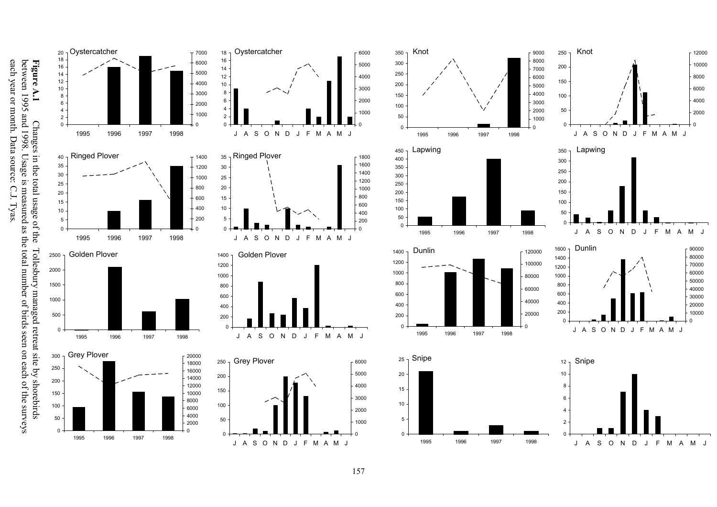**Figure A.1** Changes in the total usage of the Tollesbury managed retreat site by shorebirds between 1995 and 1998. Usage is measured as the total number of birds seen on each of the surveys each year or month. Data source Changes in the total usage of the Tollesbury managed retreat site by shorebirds each year or month. Data source: C.J. Tyas. between 1995 and 1998. Usage is measured as the total number of birds seen on each of the surveys





Oystercatcher 6000



J ASONDJ FMAMJ



1996 1997 1998

 $\Gamma$ 120000

1996 1997 1998

 $\Omega$ 

Dunlin



12000

Knot





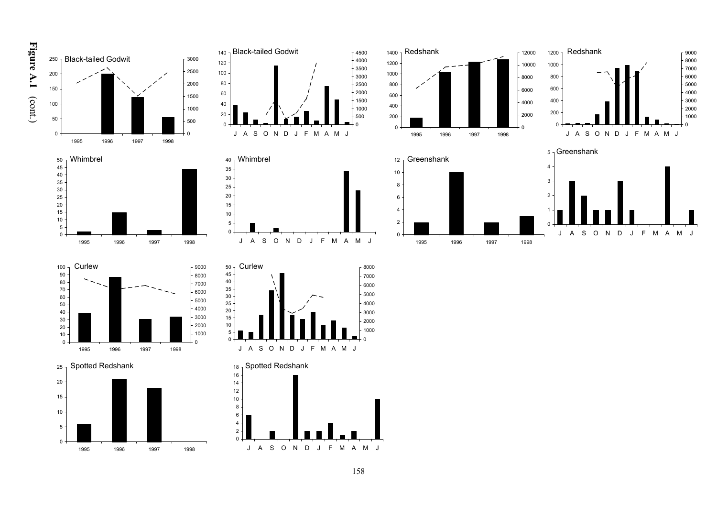











2 4 6









1996 1997 1998

 $\mathbf{0}$ 



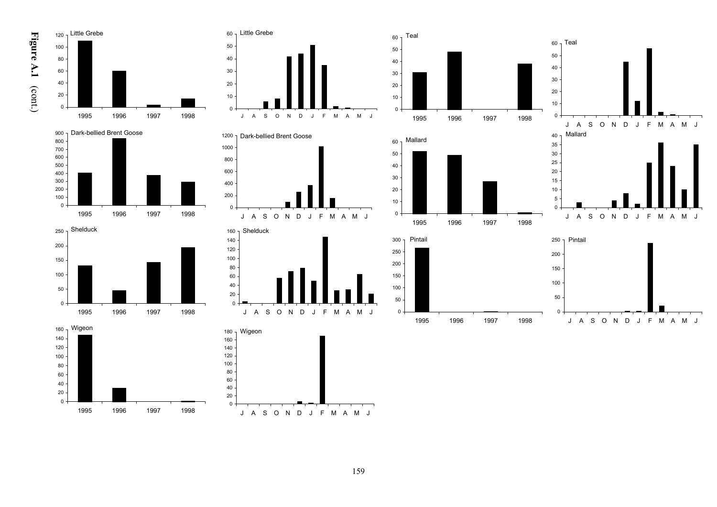

























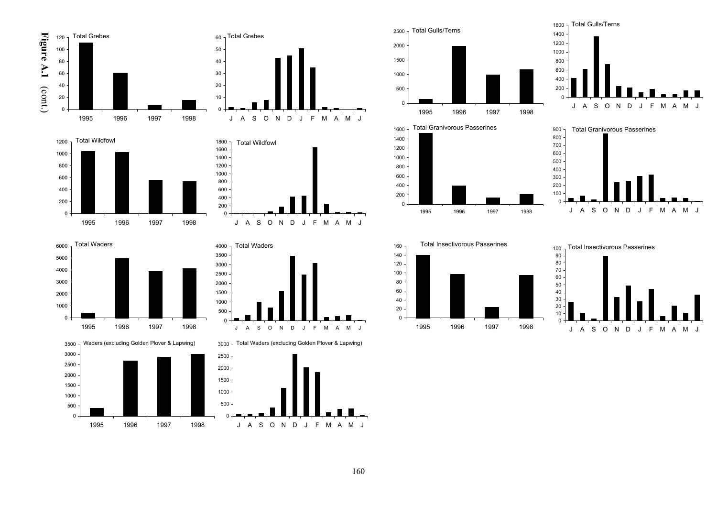





Total Waders













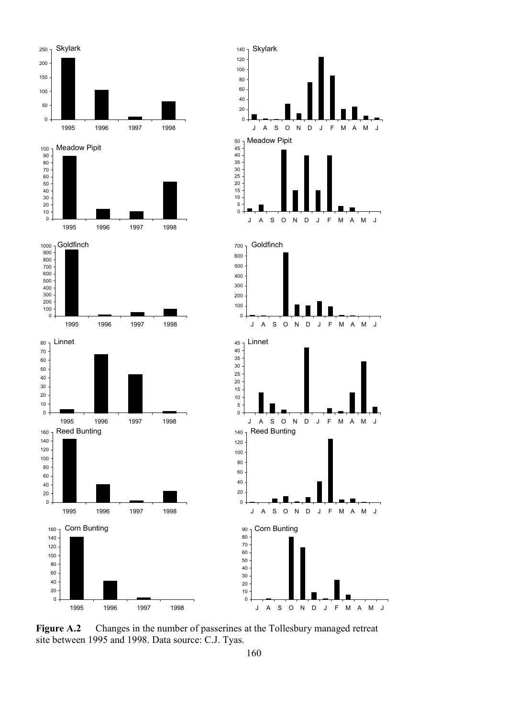

**Figure A.2** Changes in the number of passerines at the Tollesbury managed retreat site between 1995 and 1998. Data source: C.J. Tyas.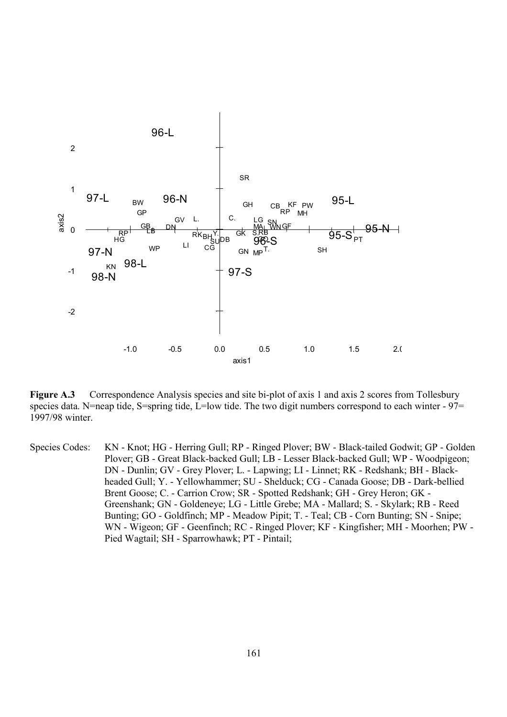

Figure A.3 Correspondence Analysis species and site bi-plot of axis 1 and axis 2 scores from Tollesbury species data. N=neap tide, S=spring tide, L=low tide. The two digit numbers correspond to each winter - 97= 1997/98 winter.

Species Codes: KN - Knot; HG - Herring Gull; RP - Ringed Plover; BW - Black-tailed Godwit; GP - Golden Plover; GB - Great Black-backed Gull; LB - Lesser Black-backed Gull; WP - Woodpigeon; DN - Dunlin; GV - Grey Plover; L. - Lapwing; LI - Linnet; RK - Redshank; BH - Blackheaded Gull; Y. - Yellowhammer; SU - Shelduck; CG - Canada Goose; DB - Dark-bellied Brent Goose; C. - Carrion Crow; SR - Spotted Redshank; GH - Grey Heron; GK - Greenshank; GN - Goldeneye; LG - Little Grebe; MA - Mallard; S. - Skylark; RB - Reed Bunting; GO - Goldfinch; MP - Meadow Pipit; T. - Teal; CB - Corn Bunting; SN - Snipe; WN - Wigeon; GF - Geenfinch; RC - Ringed Plover; KF - Kingfisher; MH - Moorhen; PW - Pied Wagtail; SH - Sparrowhawk; PT - Pintail;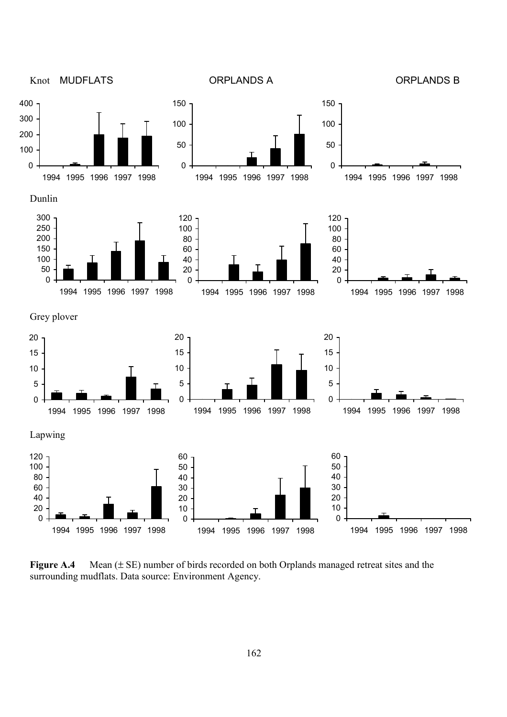

Figure A.4 Mean ( $\pm$  SE) number of birds recorded on both Orplands managed retreat sites and the surrounding mudflats. Data source: Environment Agency.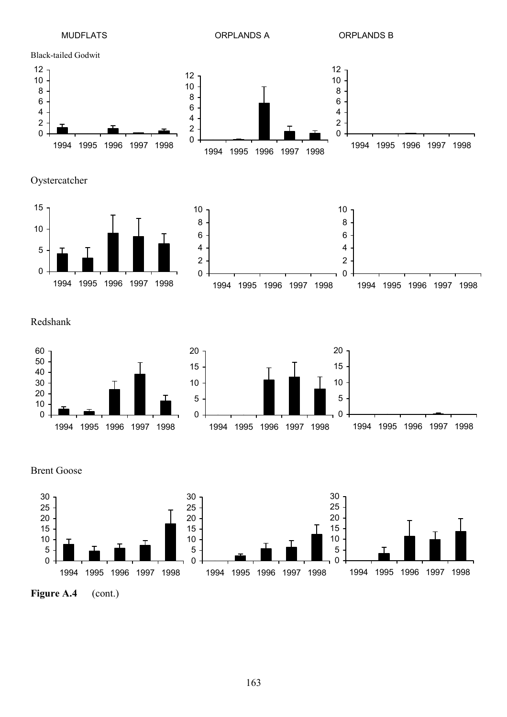

Brent Goose

1994 1995 1996 1997 1998



1994 1995 1996 1997 1998

1994 1995 1996 1997 1998

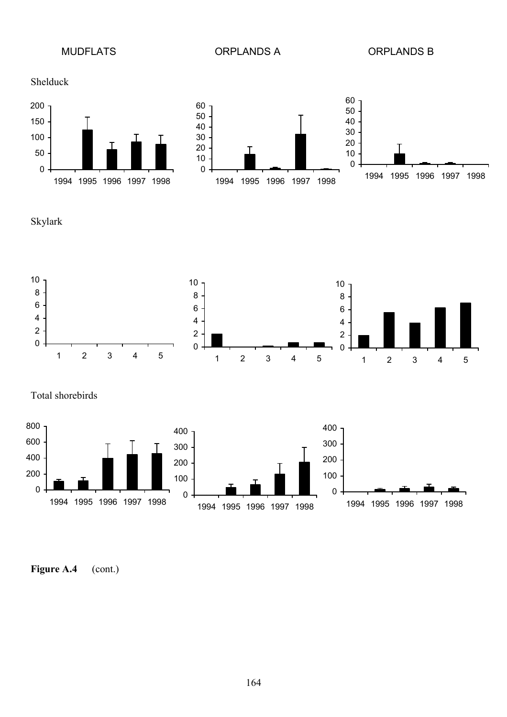MUDFLATS ORPLANDS A ORPLANDS B





Skylark



Total shorebirds



Figure A.4 (cont.)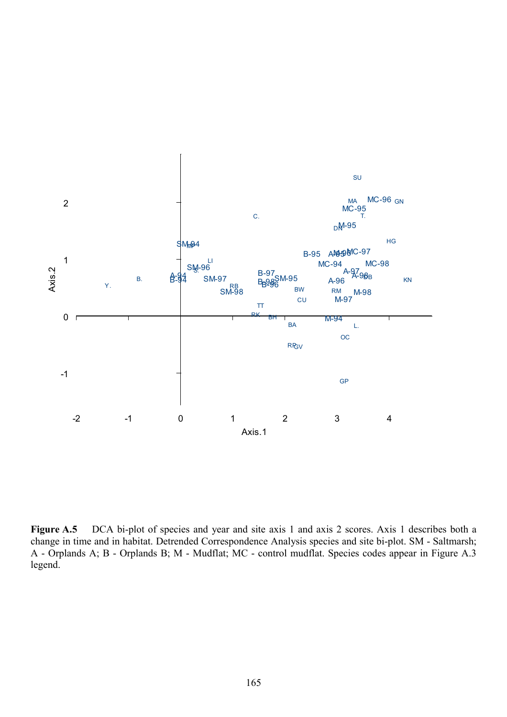

Figure A.5 DCA bi-plot of species and year and site axis 1 and axis 2 scores. Axis 1 describes both a change in time and in habitat. Detrended Correspondence Analysis species and site bi-plot. SM - Saltmarsh; A - Orplands A; B - Orplands B; M - Mudflat; MC - control mudflat. Species codes appear in Figure A.3 legend.